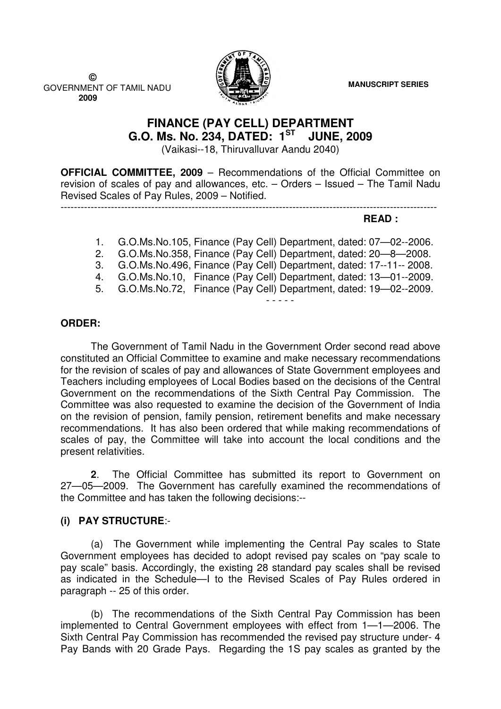**MANUSCRIPT SERIES**

 **©**  GOVERNMENT OF TAMIL NADU  **2009**



# **FINANCE (PAY CELL) DEPARTMENT G.O. Ms. No. 234, DATED: 1ST JUNE, 2009**

(Vaikasi--18, Thiruvalluvar Aandu 2040)

**OFFICIAL COMMITTEE, 2009** – Recommendations of the Official Committee on revision of scales of pay and allowances, etc. – Orders – Issued – The Tamil Nadu Revised Scales of Pay Rules, 2009 – Notified.

### **READ :**

- 1. G.O.Ms.No.105, Finance (Pay Cell) Department, dated: 07—02--2006. 2. G.O.Ms.No.358, Finance (Pay Cell) Department, dated: 20—8—2008. 3. G.O.Ms.No.496, Finance (Pay Cell) Department, dated: 17--11-- 2008.
- 4. G.O.Ms.No.10, Finance (Pay Cell) Department, dated: 13—01--2009.
- 5. G.O.Ms.No.72, Finance (Pay Cell) Department, dated: 19—02--2009.

----------------------------------------------------------------------------------------------------------------

### **ORDER:**

 The Government of Tamil Nadu in the Government Order second read above constituted an Official Committee to examine and make necessary recommendations for the revision of scales of pay and allowances of State Government employees and Teachers including employees of Local Bodies based on the decisions of the Central Government on the recommendations of the Sixth Central Pay Commission. The Committee was also requested to examine the decision of the Government of India on the revision of pension, family pension, retirement benefits and make necessary recommendations. It has also been ordered that while making recommendations of scales of pay, the Committee will take into account the local conditions and the present relativities.

**2**. The Official Committee has submitted its report to Government on 27—05—2009. The Government has carefully examined the recommendations of the Committee and has taken the following decisions:--

## **(i) PAY STRUCTURE**:-

(a) The Government while implementing the Central Pay scales to State Government employees has decided to adopt revised pay scales on "pay scale to pay scale" basis. Accordingly, the existing 28 standard pay scales shall be revised as indicated in the Schedule—I to the Revised Scales of Pay Rules ordered in paragraph -- 25 of this order.

(b) The recommendations of the Sixth Central Pay Commission has been implemented to Central Government employees with effect from 1—1—2006. The Sixth Central Pay Commission has recommended the revised pay structure under- 4 Pay Bands with 20 Grade Pays. Regarding the 1S pay scales as granted by the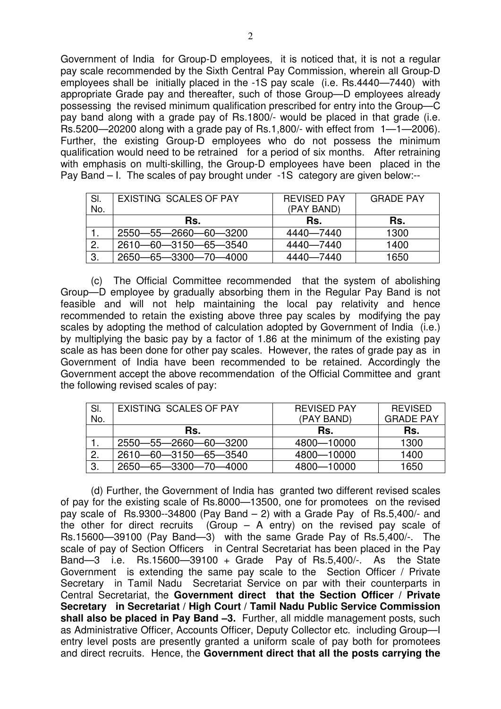Government of India for Group-D employees, it is noticed that, it is not a regular pay scale recommended by the Sixth Central Pay Commission, wherein all Group-D employees shall be initially placed in the -1S pay scale (i.e. Rs.4440—7440) with appropriate Grade pay and thereafter, such of those Group—D employees already possessing the revised minimum qualification prescribed for entry into the Group—C pay band along with a grade pay of Rs.1800/- would be placed in that grade (i.e. Rs.5200—20200 along with a grade pay of Rs.1,800/- with effect from 1—1—2006). Further, the existing Group-D employees who do not possess the minimum qualification would need to be retrained for a period of six months. After retraining with emphasis on multi-skilling, the Group-D employees have been placed in the Pay Band – I. The scales of pay brought under -1S category are given below:--

| SI. | EXISTING SCALES OF PAY | <b>REVISED PAY</b> | <b>GRADE PAY</b> |
|-----|------------------------|--------------------|------------------|
| No. |                        | (PAY BAND)         |                  |
|     | Rs.                    | Rs.                | Rs.              |
|     | 2550-55-2660-60-3200   | 4440-7440          | 1300             |
| 2.  | 2610-60-3150-65-3540   | 4440-7440          | 1400             |
| 3.  | 2650-65-3300-70-4000   | 4440-7440          | 1650             |

(c) The Official Committee recommended that the system of abolishing Group—D employee by gradually absorbing them in the Regular Pay Band is not feasible and will not help maintaining the local pay relativity and hence recommended to retain the existing above three pay scales by modifying the pay scales by adopting the method of calculation adopted by Government of India (i.e.) by multiplying the basic pay by a factor of 1.86 at the minimum of the existing pay scale as has been done for other pay scales. However, the rates of grade pay as in Government of India have been recommended to be retained. Accordingly the Government accept the above recommendation of the Official Committee and grant the following revised scales of pay:

| SI. | EXISTING SCALES OF PAY | <b>REVISED PAY</b> | <b>REVISED</b>   |
|-----|------------------------|--------------------|------------------|
| No. |                        | (PAY BAND)         | <b>GRADE PAY</b> |
|     | Rs.                    | Rs.                | Rs.              |
|     | 2550-55-2660-60-3200   | 4800-10000         | 1300             |
|     | 2610-60-3150-65-3540   | 4800-10000         | 1400             |
| 3.  | 2650-65-3300-70-4000   | 4800-10000         | 1650             |

(d) Further, the Government of India has granted two different revised scales of pay for the existing scale of Rs.8000—13500, one for promotees on the revised pay scale of Rs.9300--34800 (Pay Band – 2) with a Grade Pay of Rs.5,400/- and the other for direct recruits (Group – A entry) on the revised pay scale of Rs.15600—39100 (Pay Band—3) with the same Grade Pay of Rs.5,400/-. The scale of pay of Section Officers in Central Secretariat has been placed in the Pay Band—3 i.e. Rs.15600—39100 + Grade Pay of Rs.5,400/-. As the State Government is extending the same pay scale to the Section Officer / Private Secretary in Tamil Nadu Secretariat Service on par with their counterparts in Central Secretariat, the **Government direct that the Section Officer / Private Secretary in Secretariat / High Court / Tamil Nadu Public Service Commission shall also be placed in Pay Band –3.** Further, all middle management posts, such as Administrative Officer, Accounts Officer, Deputy Collector etc. including Group—I entry level posts are presently granted a uniform scale of pay both for promotees and direct recruits. Hence, the **Government direct that all the posts carrying the**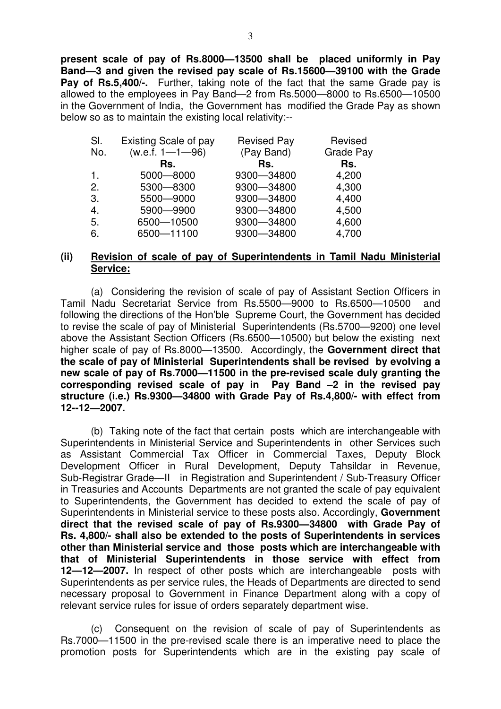**present scale of pay of Rs.8000—13500 shall be placed uniformly in Pay Band—3 and given the revised pay scale of Rs.15600—39100 with the Grade Pay of Rs.5.400/-.** Further, taking note of the fact that the same Grade pay is allowed to the employees in Pay Band—2 from Rs.5000—8000 to Rs.6500—10500 in the Government of India, the Government has modified the Grade Pay as shown below so as to maintain the existing local relativity:--

| SI.            | Existing Scale of pay | <b>Revised Pay</b> | Revised          |
|----------------|-----------------------|--------------------|------------------|
| No.            | $(w.e.f. 1 - 1 - 96)$ | (Pay Band)         | <b>Grade Pay</b> |
|                | Rs.                   | Rs.                | Rs.              |
| $\mathbf{1}$ . | 5000-8000             | 9300-34800         | 4,200            |
| 2.             | 5300-8300             | 9300-34800         | 4,300            |
| 3.             | 5500 - 9000           | 9300-34800         | 4,400            |
| 4.             | 5900 - 9900           | 9300-34800         | 4,500            |
| 5.             | 6500-10500            | 9300-34800         | 4,600            |
| 6.             | 6500-11100            | 9300-34800         | 4,700            |

### **(ii) Revision of scale of pay of Superintendents in Tamil Nadu Ministerial Service:**

 (a) Considering the revision of scale of pay of Assistant Section Officers in Tamil Nadu Secretariat Service from Rs.5500—9000 to Rs.6500—10500 and following the directions of the Hon'ble Supreme Court, the Government has decided to revise the scale of pay of Ministerial Superintendents (Rs.5700—9200) one level above the Assistant Section Officers (Rs.6500—10500) but below the existing next higher scale of pay of Rs.8000—13500. Accordingly, the **Government direct that the scale of pay of Ministerial Superintendents shall be revised by evolving a new scale of pay of Rs.7000—11500 in the pre-revised scale duly granting the corresponding revised scale of pay in Pay Band –2 in the revised pay structure (i.e.) Rs.9300—34800 with Grade Pay of Rs.4,800/- with effect from 12--12—2007.** 

 (b) Taking note of the fact that certain posts which are interchangeable with Superintendents in Ministerial Service and Superintendents in other Services such as Assistant Commercial Tax Officer in Commercial Taxes, Deputy Block Development Officer in Rural Development, Deputy Tahsildar in Revenue, Sub-Registrar Grade—II in Registration and Superintendent / Sub-Treasury Officer in Treasuries and Accounts Departments are not granted the scale of pay equivalent to Superintendents, the Government has decided to extend the scale of pay of Superintendents in Ministerial service to these posts also. Accordingly, **Government direct that the revised scale of pay of Rs.9300—34800 with Grade Pay of Rs. 4,800/- shall also be extended to the posts of Superintendents in services other than Ministerial service and those posts which are interchangeable with that of Ministerial Superintendents in those service with effect from 12—12—2007.** In respect of other posts which are interchangeable posts with Superintendents as per service rules, the Heads of Departments are directed to send necessary proposal to Government in Finance Department along with a copy of relevant service rules for issue of orders separately department wise.

(c) Consequent on the revision of scale of pay of Superintendents as Rs.7000—11500 in the pre-revised scale there is an imperative need to place the promotion posts for Superintendents which are in the existing pay scale of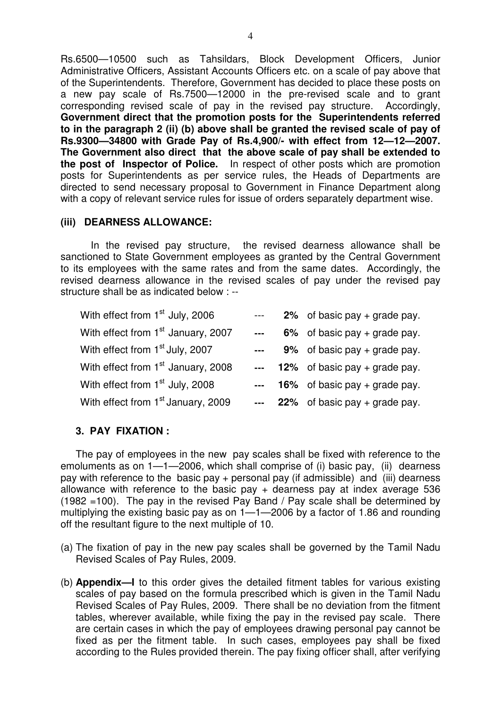Rs.6500—10500 such as Tahsildars, Block Development Officers, Junior Administrative Officers, Assistant Accounts Officers etc. on a scale of pay above that of the Superintendents. Therefore, Government has decided to place these posts on a new pay scale of Rs.7500—12000 in the pre-revised scale and to grant corresponding revised scale of pay in the revised pay structure. Accordingly, **Government direct that the promotion posts for the Superintendents referred to in the paragraph 2 (ii) (b) above shall be granted the revised scale of pay of Rs.9300—34800 with Grade Pay of Rs.4,900/- with effect from 12—12—2007. The Government also direct that the above scale of pay shall be extended to the post of Inspector of Police.** In respect of other posts which are promotion posts for Superintendents as per service rules, the Heads of Departments are directed to send necessary proposal to Government in Finance Department along with a copy of relevant service rules for issue of orders separately department wise.

### **(iii) DEARNESS ALLOWANCE:**

 In the revised pay structure, the revised dearness allowance shall be sanctioned to State Government employees as granted by the Central Government to its employees with the same rates and from the same dates. Accordingly, the revised dearness allowance in the revised scales of pay under the revised pay structure shall be as indicated below : --

| With effect from 1 <sup>st</sup> July, 2006    | $\frac{1}{2} \frac{1}{2} \frac{1}{2} \frac{1}{2} \frac{1}{2} \frac{1}{2} \frac{1}{2} \frac{1}{2} \frac{1}{2} \frac{1}{2} \frac{1}{2} \frac{1}{2} \frac{1}{2} \frac{1}{2} \frac{1}{2} \frac{1}{2} \frac{1}{2} \frac{1}{2} \frac{1}{2} \frac{1}{2} \frac{1}{2} \frac{1}{2} \frac{1}{2} \frac{1}{2} \frac{1}{2} \frac{1}{2} \frac{1}{2} \frac{1}{2} \frac{1}{2} \frac{1}{2} \frac{1}{2} \frac{$                                                                               | 2% of basic pay $+$ grade pay.    |
|------------------------------------------------|----------------------------------------------------------------------------------------------------------------------------------------------------------------------------------------------------------------------------------------------------------------------------------------------------------------------------------------------------------------------------------------------------------------------------------------------------------------------------|-----------------------------------|
| With effect from 1 <sup>st</sup> January, 2007 | $\frac{1}{2} \left( \frac{1}{2} \right) \left( \frac{1}{2} \right) \left( \frac{1}{2} \right) \left( \frac{1}{2} \right) \left( \frac{1}{2} \right) \left( \frac{1}{2} \right) \left( \frac{1}{2} \right) \left( \frac{1}{2} \right) \left( \frac{1}{2} \right) \left( \frac{1}{2} \right) \left( \frac{1}{2} \right) \left( \frac{1}{2} \right) \left( \frac{1}{2} \right) \left( \frac{1}{2} \right) \left( \frac{1}{2} \right) \left( \frac{1}{2} \right) \left( \frac$ | 6% of basic pay + grade pay.      |
| With effect from 1 <sup>st</sup> July, 2007    | $\frac{1}{2}$ and $\frac{1}{2}$                                                                                                                                                                                                                                                                                                                                                                                                                                            | $9\%$ of basic pay + grade pay.   |
| With effect from 1 <sup>st</sup> January, 2008 |                                                                                                                                                                                                                                                                                                                                                                                                                                                                            | $-$ 12% of basic pay + grade pay. |
| With effect from 1 <sup>st</sup> July, 2008    |                                                                                                                                                                                                                                                                                                                                                                                                                                                                            | $-$ 16% of basic pay + grade pay. |
| With effect from 1 <sup>st</sup> January, 2009 |                                                                                                                                                                                                                                                                                                                                                                                                                                                                            | $-22\%$ of basic pay + grade pay. |

### **3. PAY FIXATION :**

The pay of employees in the new pay scales shall be fixed with reference to the emoluments as on 1—1—2006, which shall comprise of (i) basic pay, (ii) dearness pay with reference to the basic pay + personal pay (if admissible) and (iii) dearness allowance with reference to the basic pay  $+$  dearness pay at index average 536 (1982 =100). The pay in the revised Pay Band / Pay scale shall be determined by multiplying the existing basic pay as on 1—1—2006 by a factor of 1.86 and rounding off the resultant figure to the next multiple of 10.

- (a) The fixation of pay in the new pay scales shall be governed by the Tamil Nadu Revised Scales of Pay Rules, 2009.
- (b) **Appendix—I** to this order gives the detailed fitment tables for various existing scales of pay based on the formula prescribed which is given in the Tamil Nadu Revised Scales of Pay Rules, 2009. There shall be no deviation from the fitment tables, wherever available, while fixing the pay in the revised pay scale. There are certain cases in which the pay of employees drawing personal pay cannot be fixed as per the fitment table. In such cases, employees pay shall be fixed according to the Rules provided therein. The pay fixing officer shall, after verifying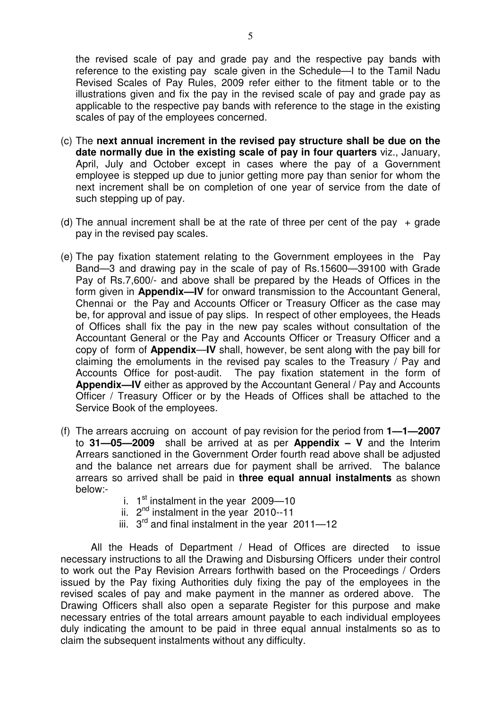the revised scale of pay and grade pay and the respective pay bands with reference to the existing pay scale given in the Schedule—I to the Tamil Nadu Revised Scales of Pay Rules, 2009 refer either to the fitment table or to the illustrations given and fix the pay in the revised scale of pay and grade pay as applicable to the respective pay bands with reference to the stage in the existing scales of pay of the employees concerned.

- (c) The **next annual increment in the revised pay structure shall be due on the date normally due in the existing scale of pay in four quarters** viz., January, April, July and October except in cases where the pay of a Government employee is stepped up due to junior getting more pay than senior for whom the next increment shall be on completion of one year of service from the date of such stepping up of pay.
- (d) The annual increment shall be at the rate of three per cent of the pay  $+$  grade pay in the revised pay scales.
- (e) The pay fixation statement relating to the Government employees in the Pay Band—3 and drawing pay in the scale of pay of Rs.15600—39100 with Grade Pay of Rs.7,600/- and above shall be prepared by the Heads of Offices in the form given in **Appendix—IV** for onward transmission to the Accountant General, Chennai or the Pay and Accounts Officer or Treasury Officer as the case may be, for approval and issue of pay slips. In respect of other employees, the Heads of Offices shall fix the pay in the new pay scales without consultation of the Accountant General or the Pay and Accounts Officer or Treasury Officer and a copy of form of **Appendix**—**IV** shall, however, be sent along with the pay bill for claiming the emoluments in the revised pay scales to the Treasury / Pay and Accounts Office for post-audit. The pay fixation statement in the form of **Appendix—IV** either as approved by the Accountant General / Pay and Accounts Officer / Treasury Officer or by the Heads of Offices shall be attached to the Service Book of the employees.
- (f) The arrears accruing on account of pay revision for the period from **1—1—2007** to **31—05—2009** shall be arrived at as per **Appendix – V** and the Interim Arrears sanctioned in the Government Order fourth read above shall be adjusted and the balance net arrears due for payment shall be arrived. The balance arrears so arrived shall be paid in **three equal annual instalments** as shown below:
	- i.  $1<sup>st</sup>$  instalment in the year 2009-10
	- ii.  $2^{nd}$  instalment in the year 2010--11
	- iii.  $3<sup>rd</sup>$  and final instalment in the year 2011-12

All the Heads of Department / Head of Offices are directed to issue necessary instructions to all the Drawing and Disbursing Officers under their control to work out the Pay Revision Arrears forthwith based on the Proceedings / Orders issued by the Pay fixing Authorities duly fixing the pay of the employees in the revised scales of pay and make payment in the manner as ordered above. The Drawing Officers shall also open a separate Register for this purpose and make necessary entries of the total arrears amount payable to each individual employees duly indicating the amount to be paid in three equal annual instalments so as to claim the subsequent instalments without any difficulty.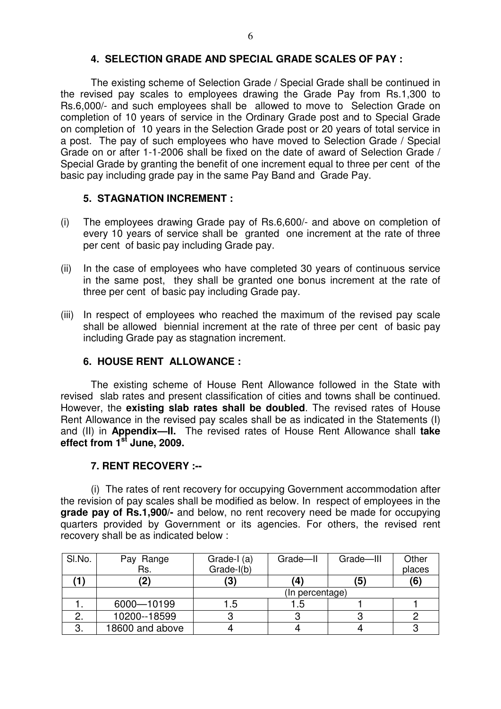### **4. SELECTION GRADE AND SPECIAL GRADE SCALES OF PAY :**

The existing scheme of Selection Grade / Special Grade shall be continued in the revised pay scales to employees drawing the Grade Pay from Rs.1,300 to Rs.6,000/- and such employees shall be allowed to move to Selection Grade on completion of 10 years of service in the Ordinary Grade post and to Special Grade on completion of 10 years in the Selection Grade post or 20 years of total service in a post. The pay of such employees who have moved to Selection Grade / Special Grade on or after 1-1-2006 shall be fixed on the date of award of Selection Grade / Special Grade by granting the benefit of one increment equal to three per cent of the basic pay including grade pay in the same Pay Band and Grade Pay.

### **5. STAGNATION INCREMENT :**

- (i) The employees drawing Grade pay of Rs.6,600/- and above on completion of every 10 years of service shall be granted one increment at the rate of three per cent of basic pay including Grade pay.
- (ii) In the case of employees who have completed 30 years of continuous service in the same post, they shall be granted one bonus increment at the rate of three per cent of basic pay including Grade pay.
- (iii) In respect of employees who reached the maximum of the revised pay scale shall be allowed biennial increment at the rate of three per cent of basic pay including Grade pay as stagnation increment.

### **6. HOUSE RENT ALLOWANCE :**

The existing scheme of House Rent Allowance followed in the State with revised slab rates and present classification of cities and towns shall be continued. However, the **existing slab rates shall be doubled**. The revised rates of House Rent Allowance in the revised pay scales shall be as indicated in the Statements (I) and (II) in **Appendix—II.** The revised rates of House Rent Allowance shall **take effect from 1st June, 2009.**

### **7. RENT RECOVERY :--**

(i) The rates of rent recovery for occupying Government accommodation after the revision of pay scales shall be modified as below. In respect of employees in the **grade pay of Rs.1,900/-** and below, no rent recovery need be made for occupying quarters provided by Government or its agencies. For others, the revised rent recovery shall be as indicated below :

| SI.No. | Pay Range       | Grade-I (a)     | Grade-II | Grade-III | Other  |  |  |
|--------|-----------------|-----------------|----------|-----------|--------|--|--|
|        | Rs.             | Grade-I(b)      |          |           | places |  |  |
|        | $\mathbf{2}$    | '3)             | (4       | (5)       | (6)    |  |  |
|        |                 | (In percentage) |          |           |        |  |  |
|        | 6000-10199      | .5              | 1.5      |           |        |  |  |
|        | 10200--18599    |                 |          |           |        |  |  |
| 3.     | 18600 and above |                 |          |           |        |  |  |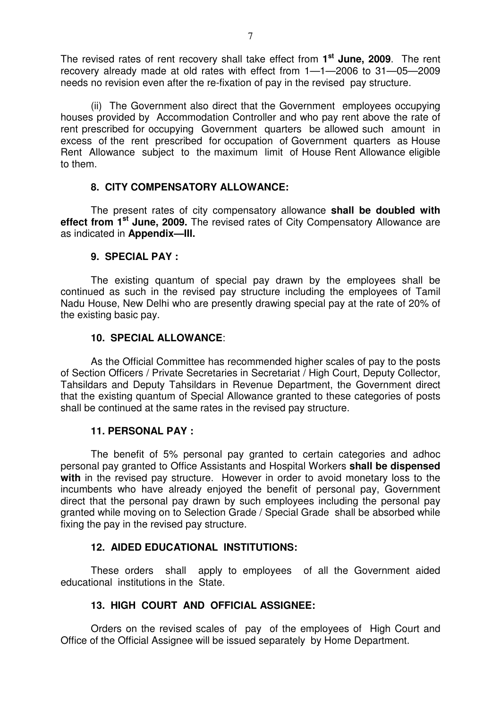The revised rates of rent recovery shall take effect from **1 st June, 2009**. The rent recovery already made at old rates with effect from 1—1—2006 to 31—05—2009 needs no revision even after the re-fixation of pay in the revised pay structure.

(ii) The Government also direct that the Government employees occupying houses provided by Accommodation Controller and who pay rent above the rate of rent prescribed for occupying Government quarters be allowed such amount in excess of the rent prescribed for occupation of Government quarters as House Rent Allowance subject to the maximum limit of House Rent Allowance eligible to them.

### **8. CITY COMPENSATORY ALLOWANCE:**

The present rates of city compensatory allowance **shall be doubled with effect from 1st June, 2009.** The revised rates of City Compensatory Allowance are as indicated in **Appendix—III.**

### **9. SPECIAL PAY :**

The existing quantum of special pay drawn by the employees shall be continued as such in the revised pay structure including the employees of Tamil Nadu House, New Delhi who are presently drawing special pay at the rate of 20% of the existing basic pay.

### **10. SPECIAL ALLOWANCE**:

As the Official Committee has recommended higher scales of pay to the posts of Section Officers / Private Secretaries in Secretariat / High Court, Deputy Collector, Tahsildars and Deputy Tahsildars in Revenue Department, the Government direct that the existing quantum of Special Allowance granted to these categories of posts shall be continued at the same rates in the revised pay structure.

### **11. PERSONAL PAY :**

The benefit of 5% personal pay granted to certain categories and adhoc personal pay granted to Office Assistants and Hospital Workers **shall be dispensed with** in the revised pay structure. However in order to avoid monetary loss to the incumbents who have already enjoyed the benefit of personal pay, Government direct that the personal pay drawn by such employees including the personal pay granted while moving on to Selection Grade / Special Grade shall be absorbed while fixing the pay in the revised pay structure.

### **12. AIDED EDUCATIONAL INSTITUTIONS:**

These orders shall apply to employees of all the Government aided educational institutions in the State.

### **13. HIGH COURT AND OFFICIAL ASSIGNEE:**

Orders on the revised scales of pay of the employees of High Court and Office of the Official Assignee will be issued separately by Home Department.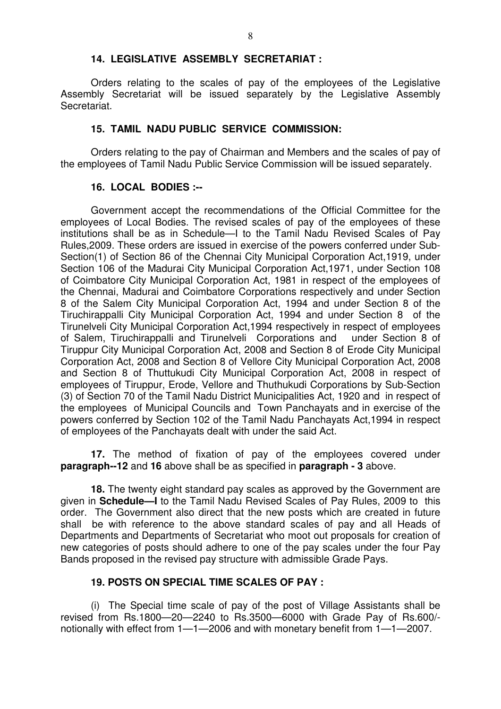### **14. LEGISLATIVE ASSEMBLY SECRETARIAT :**

Orders relating to the scales of pay of the employees of the Legislative Assembly Secretariat will be issued separately by the Legislative Assembly Secretariat.

### **15. TAMIL NADU PUBLIC SERVICE COMMISSION:**

 Orders relating to the pay of Chairman and Members and the scales of pay of the employees of Tamil Nadu Public Service Commission will be issued separately.

### **16. LOCAL BODIES :--**

Government accept the recommendations of the Official Committee for the employees of Local Bodies. The revised scales of pay of the employees of these institutions shall be as in Schedule—I to the Tamil Nadu Revised Scales of Pay Rules,2009. These orders are issued in exercise of the powers conferred under Sub-Section(1) of Section 86 of the Chennai City Municipal Corporation Act,1919, under Section 106 of the Madurai City Municipal Corporation Act,1971, under Section 108 of Coimbatore City Municipal Corporation Act, 1981 in respect of the employees of the Chennai, Madurai and Coimbatore Corporations respectively and under Section 8 of the Salem City Municipal Corporation Act, 1994 and under Section 8 of the Tiruchirappalli City Municipal Corporation Act, 1994 and under Section 8 of the Tirunelveli City Municipal Corporation Act,1994 respectively in respect of employees of Salem, Tiruchirappalli and Tirunelveli Corporations and under Section 8 of Tiruppur City Municipal Corporation Act, 2008 and Section 8 of Erode City Municipal Corporation Act, 2008 and Section 8 of Vellore City Municipal Corporation Act, 2008 and Section 8 of Thuttukudi City Municipal Corporation Act, 2008 in respect of employees of Tiruppur, Erode, Vellore and Thuthukudi Corporations by Sub-Section (3) of Section 70 of the Tamil Nadu District Municipalities Act, 1920 and in respect of the employees of Municipal Councils and Town Panchayats and in exercise of the powers conferred by Section 102 of the Tamil Nadu Panchayats Act,1994 in respect of employees of the Panchayats dealt with under the said Act.

**17.** The method of fixation of pay of the employees covered under **paragraph--12** and **16** above shall be as specified in **paragraph - 3** above.

**18.** The twenty eight standard pay scales as approved by the Government are given in **Schedule—I** to the Tamil Nadu Revised Scales of Pay Rules, 2009 to this order. The Government also direct that the new posts which are created in future shall be with reference to the above standard scales of pay and all Heads of Departments and Departments of Secretariat who moot out proposals for creation of new categories of posts should adhere to one of the pay scales under the four Pay Bands proposed in the revised pay structure with admissible Grade Pays.

### **19. POSTS ON SPECIAL TIME SCALES OF PAY :**

(i) The Special time scale of pay of the post of Village Assistants shall be revised from Rs.1800—20—2240 to Rs.3500—6000 with Grade Pay of Rs.600/ notionally with effect from 1—1—2006 and with monetary benefit from 1—1—2007.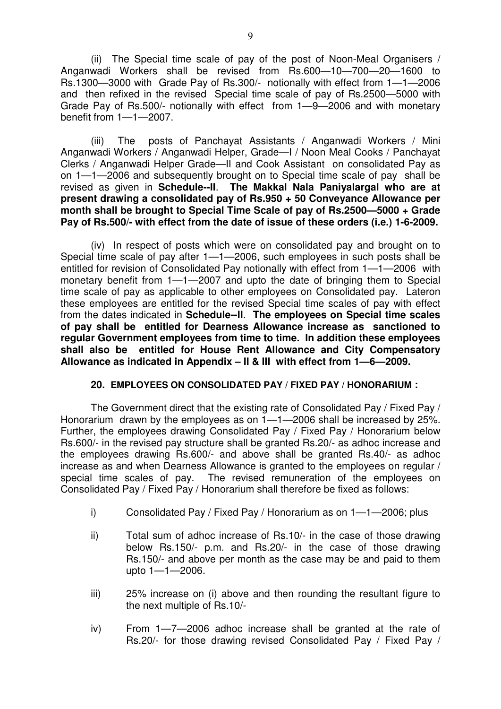(ii) The Special time scale of pay of the post of Noon-Meal Organisers / Anganwadi Workers shall be revised from Rs.600—10—700—20—1600 to Rs.1300—3000 with Grade Pay of Rs.300/- notionally with effect from 1—1—2006 and then refixed in the revised Special time scale of pay of Rs.2500—5000 with Grade Pay of Rs.500/- notionally with effect from 1—9—2006 and with monetary benefit from 1—1—2007.

(iii) The posts of Panchayat Assistants / Anganwadi Workers / Mini Anganwadi Workers / Anganwadi Helper, Grade—I / Noon Meal Cooks / Panchayat Clerks / Anganwadi Helper Grade—II and Cook Assistant on consolidated Pay as on 1—1—2006 and subsequently brought on to Special time scale of pay shall be revised as given in **Schedule--II**. **The Makkal Nala Paniyalargal who are at present drawing a consolidated pay of Rs.950 + 50 Conveyance Allowance per month shall be brought to Special Time Scale of pay of Rs.2500—5000 + Grade Pay of Rs.500/- with effect from the date of issue of these orders (i.e.) 1-6-2009.** 

 (iv) In respect of posts which were on consolidated pay and brought on to Special time scale of pay after 1—1—2006, such employees in such posts shall be entitled for revision of Consolidated Pay notionally with effect from 1—1—2006 with monetary benefit from 1—1—2007 and upto the date of bringing them to Special time scale of pay as applicable to other employees on Consolidated pay. Lateron these employees are entitled for the revised Special time scales of pay with effect from the dates indicated in **Schedule--II**. **The employees on Special time scales of pay shall be entitled for Dearness Allowance increase as sanctioned to regular Government employees from time to time. In addition these employees shall also be entitled for House Rent Allowance and City Compensatory Allowance as indicated in Appendix – II & III with effect from 1—6—2009.**

### **20. EMPLOYEES ON CONSOLIDATED PAY / FIXED PAY / HONORARIUM :**

 The Government direct that the existing rate of Consolidated Pay / Fixed Pay / Honorarium drawn by the employees as on 1—1—2006 shall be increased by 25%. Further, the employees drawing Consolidated Pay / Fixed Pay / Honorarium below Rs.600/- in the revised pay structure shall be granted Rs.20/- as adhoc increase and the employees drawing Rs.600/- and above shall be granted Rs.40/- as adhoc increase as and when Dearness Allowance is granted to the employees on regular / special time scales of pay. The revised remuneration of the employees on Consolidated Pay / Fixed Pay / Honorarium shall therefore be fixed as follows:

- i) Consolidated Pay / Fixed Pay / Honorarium as on 1—1—2006; plus
- ii) Total sum of adhoc increase of Rs.10/- in the case of those drawing below Rs.150/- p.m. and Rs.20/- in the case of those drawing Rs.150/- and above per month as the case may be and paid to them upto 1—1—2006.
- iii) 25% increase on (i) above and then rounding the resultant figure to the next multiple of Rs.10/-
- iv) From 1—7—2006 adhoc increase shall be granted at the rate of Rs.20/- for those drawing revised Consolidated Pay / Fixed Pay /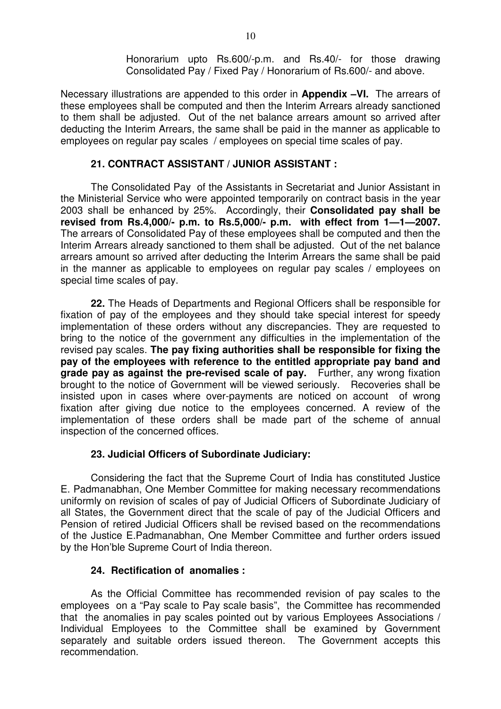Honorarium upto Rs.600/-p.m. and Rs.40/- for those drawing Consolidated Pay / Fixed Pay / Honorarium of Rs.600/- and above.

Necessary illustrations are appended to this order in **Appendix –VI.** The arrears of these employees shall be computed and then the Interim Arrears already sanctioned to them shall be adjusted. Out of the net balance arrears amount so arrived after deducting the Interim Arrears, the same shall be paid in the manner as applicable to employees on regular pay scales / employees on special time scales of pay.

### **21. CONTRACT ASSISTANT / JUNIOR ASSISTANT :**

The Consolidated Pay of the Assistants in Secretariat and Junior Assistant in the Ministerial Service who were appointed temporarily on contract basis in the year 2003 shall be enhanced by 25%. Accordingly, their **Consolidated pay shall be revised from Rs.4,000/- p.m. to Rs.5,000/- p.m. with effect from 1—1—2007.** The arrears of Consolidated Pay of these employees shall be computed and then the Interim Arrears already sanctioned to them shall be adjusted. Out of the net balance arrears amount so arrived after deducting the Interim Arrears the same shall be paid in the manner as applicable to employees on regular pay scales / employees on special time scales of pay.

**22.** The Heads of Departments and Regional Officers shall be responsible for fixation of pay of the employees and they should take special interest for speedy implementation of these orders without any discrepancies. They are requested to bring to the notice of the government any difficulties in the implementation of the revised pay scales. **The pay fixing authorities shall be responsible for fixing the pay of the employees with reference to the entitled appropriate pay band and grade pay as against the pre-revised scale of pay.** Further, any wrong fixation brought to the notice of Government will be viewed seriously. Recoveries shall be insisted upon in cases where over-payments are noticed on account of wrong fixation after giving due notice to the employees concerned. A review of the implementation of these orders shall be made part of the scheme of annual inspection of the concerned offices.

### **23. Judicial Officers of Subordinate Judiciary:**

 Considering the fact that the Supreme Court of India has constituted Justice E. Padmanabhan, One Member Committee for making necessary recommendations uniformly on revision of scales of pay of Judicial Officers of Subordinate Judiciary of all States, the Government direct that the scale of pay of the Judicial Officers and Pension of retired Judicial Officers shall be revised based on the recommendations of the Justice E.Padmanabhan, One Member Committee and further orders issued by the Hon'ble Supreme Court of India thereon.

### **24. Rectification of anomalies :**

 As the Official Committee has recommended revision of pay scales to the employees on a "Pay scale to Pay scale basis", the Committee has recommended that the anomalies in pay scales pointed out by various Employees Associations / Individual Employees to the Committee shall be examined by Government separately and suitable orders issued thereon. The Government accepts this recommendation.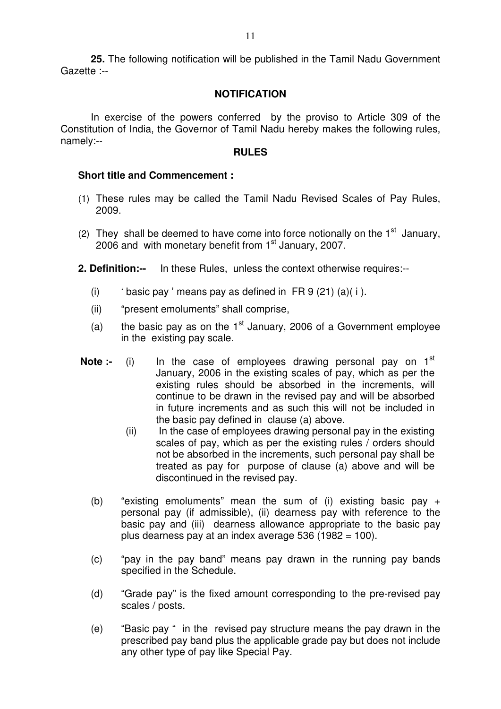**25.** The following notification will be published in the Tamil Nadu Government Gazette :--

### **NOTIFICATION**

 In exercise of the powers conferred by the proviso to Article 309 of the Constitution of India, the Governor of Tamil Nadu hereby makes the following rules, namely:--

### **RULES**

### **Short title and Commencement :**

- (1) These rules may be called the Tamil Nadu Revised Scales of Pay Rules, 2009.
- (2) They shall be deemed to have come into force notionally on the  $1<sup>st</sup>$  January, 2006 and with monetary benefit from  $1<sup>st</sup>$  January, 2007.
- **2. Definition:--** In these Rules, unless the context otherwise requires:--
	- (i) 'basic pay ' means pay as defined in  $FR 9 (21) (a)(i)$ .
	- (ii) "present emoluments" shall comprise,
	- (a) the basic pay as on the  $1<sup>st</sup>$  January, 2006 of a Government employee in the existing pay scale.
- **Note :-** (i) In the case of employees drawing personal pay on 1<sup>st</sup> January, 2006 in the existing scales of pay, which as per the existing rules should be absorbed in the increments, will continue to be drawn in the revised pay and will be absorbed in future increments and as such this will not be included in the basic pay defined in clause (a) above.
	- $(ii)$  In the case of employees drawing personal pay in the existing scales of pay, which as per the existing rules / orders should not be absorbed in the increments, such personal pay shall be treated as pay for purpose of clause (a) above and will be discontinued in the revised pay.
	- (b) "existing emoluments" mean the sum of (i) existing basic pay + personal pay (if admissible), (ii) dearness pay with reference to the basic pay and (iii) dearness allowance appropriate to the basic pay plus dearness pay at an index average 536 (1982 = 100).
	- (c) "pay in the pay band" means pay drawn in the running pay bands specified in the Schedule.
	- (d) "Grade pay" is the fixed amount corresponding to the pre-revised pay scales / posts.
	- (e) "Basic pay " in the revised pay structure means the pay drawn in the prescribed pay band plus the applicable grade pay but does not include any other type of pay like Special Pay.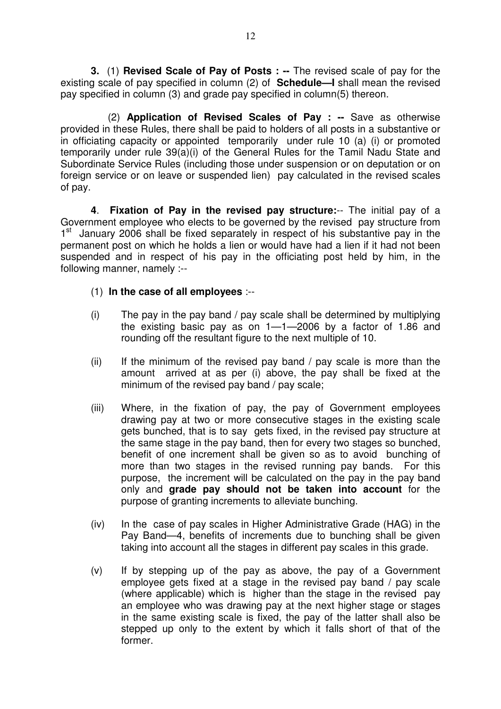**3.** (1) **Revised Scale of Pay of Posts : --** The revised scale of pay for the existing scale of pay specified in column (2) of **Schedule—I** shall mean the revised pay specified in column (3) and grade pay specified in column(5) thereon.

(2) **Application of Revised Scales of Pay : --** Save as otherwise provided in these Rules, there shall be paid to holders of all posts in a substantive or in officiating capacity or appointed temporarily under rule 10 (a) (i) or promoted temporarily under rule 39(a)(i) of the General Rules for the Tamil Nadu State and Subordinate Service Rules (including those under suspension or on deputation or on foreign service or on leave or suspended lien) pay calculated in the revised scales of pay.

**4**. **Fixation of Pay in the revised pay structure:**-- The initial pay of a Government employee who elects to be governed by the revised pay structure from 1<sup>st</sup> January 2006 shall be fixed separately in respect of his substantive pay in the permanent post on which he holds a lien or would have had a lien if it had not been suspended and in respect of his pay in the officiating post held by him, in the following manner, namely :--

- (1) **In the case of all employees** :--
- (i) The pay in the pay band / pay scale shall be determined by multiplying the existing basic pay as on 1—1—2006 by a factor of 1.86 and rounding off the resultant figure to the next multiple of 10.
- (ii) If the minimum of the revised pay band / pay scale is more than the amount arrived at as per (i) above, the pay shall be fixed at the minimum of the revised pay band / pay scale;
- (iii) Where, in the fixation of pay, the pay of Government employees drawing pay at two or more consecutive stages in the existing scale gets bunched, that is to say gets fixed, in the revised pay structure at the same stage in the pay band, then for every two stages so bunched, benefit of one increment shall be given so as to avoid bunching of more than two stages in the revised running pay bands. For this purpose, the increment will be calculated on the pay in the pay band only and **grade pay should not be taken into account** for the purpose of granting increments to alleviate bunching.
- (iv) In the case of pay scales in Higher Administrative Grade (HAG) in the Pay Band—4, benefits of increments due to bunching shall be given taking into account all the stages in different pay scales in this grade.
- (v) If by stepping up of the pay as above, the pay of a Government employee gets fixed at a stage in the revised pay band / pay scale (where applicable) which is higher than the stage in the revised pay an employee who was drawing pay at the next higher stage or stages in the same existing scale is fixed, the pay of the latter shall also be stepped up only to the extent by which it falls short of that of the former.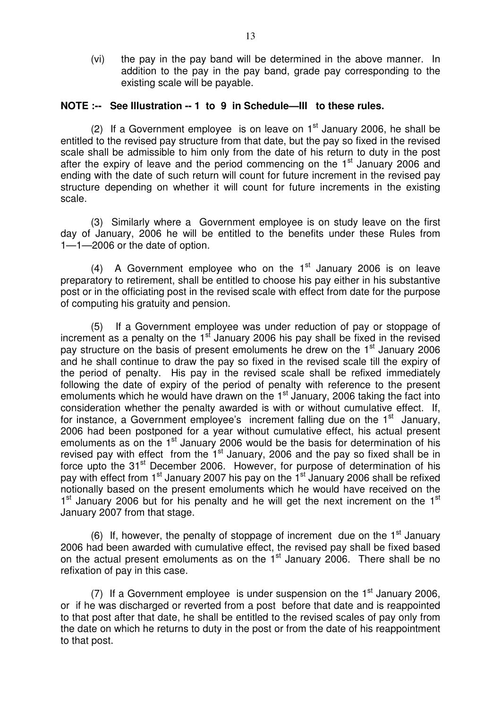(vi) the pay in the pay band will be determined in the above manner. In addition to the pay in the pay band, grade pay corresponding to the existing scale will be payable.

### **NOTE :-- See Illustration -- 1 to 9 in Schedule—III to these rules.**

(2) If a Government employee is on leave on  $1<sup>st</sup>$  January 2006, he shall be entitled to the revised pay structure from that date, but the pay so fixed in the revised scale shall be admissible to him only from the date of his return to duty in the post after the expiry of leave and the period commencing on the 1<sup>st</sup> January 2006 and ending with the date of such return will count for future increment in the revised pay structure depending on whether it will count for future increments in the existing scale.

 (3) Similarly where a Government employee is on study leave on the first day of January, 2006 he will be entitled to the benefits under these Rules from 1—1—2006 or the date of option.

(4) A Government employee who on the  $1<sup>st</sup>$  January 2006 is on leave preparatory to retirement, shall be entitled to choose his pay either in his substantive post or in the officiating post in the revised scale with effect from date for the purpose of computing his gratuity and pension.

 (5) If a Government employee was under reduction of pay or stoppage of increment as a penalty on the  $1<sup>st</sup>$  January 2006 his pay shall be fixed in the revised pay structure on the basis of present emoluments he drew on the 1<sup>st</sup> January 2006 and he shall continue to draw the pay so fixed in the revised scale till the expiry of the period of penalty. His pay in the revised scale shall be refixed immediately following the date of expiry of the period of penalty with reference to the present emoluments which he would have drawn on the  $1<sup>st</sup>$  January, 2006 taking the fact into consideration whether the penalty awarded is with or without cumulative effect. If, for instance, a Government employee's increment falling due on the  $1<sup>st</sup>$  January, 2006 had been postponed for a year without cumulative effect, his actual present emoluments as on the  $1<sup>st</sup>$  January 2006 would be the basis for determination of his revised pay with effect from the  $1<sup>st</sup>$  January, 2006 and the pay so fixed shall be in force upto the 31<sup>st</sup> December 2006. However, for purpose of determination of his pay with effect from 1<sup>st</sup> January 2007 his pay on the 1<sup>st</sup> January 2006 shall be refixed notionally based on the present emoluments which he would have received on the 1<sup>st</sup> January 2006 but for his penalty and he will get the next increment on the 1<sup>st</sup> January 2007 from that stage.

(6) If, however, the penalty of stoppage of increment due on the  $1<sup>st</sup>$  January 2006 had been awarded with cumulative effect, the revised pay shall be fixed based on the actual present emoluments as on the  $1<sup>st</sup>$  January 2006. There shall be no refixation of pay in this case.

(7) If a Government employee is under suspension on the  $1<sup>st</sup>$  January 2006, or if he was discharged or reverted from a post before that date and is reappointed to that post after that date, he shall be entitled to the revised scales of pay only from the date on which he returns to duty in the post or from the date of his reappointment to that post.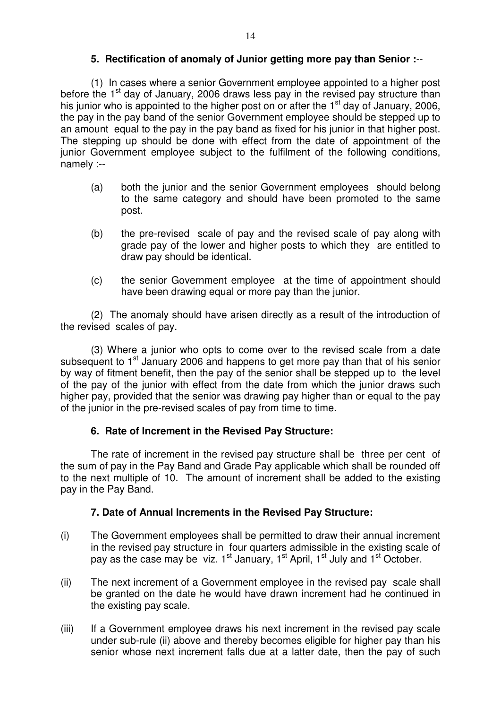### **5. Rectification of anomaly of Junior getting more pay than Senior :**--

(1) In cases where a senior Government employee appointed to a higher post before the  $1<sup>st</sup>$  day of January, 2006 draws less pay in the revised pay structure than his junior who is appointed to the higher post on or after the  $1<sup>st</sup>$  day of January, 2006, the pay in the pay band of the senior Government employee should be stepped up to an amount equal to the pay in the pay band as fixed for his junior in that higher post. The stepping up should be done with effect from the date of appointment of the junior Government employee subject to the fulfilment of the following conditions, namely :--

- (a) both the junior and the senior Government employees should belong to the same category and should have been promoted to the same post.
- (b) the pre-revised scale of pay and the revised scale of pay along with grade pay of the lower and higher posts to which they are entitled to draw pay should be identical.
- (c) the senior Government employee at the time of appointment should have been drawing equal or more pay than the junior.

(2) The anomaly should have arisen directly as a result of the introduction of the revised scales of pay.

(3) Where a junior who opts to come over to the revised scale from a date subsequent to 1<sup>st</sup> January 2006 and happens to get more pay than that of his senior by way of fitment benefit, then the pay of the senior shall be stepped up to the level of the pay of the junior with effect from the date from which the junior draws such higher pay, provided that the senior was drawing pay higher than or equal to the pay of the junior in the pre-revised scales of pay from time to time.

### **6. Rate of Increment in the Revised Pay Structure:**

The rate of increment in the revised pay structure shall be three per cent of the sum of pay in the Pay Band and Grade Pay applicable which shall be rounded off to the next multiple of 10. The amount of increment shall be added to the existing pay in the Pay Band.

## **7. Date of Annual Increments in the Revised Pay Structure:**

- (i) The Government employees shall be permitted to draw their annual increment in the revised pay structure in four quarters admissible in the existing scale of pay as the case may be viz.  $1^{st}$  January,  $1^{st}$  April,  $1^{st}$  July and  $1^{st}$  October.
- (ii) The next increment of a Government employee in the revised pay scale shall be granted on the date he would have drawn increment had he continued in the existing pay scale.
- (iii) If a Government employee draws his next increment in the revised pay scale under sub-rule (ii) above and thereby becomes eligible for higher pay than his senior whose next increment falls due at a latter date, then the pay of such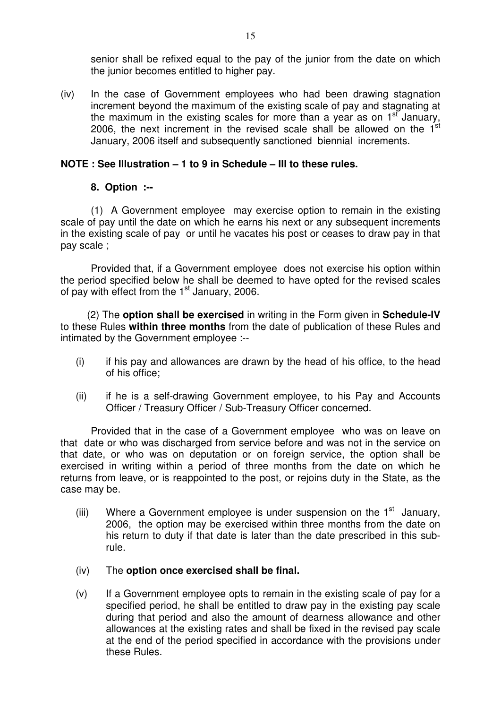senior shall be refixed equal to the pay of the junior from the date on which the junior becomes entitled to higher pay.

(iv) In the case of Government employees who had been drawing stagnation increment beyond the maximum of the existing scale of pay and stagnating at the maximum in the existing scales for more than a year as on 1<sup>st</sup> January, 2006, the next increment in the revised scale shall be allowed on the  $1<sup>st</sup>$ January, 2006 itself and subsequently sanctioned biennial increments.

### **NOTE : See Illustration – 1 to 9 in Schedule – III to these rules.**

### **8. Option :--**

(1) A Government employee may exercise option to remain in the existing scale of pay until the date on which he earns his next or any subsequent increments in the existing scale of pay or until he vacates his post or ceases to draw pay in that pay scale ;

Provided that, if a Government employee does not exercise his option within the period specified below he shall be deemed to have opted for the revised scales of pay with effect from the  $1<sup>st</sup>$  January, 2006.

 (2) The **option shall be exercised** in writing in the Form given in **Schedule-IV** to these Rules **within three months** from the date of publication of these Rules and intimated by the Government employee :--

- (i) if his pay and allowances are drawn by the head of his office, to the head of his office;
- (ii) if he is a self-drawing Government employee, to his Pay and Accounts Officer / Treasury Officer / Sub-Treasury Officer concerned.

Provided that in the case of a Government employee who was on leave on that date or who was discharged from service before and was not in the service on that date, or who was on deputation or on foreign service, the option shall be exercised in writing within a period of three months from the date on which he returns from leave, or is reappointed to the post, or rejoins duty in the State, as the case may be.

(iii) Where a Government employee is under suspension on the  $1<sup>st</sup>$  January, 2006, the option may be exercised within three months from the date on his return to duty if that date is later than the date prescribed in this subrule.

### (iv) The **option once exercised shall be final.**

(v) If a Government employee opts to remain in the existing scale of pay for a specified period, he shall be entitled to draw pay in the existing pay scale during that period and also the amount of dearness allowance and other allowances at the existing rates and shall be fixed in the revised pay scale at the end of the period specified in accordance with the provisions under these Rules.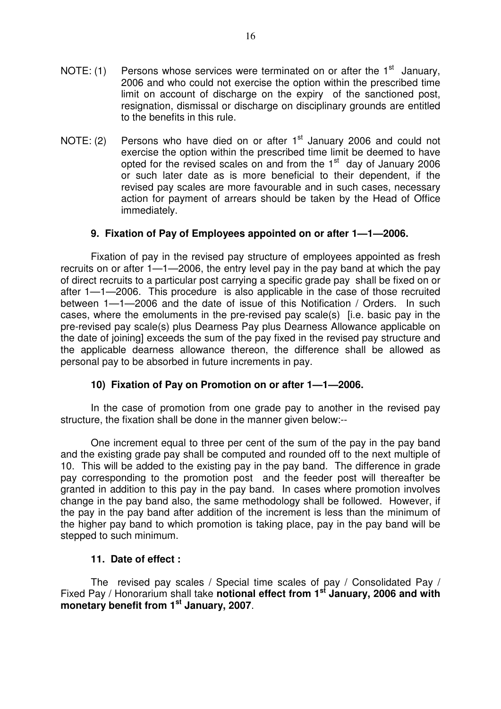- NOTE: (1) Persons whose services were terminated on or after the  $1<sup>st</sup>$  January, 2006 and who could not exercise the option within the prescribed time limit on account of discharge on the expiry of the sanctioned post, resignation, dismissal or discharge on disciplinary grounds are entitled to the benefits in this rule.
- NOTE: (2) Persons who have died on or after  $1<sup>st</sup>$  January 2006 and could not exercise the option within the prescribed time limit be deemed to have opted for the revised scales on and from the  $1<sup>st</sup>$  day of January 2006 or such later date as is more beneficial to their dependent, if the revised pay scales are more favourable and in such cases, necessary action for payment of arrears should be taken by the Head of Office immediately.

### **9. Fixation of Pay of Employees appointed on or after 1—1—2006.**

Fixation of pay in the revised pay structure of employees appointed as fresh recruits on or after 1—1—2006, the entry level pay in the pay band at which the pay of direct recruits to a particular post carrying a specific grade pay shall be fixed on or after 1—1—2006. This procedure is also applicable in the case of those recruited between 1—1—2006 and the date of issue of this Notification / Orders. In such cases, where the emoluments in the pre-revised pay scale(s) [i.e. basic pay in the pre-revised pay scale(s) plus Dearness Pay plus Dearness Allowance applicable on the date of joining] exceeds the sum of the pay fixed in the revised pay structure and the applicable dearness allowance thereon, the difference shall be allowed as personal pay to be absorbed in future increments in pay.

### **10) Fixation of Pay on Promotion on or after 1—1—2006.**

In the case of promotion from one grade pay to another in the revised pay structure, the fixation shall be done in the manner given below:--

One increment equal to three per cent of the sum of the pay in the pay band and the existing grade pay shall be computed and rounded off to the next multiple of 10. This will be added to the existing pay in the pay band. The difference in grade pay corresponding to the promotion post and the feeder post will thereafter be granted in addition to this pay in the pay band. In cases where promotion involves change in the pay band also, the same methodology shall be followed. However, if the pay in the pay band after addition of the increment is less than the minimum of the higher pay band to which promotion is taking place, pay in the pay band will be stepped to such minimum.

### **11. Date of effect :**

The revised pay scales / Special time scales of pay / Consolidated Pay / Fixed Pay / Honorarium shall take **notional effect from 1st January, 2006 and with monetary benefit from 1st January, 2007**.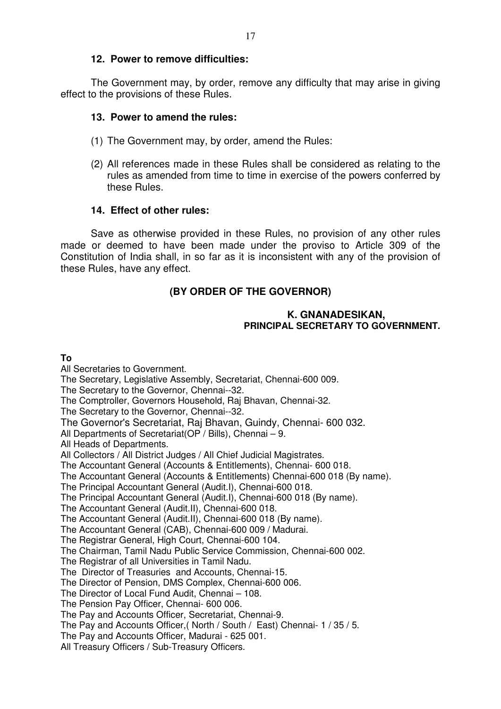The Government may, by order, remove any difficulty that may arise in giving effect to the provisions of these Rules.

### **13. Power to amend the rules:**

- (1) The Government may, by order, amend the Rules:
- (2) All references made in these Rules shall be considered as relating to the rules as amended from time to time in exercise of the powers conferred by these Rules.

### **14. Effect of other rules:**

Save as otherwise provided in these Rules, no provision of any other rules made or deemed to have been made under the proviso to Article 309 of the Constitution of India shall, in so far as it is inconsistent with any of the provision of these Rules, have any effect.

## **(BY ORDER OF THE GOVERNOR)**

### **K. GNANADESIKAN, PRINCIPAL SECRETARY TO GOVERNMENT.**

### **To**

All Secretaries to Government. The Secretary, Legislative Assembly, Secretariat, Chennai-600 009. The Secretary to the Governor, Chennai--32. The Comptroller, Governors Household, Raj Bhavan, Chennai-32. The Secretary to the Governor, Chennai--32. The Governor's Secretariat, Raj Bhavan, Guindy, Chennai- 600 032. All Departments of Secretariat(OP / Bills), Chennai – 9. All Heads of Departments. All Collectors / All District Judges / All Chief Judicial Magistrates. The Accountant General (Accounts & Entitlements), Chennai- 600 018. The Accountant General (Accounts & Entitlements) Chennai-600 018 (By name). The Principal Accountant General (Audit.I), Chennai-600 018. The Principal Accountant General (Audit.I), Chennai-600 018 (By name). The Accountant General (Audit.II), Chennai-600 018. The Accountant General (Audit.II), Chennai-600 018 (By name). The Accountant General (CAB), Chennai-600 009 / Madurai. The Registrar General, High Court, Chennai-600 104. The Chairman, Tamil Nadu Public Service Commission, Chennai-600 002. The Registrar of all Universities in Tamil Nadu. The Director of Treasuries and Accounts, Chennai-15. The Director of Pension, DMS Complex, Chennai-600 006. The Director of Local Fund Audit, Chennai – 108. The Pension Pay Officer, Chennai- 600 006. The Pay and Accounts Officer, Secretariat, Chennai-9. The Pay and Accounts Officer,( North / South / East) Chennai- 1 / 35 / 5. The Pay and Accounts Officer, Madurai - 625 001. All Treasury Officers / Sub-Treasury Officers.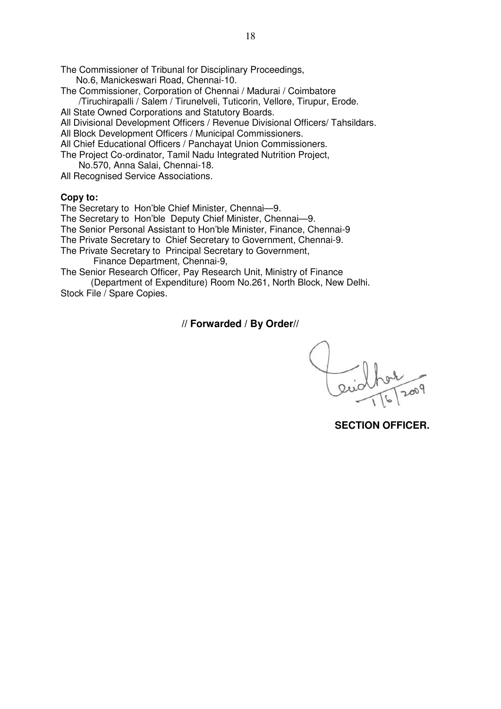The Commissioner of Tribunal for Disciplinary Proceedings, No.6, Manickeswari Road, Chennai-10.

The Commissioner, Corporation of Chennai / Madurai / Coimbatore /Tiruchirapalli / Salem / Tirunelveli, Tuticorin, Vellore, Tirupur, Erode.

All State Owned Corporations and Statutory Boards.

All Divisional Development Officers / Revenue Divisional Officers/ Tahsildars.

All Block Development Officers / Municipal Commissioners.

All Chief Educational Officers / Panchayat Union Commissioners.

The Project Co-ordinator, Tamil Nadu Integrated Nutrition Project, No.570, Anna Salai, Chennai-18.

All Recognised Service Associations.

### **Copy to:**

The Secretary to Hon'ble Chief Minister, Chennai—9. The Secretary to Hon'ble Deputy Chief Minister, Chennai—9. The Senior Personal Assistant to Hon'ble Minister, Finance, Chennai-9 The Private Secretary to Chief Secretary to Government, Chennai-9. The Private Secretary to Principal Secretary to Government, Finance Department, Chennai-9,

The Senior Research Officer, Pay Research Unit, Ministry of Finance (Department of Expenditure) Room No.261, North Block, New Delhi.

Stock File / Spare Copies.

**// Forwarded / By Order//** 

 **SECTION OFFICER.**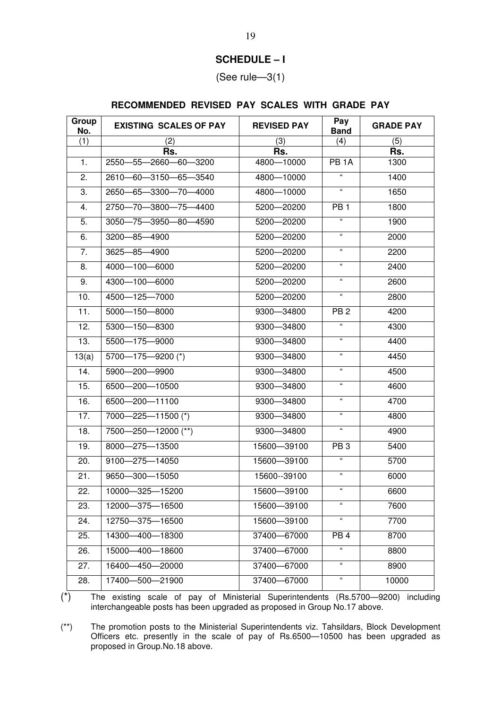### **SCHEDULE – I**

(See rule—3(1)

### **RECOMMENDED REVISED PAY SCALES WITH GRADE PAY**

| Group<br>No. | <b>EXISTING SCALES OF PAY</b> | <b>REVISED PAY</b> | Pay<br><b>Band</b>         | <b>GRADE PAY</b> |
|--------------|-------------------------------|--------------------|----------------------------|------------------|
| (1)          | (2)                           | (3)                | (4)                        | (5)              |
|              | Rs.                           | Rs.                |                            | Rs.              |
| 1.           | 2550-55-2660-60-3200          | 4800-10000         | PB <sub>1</sub> A          | 1300             |
| 2.           | 2610-60-3150-65-3540          | 4800-10000         | $\epsilon$                 | 1400             |
| 3.           | 2650-65-3300-70-4000          | 4800-10000         | $\epsilon\epsilon$         | 1650             |
| 4.           | 2750-70-3800-75-4400          | 5200-20200         | PB <sub>1</sub>            | 1800             |
| 5.           | 3050-75-3950-80-4590          | 5200-20200         | $\epsilon$                 | 1900             |
| 6.           | 3200-85-4900                  | 5200-20200         | $\epsilon\epsilon$         | 2000             |
| 7.           | 3625-85-4900                  | 5200-20200         | $\epsilon\epsilon$         | 2200             |
| 8.           | 4000-100-6000                 | 5200-20200         | $\mathfrak{c}\mathfrak{c}$ | 2400             |
| 9.           | 4300-100-6000                 | 5200-20200         | 66                         | 2600             |
| 10.          | 4500-125-7000                 | 5200-20200         | $\mathfrak{g}$             | 2800             |
| 11.          | 5000-150-8000                 | 9300-34800         | PB <sub>2</sub>            | 4200             |
| 12.          | 5300-150-8300                 | 9300-34800         | $\epsilon$                 | 4300             |
| 13.          | 5500-175-9000                 | 9300-34800         | $\alpha$                   | 4400             |
| 13(a)        | 5700-175-9200 (*)             | 9300-34800         | $\mathfrak{g}$             | 4450             |
| 14.          | 5900-200-9900                 | 9300-34800         | $\epsilon\epsilon$         | 4500             |
| 15.          | 6500-200-10500                | 9300-34800         | $\mathbf{g}$               | 4600             |
| 16.          | 6500-200-11100                | 9300-34800         | $\mathfrak{c}\mathfrak{c}$ | 4700             |
| 17.          | 7000-225-11500 (*)            | 9300-34800         | 66                         | 4800             |
| 18.          | 7500-250-12000 (**)           | 9300-34800         | $\mathfrak{g}$             | 4900             |
| 19.          | 8000-275-13500                | 15600-39100        | PB <sub>3</sub>            | 5400             |
| 20.          | 9100-275-14050                | 15600-39100        | $\epsilon\epsilon$         | 5700             |
| 21.          | 9650-300-15050                | 15600--39100       | $\alpha$                   | 6000             |
| 22.          | 10000-325-15200               | 15600-39100        | $\epsilon\epsilon$         | 6600             |
| 23.          | 12000-375-16500               | 15600-39100        | $\epsilon$                 | 7600             |
| 24.          | 12750-375-16500               | 15600-39100        | $\epsilon$                 | 7700             |
| 25.          | 14300-400-18300               | 37400-67000        | PB <sub>4</sub>            | 8700             |
| 26.          | 15000-400-18600               | 37400-67000        | $\epsilon\epsilon$         | 8800             |
| 27.          | 16400-450-20000               | 37400-67000        | $\epsilon\epsilon$         | 8900             |
| 28.          | 17400-500-21900               | 37400-67000        | $\epsilon\epsilon$         | 10000            |

(\*) The existing scale of pay of Ministerial Superintendents (Rs.5700—9200) including interchangeable posts has been upgraded as proposed in Group No.17 above.

(\*\*) The promotion posts to the Ministerial Superintendents viz. Tahsildars, Block Development Officers etc. presently in the scale of pay of Rs.6500—10500 has been upgraded as proposed in Group.No.18 above.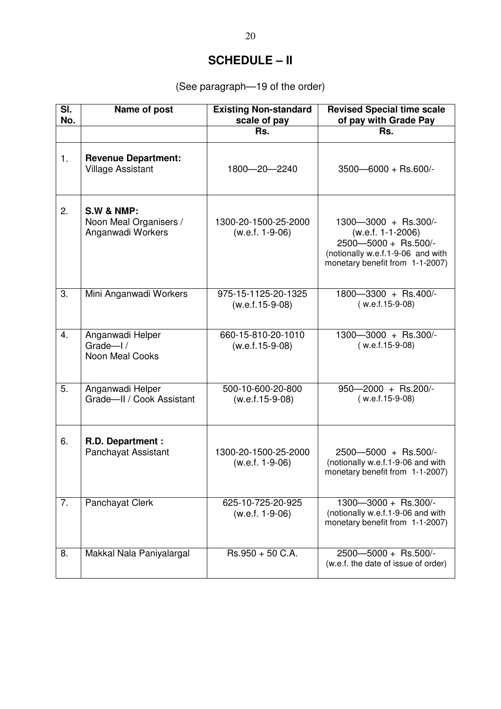# **SCHEDULE – II**

(See paragraph—19 of the order)

| SI.<br>No. | Name of post                                                         | <b>Existing Non-standard</b><br>scale of pay | <b>Revised Special time scale</b><br>of pay with Grade Pay                                                                                  |
|------------|----------------------------------------------------------------------|----------------------------------------------|---------------------------------------------------------------------------------------------------------------------------------------------|
|            |                                                                      | Rs.                                          | Rs.                                                                                                                                         |
| 1.         | <b>Revenue Department:</b><br><b>Village Assistant</b>               | 1800-20-2240                                 | $3500 - 6000 + \text{Rs.}600$                                                                                                               |
| 2.         | <b>S.W &amp; NMP:</b><br>Noon Meal Organisers /<br>Anganwadi Workers | 1300-20-1500-25-2000<br>$(w.e.f. 1-9-06)$    | 1300-3000 + Rs.300/-<br>$(w.e.f. 1-1-2006)$<br>2500-5000 + Rs.500/-<br>(notionally w.e.f.1-9-06 and with<br>monetary benefit from 1-1-2007) |
| 3.         | Mini Anganwadi Workers                                               | 975-15-1125-20-1325<br>$(w.e.f.15-9-08)$     | 1800-3300 + Rs.400/-<br>$(w.e.f.15-9-08)$                                                                                                   |
| 4.         | Anganwadi Helper<br>Grade $-1/$<br>Noon Meal Cooks                   | 660-15-810-20-1010<br>$(w.e.f.15-9-08)$      | $1300 - 3000 + \text{Rs.}300/-$<br>$(w.e.f.15-9-08)$                                                                                        |
| 5.         | Anganwadi Helper<br>Grade-II / Cook Assistant                        | 500-10-600-20-800<br>$(w.e.f.15-9-08)$       | 950-2000 + Rs.200/-<br>$(w.e.f.15-9-08)$                                                                                                    |
| 6.         | R.D. Department :<br>Panchayat Assistant                             | 1300-20-1500-25-2000<br>(w.e.f. 1-9-06)      | 2500-5000 + Rs.500/-<br>(notionally w.e.f.1-9-06 and with<br>monetary benefit from 1-1-2007)                                                |
| 7.         | Panchayat Clerk                                                      | 625-10-725-20-925<br>$(w.e.f. 1-9-06)$       | $1300 - 3000 +$ Rs.300/-<br>(notionally w.e.f.1-9-06 and with<br>monetary benefit from 1-1-2007)                                            |
| 8.         | Makkal Nala Paniyalargal                                             | $Rs.950 + 50 C.A.$                           | $2500 - 5000 +$ Rs.500/-<br>(w.e.f. the date of issue of order)                                                                             |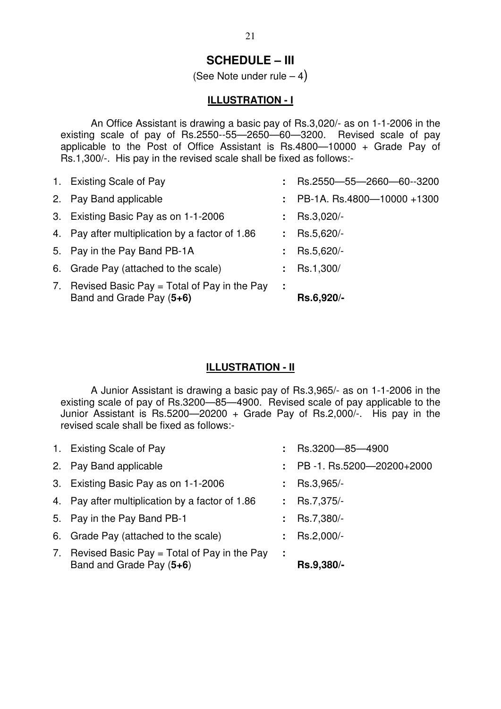# **SCHEDULE – III**

(See Note under rule  $-4$ )

### **ILLUSTRATION - I**

 An Office Assistant is drawing a basic pay of Rs.3,020/- as on 1-1-2006 in the existing scale of pay of Rs.2550--55—2650—60—3200. Revised scale of pay applicable to the Post of Office Assistant is Rs.4800—10000 + Grade Pay of Rs.1,300/-. His pay in the revised scale shall be fixed as follows:-

| 1. Existing Scale of Pay                                                   |    | Rs.2550-55-2660-60-3200    |
|----------------------------------------------------------------------------|----|----------------------------|
| 2. Pay Band applicable                                                     | t. | PB-1A. Rs.4800-10000 +1300 |
| 3. Existing Basic Pay as on 1-1-2006                                       |    | Rs.3,020/-                 |
| 4. Pay after multiplication by a factor of 1.86                            |    | : Rs.5,620/-               |
| 5. Pay in the Pay Band PB-1A                                               | t. | Rs.5,620/-                 |
| 6. Grade Pay (attached to the scale)                                       |    | Rs.1,300/                  |
| 7. Revised Basic Pay = Total of Pay in the Pay<br>Band and Grade Pay (5+6) | ÷  | Rs.6,920/-                 |

### **ILLUSTRATION - II**

 A Junior Assistant is drawing a basic pay of Rs.3,965/- as on 1-1-2006 in the existing scale of pay of Rs.3200—85—4900. Revised scale of pay applicable to the Junior Assistant is Rs.5200-20200 + Grade Pay of Rs.2,000/-. His pay in the revised scale shall be fixed as follows:-

| 7. Revised Basic Pay $=$ Total of Pay in the Pay<br>Band and Grade Pay (5+6) | ÷ | Rs.9,380/-                       |
|------------------------------------------------------------------------------|---|----------------------------------|
| 6. Grade Pay (attached to the scale)                                         |   | : $\text{Rs.}2,000/-$            |
| 5. Pay in the Pay Band PB-1                                                  |   | Rs.7,380/-                       |
| 4. Pay after multiplication by a factor of 1.86                              |   | : Rs.7,375/-                     |
| 3. Existing Basic Pay as on 1-1-2006                                         |   | : Rs.3,965/-                     |
| 2. Pay Band applicable                                                       |   | $\div$ PB -1. Rs.5200-20200+2000 |
| 1. Existing Scale of Pay                                                     |   | Rs.3200-85-4900                  |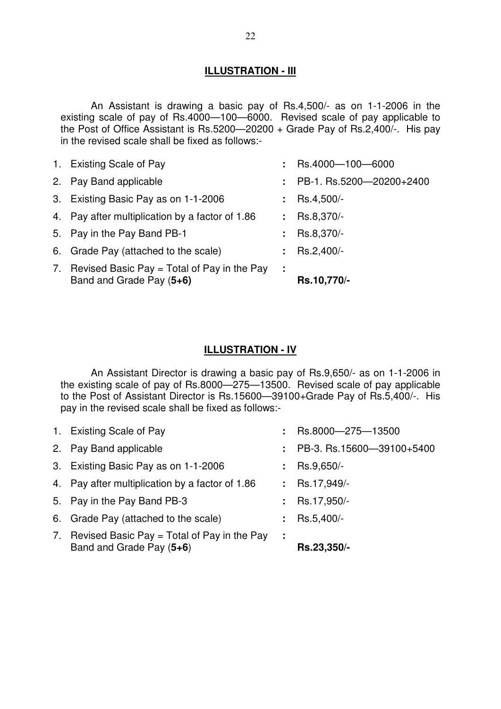### **ILLUSTRATION - III**

An Assistant is drawing a basic pay of Rs.4,500/- as on 1-1-2006 in the existing scale of pay of Rs.4000—100—6000. Revised scale of pay applicable to the Post of Office Assistant is Rs.5200—20200 + Grade Pay of Rs.2,400/-. His pay in the revised scale shall be fixed as follows:-

| 7. Revised Basic Pay = Total of Pay in the Pay<br>Band and Grade Pay (5+6) | ÷              | Rs.10,770/-              |
|----------------------------------------------------------------------------|----------------|--------------------------|
|                                                                            |                |                          |
| 6. Grade Pay (attached to the scale)                                       |                | Rs.2,400/-               |
| 5. Pay in the Pay Band PB-1                                                |                | Rs.8,370/-               |
| 4. Pay after multiplication by a factor of 1.86                            | $\mathbb{R}^n$ | Rs.8,370/-               |
| 3. Existing Basic Pay as on 1-1-2006                                       |                | Rs.4,500/-               |
| 2. Pay Band applicable                                                     |                | PB-1. Rs.5200-20200+2400 |
| 1. Existing Scale of Pay                                                   |                | $:$ Rs.4000-100-6000     |

### **ILLUSTRATION - IV**

 An Assistant Director is drawing a basic pay of Rs.9,650/- as on 1-1-2006 in the existing scale of pay of Rs.8000—275—13500. Revised scale of pay applicable to the Post of Assistant Director is Rs.15600—39100+Grade Pay of Rs.5,400/-. His pay in the revised scale shall be fixed as follows:-

| Band and Grade Pay (5+6)                         |   | Rs.23,350/-               |
|--------------------------------------------------|---|---------------------------|
| 7. Revised Basic Pay $=$ Total of Pay in the Pay | ÷ |                           |
| 6. Grade Pay (attached to the scale)             |   | Rs.5,400/-                |
| 5. Pay in the Pay Band PB-3                      |   | Rs.17,950/-               |
| 4. Pay after multiplication by a factor of 1.86  |   | Rs.17,949/-               |
| 3. Existing Basic Pay as on 1-1-2006             |   | Rs.9,650/-                |
| 2. Pay Band applicable                           |   | PB-3. Rs.15600-39100+5400 |
| 1. Existing Scale of Pay                         |   | Rs.8000-275-13500         |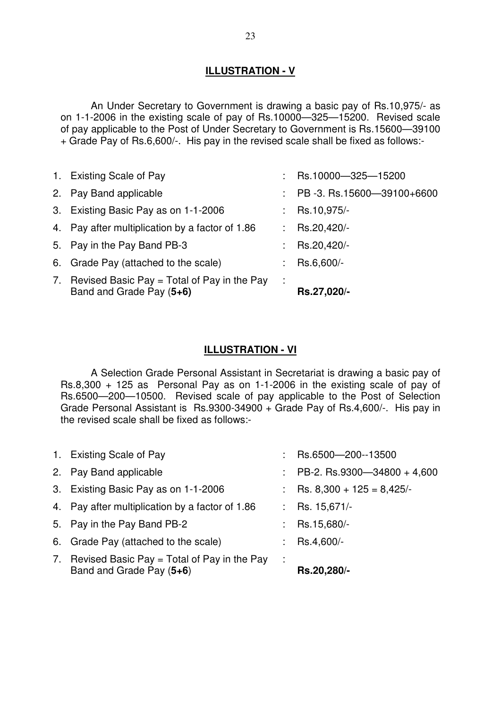# **ILLUSTRATION - V**

 An Under Secretary to Government is drawing a basic pay of Rs.10,975/- as on 1-1-2006 in the existing scale of pay of Rs.10000—325—15200. Revised scale of pay applicable to the Post of Under Secretary to Government is Rs.15600—39100 + Grade Pay of Rs.6,600/-. His pay in the revised scale shall be fixed as follows:-

| 1. Existing Scale of Pay                                                     |    | Rs.10000-325-15200         |
|------------------------------------------------------------------------------|----|----------------------------|
| 2. Pay Band applicable                                                       |    | PB -3. Rs.15600-39100+6600 |
| 3. Existing Basic Pay as on 1-1-2006                                         |    | Rs.10,975/-                |
| 4. Pay after multiplication by a factor of 1.86                              |    | : Rs.20,420/-              |
| 5. Pay in the Pay Band PB-3                                                  | ÷. | Rs.20,420/-                |
| 6. Grade Pay (attached to the scale)                                         | ÷. | Rs.6,600/-                 |
| 7. Revised Basic Pay $=$ Total of Pay in the Pay<br>Band and Grade Pay (5+6) |    | Rs.27,020/-                |

### **ILLUSTRATION - VI**

 A Selection Grade Personal Assistant in Secretariat is drawing a basic pay of Rs.8,300 + 125 as Personal Pay as on 1-1-2006 in the existing scale of pay of Rs.6500—200—10500. Revised scale of pay applicable to the Post of Selection Grade Personal Assistant is Rs.9300-34900 + Grade Pay of Rs.4,600/-. His pay in the revised scale shall be fixed as follows:-

| Band and Grade Pay (5+6)                         | Rs.20,280/-                 |
|--------------------------------------------------|-----------------------------|
| 7. Revised Basic Pay $=$ Total of Pay in the Pay |                             |
| 6. Grade Pay (attached to the scale)             | Rs.4,600/-                  |
| 5. Pay in the Pay Band PB-2                      | Rs.15,680/-                 |
| 4. Pay after multiplication by a factor of 1.86  | Rs. 15,671/-                |
| 3. Existing Basic Pay as on 1-1-2006             | Rs. $8,300 + 125 = 8,425/$  |
| 2. Pay Band applicable                           | PB-2. Rs.9300-34800 + 4,600 |
| 1. Existing Scale of Pay                         | Rs.6500-200-13500           |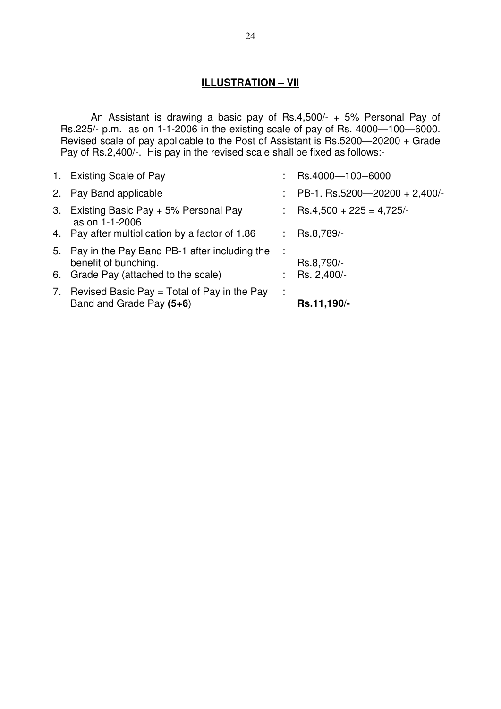# **ILLUSTRATION – VII**

 An Assistant is drawing a basic pay of Rs.4,500/- + 5% Personal Pay of Rs.225/- p.m. as on 1-1-2006 in the existing scale of pay of Rs. 4000—100—6000. Revised scale of pay applicable to the Post of Assistant is Rs.5200—20200 + Grade Pay of Rs.2,400/-. His pay in the revised scale shall be fixed as follows:-

| 1. Existing Scale of Pay                                                                                        | Rs.4000-100-6000              |
|-----------------------------------------------------------------------------------------------------------------|-------------------------------|
| 2. Pay Band applicable                                                                                          | PB-1. Rs.5200-20200 + 2,400/- |
| 3. Existing Basic Pay + 5% Personal Pay<br>as on 1-1-2006                                                       | $Rs.4,500 + 225 = 4,725/$     |
| 4. Pay after multiplication by a factor of 1.86                                                                 | Rs.8,789/-                    |
| 5. Pay in the Pay Band PB-1 after including the<br>benefit of bunching.<br>6. Grade Pay (attached to the scale) | Rs.8,790/-<br>Rs. 2,400/-     |
|                                                                                                                 |                               |
| 7. Revised Basic Pay $=$ Total of Pay in the Pay<br>Band and Grade Pay (5+6)                                    | Rs.11,190/-                   |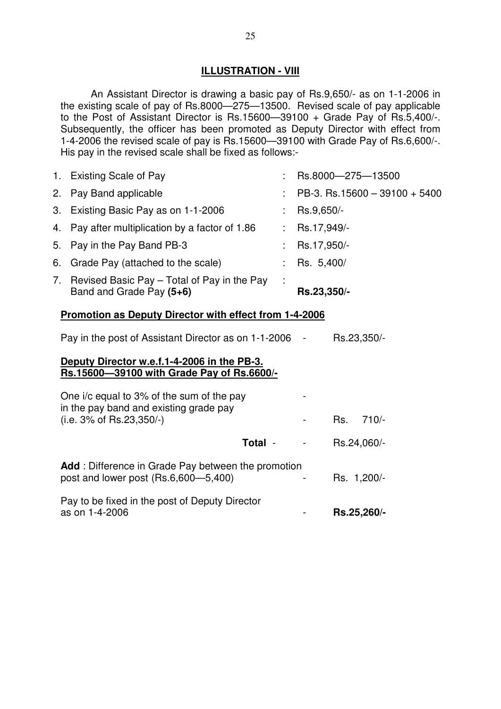### **ILLUSTRATION - VIII**

 An Assistant Director is drawing a basic pay of Rs.9,650/- as on 1-1-2006 in the existing scale of pay of Rs.8000—275—13500. Revised scale of pay applicable to the Post of Assistant Director is Rs.15600—39100 + Grade Pay of Rs.5,400/-. Subsequently, the officer has been promoted as Deputy Director with effect from 1-4-2006 the revised scale of pay is Rs.15600—39100 with Grade Pay of Rs.6,600/-. His pay in the revised scale shall be fixed as follows:-

|    | 1. Existing Scale of Pay                                                |   | Rs.8000-275-13500             |
|----|-------------------------------------------------------------------------|---|-------------------------------|
|    | 2. Pay Band applicable                                                  |   | PB-3. Rs.15600 - 39100 + 5400 |
|    | 3. Existing Basic Pay as on 1-1-2006                                    |   | Rs.9,650/-                    |
|    | 4. Pay after multiplication by a factor of 1.86                         |   | Rs.17,949/-                   |
|    | 5. Pay in the Pay Band PB-3                                             |   | Rs.17,950/-                   |
|    | 6. Grade Pay (attached to the scale)                                    |   | Rs. 5,400/                    |
| 7. | Revised Basic Pay - Total of Pay in the Pay<br>Band and Grade Pay (5+6) | ÷ | Rs.23,350/-                   |

### **Promotion as Deputy Director with effect from 1-4-2006**

| Rs.23,350/-<br>Pay in the post of Assistant Director as on 1-1-2006 |
|---------------------------------------------------------------------|
|---------------------------------------------------------------------|

### **Deputy Director w.e.f.1-4-2006 in the PB-3. Rs.15600—39100 with Grade Pay of Rs.6600/-**

| One i/c equal to 3% of the sum of the pay<br>in the pay band and existing grade pay<br>$(i.e. 3\% of Rs. 23,350/-)$ | Rs. 710/-   |  |
|---------------------------------------------------------------------------------------------------------------------|-------------|--|
|                                                                                                                     |             |  |
| Total -                                                                                                             | Rs.24,060/- |  |
| Add: Difference in Grade Pay between the promotion<br>post and lower post (Rs.6,600–5,400)                          | Rs. 1,200/- |  |
| Pay to be fixed in the post of Deputy Director<br>as on 1-4-2006                                                    | Rs.25,260/- |  |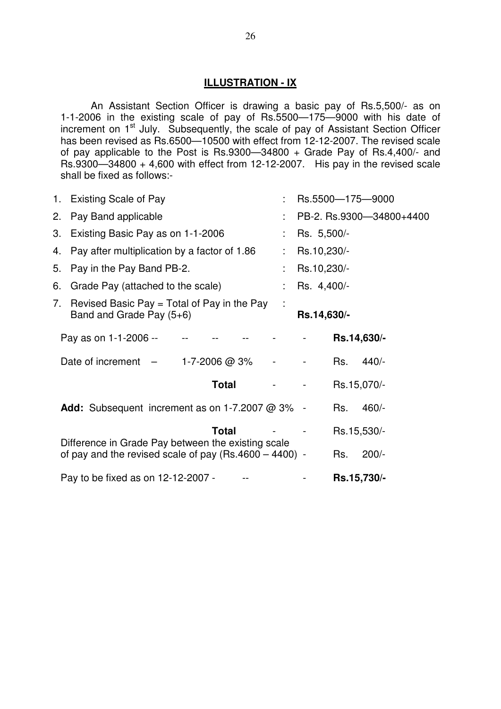### **ILLUSTRATION - IX**

 An Assistant Section Officer is drawing a basic pay of Rs.5,500/- as on 1-1-2006 in the existing scale of pay of Rs.5500—175—9000 with his date of increment on 1<sup>st</sup> July. Subsequently, the scale of pay of Assistant Section Officer has been revised as Rs.6500-10500 with effect from 12-12-2007. The revised scale of pay applicable to the Post is Rs.9300—34800 + Grade Pay of Rs.4,400/- and Rs.9300—34800 + 4,600 with effect from 12-12-2007. His pay in the revised scale shall be fixed as follows:-

|    | 1. Existing Scale of Pay                                                                                       |             |             | Rs.5500-175-9000         |
|----|----------------------------------------------------------------------------------------------------------------|-------------|-------------|--------------------------|
| 2. | Pay Band applicable                                                                                            |             |             | PB-2. Rs.9300-34800+4400 |
| 3. | Existing Basic Pay as on 1-1-2006                                                                              | Rs. 5,500/- |             |                          |
| 4. | Pay after multiplication by a factor of 1.86                                                                   | Rs.10,230/- |             |                          |
| 5. | Pay in the Pay Band PB-2.                                                                                      | Rs.10,230/- |             |                          |
| 6. | Grade Pay (attached to the scale)                                                                              | Rs. 4,400/- |             |                          |
|    | 7. Revised Basic Pay = Total of Pay in the Pay<br>Band and Grade Pay (5+6)                                     | Rs.14,630/- |             |                          |
|    | Pay as on 1-1-2006 --                                                                                          |             | Rs.14,630/- |                          |
|    | Date of increment $-$<br>1-7-2006 @ 3%                                                                         |             | Rs.         | $440/-$                  |
|    | Total                                                                                                          |             | Rs.15,070/- |                          |
|    | <b>Add:</b> Subsequent increment as on 1-7.2007 @ 3% -                                                         |             | Rs.         | $460/-$                  |
|    | <b>Total</b>                                                                                                   |             | Rs.15,530/- |                          |
|    | Difference in Grade Pay between the existing scale<br>of pay and the revised scale of pay $(Rs.4600 - 4400)$ - |             | Rs.         | $200/-$                  |
|    | Pay to be fixed as on 12-12-2007 -                                                                             |             | Rs.15,730/- |                          |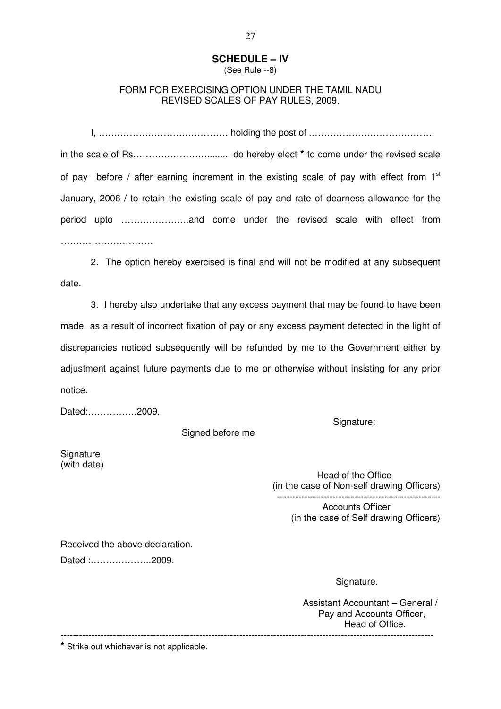# **SCHEDULE – IV**

(See Rule --8)

### FORM FOR EXERCISING OPTION UNDER THE TAMIL NADU REVISED SCALES OF PAY RULES, 2009.

 I, …………………………………… holding the post of .…………………………………. in the scale of Rs……………………......... do hereby elect **\*** to come under the revised scale of pay before / after earning increment in the existing scale of pay with effect from  $1<sup>st</sup>$ January, 2006 / to retain the existing scale of pay and rate of dearness allowance for the period upto ………………….and come under the revised scale with effect from …………………………

 2. The option hereby exercised is final and will not be modified at any subsequent date.

 3. I hereby also undertake that any excess payment that may be found to have been made as a result of incorrect fixation of pay or any excess payment detected in the light of discrepancies noticed subsequently will be refunded by me to the Government either by adjustment against future payments due to me or otherwise without insisting for any prior notice.

Dated:…………….2009.

Signed before me

**Signature** (with date)

 Head of the Office (in the case of Non-self drawing Officers) -----------------------------------------------------

Signature:

Accounts Officer (in the case of Self drawing Officers)

Received the above declaration.

Dated :………………..2009.

Signature.

Assistant Accountant – General / Pay and Accounts Officer, Head of Office. -------------------------------------------------------------------------------------------------------------------------

**\*** Strike out whichever is not applicable.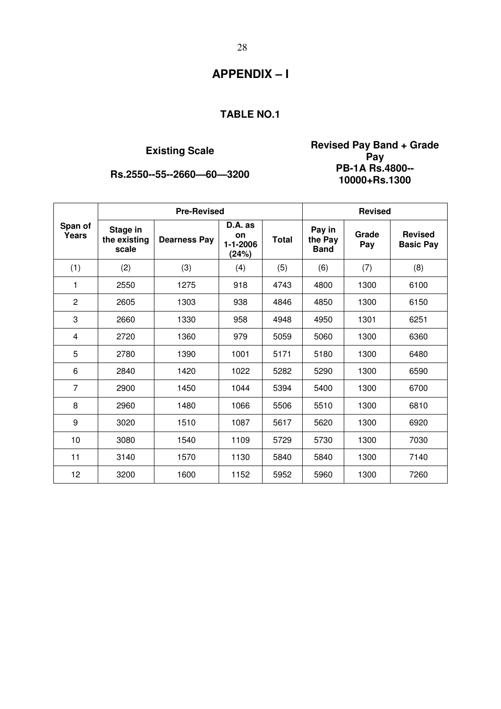# $Rs.2550--55--2660-60-3200$

**Existing Scale Revised Pay Band + Grade Pay 10000+Rs.1300** 

|                         |                                   | <b>Pre-Revised</b>  | <b>Revised</b>                           |              |                                  |              |                                    |
|-------------------------|-----------------------------------|---------------------|------------------------------------------|--------------|----------------------------------|--------------|------------------------------------|
| Span of<br><b>Years</b> | Stage in<br>the existing<br>scale | <b>Dearness Pay</b> | D.A. as<br>on<br>$1 - 1 - 2006$<br>(24%) | <b>Total</b> | Pay in<br>the Pay<br><b>Band</b> | Grade<br>Pay | <b>Revised</b><br><b>Basic Pay</b> |
| (1)                     | (2)                               | (3)                 | (4)                                      | (5)          | (6)                              | (7)          | (8)                                |
| 1                       | 2550                              | 1275                | 918                                      | 4743         | 4800                             | 1300         | 6100                               |
| $\overline{2}$          | 2605                              | 1303                | 938                                      | 4846         | 4850                             | 1300         | 6150                               |
| 3                       | 2660                              | 1330                | 958                                      | 4948         | 4950                             | 1301         | 6251                               |
| 4                       | 2720                              | 1360                | 979                                      | 5059         | 5060                             | 1300         | 6360                               |
| 5                       | 2780                              | 1390                | 1001                                     | 5171         | 5180                             | 1300         | 6480                               |
| 6                       | 2840                              | 1420                | 1022                                     | 5282         | 5290                             | 1300         | 6590                               |
| $\overline{7}$          | 2900                              | 1450                | 1044                                     | 5394         | 5400                             | 1300         | 6700                               |
| 8                       | 2960                              | 1480                | 1066                                     | 5506         | 5510                             | 1300         | 6810                               |
| 9                       | 3020                              | 1510                | 1087                                     | 5617         | 5620                             | 1300         | 6920                               |
| 10                      | 3080                              | 1540                | 1109                                     | 5729         | 5730                             | 1300         | 7030                               |
| 11                      | 3140                              | 1570                | 1130                                     | 5840         | 5840                             | 1300         | 7140                               |
| 12                      | 3200                              | 1600                | 1152                                     | 5952         | 5960                             | 1300         | 7260                               |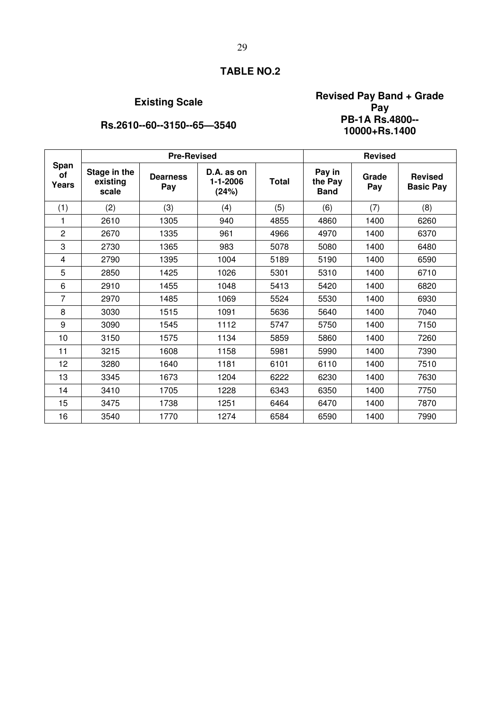# **Existing Scale Revised Pay Band + Grade Pay 10000+Rs.1400**

# **Rs.2610--60--3150--65--3540**

|                     |                                   | <b>Pre-Revised</b>     | <b>Revised</b>                        |              |                                  |              |                                    |
|---------------------|-----------------------------------|------------------------|---------------------------------------|--------------|----------------------------------|--------------|------------------------------------|
| Span<br>of<br>Years | Stage in the<br>existing<br>scale | <b>Dearness</b><br>Pay | D.A. as on<br>$1 - 1 - 2006$<br>(24%) | <b>Total</b> | Pay in<br>the Pay<br><b>Band</b> | Grade<br>Pay | <b>Revised</b><br><b>Basic Pay</b> |
| (1)                 | (2)                               | (3)                    | (4)                                   | (5)          | (6)                              | (7)          | (8)                                |
| 1                   | 2610                              | 1305                   | 940                                   | 4855         | 4860                             | 1400         | 6260                               |
| $\overline{2}$      | 2670                              | 1335                   | 961                                   | 4966         | 4970                             | 1400         | 6370                               |
| 3                   | 2730                              | 1365                   | 983                                   | 5078         | 5080                             | 1400         | 6480                               |
| 4                   | 2790                              | 1395                   | 1004                                  | 5189         | 5190                             | 1400         | 6590                               |
| 5                   | 2850                              | 1425                   | 1026                                  | 5301         | 5310                             | 1400         | 6710                               |
| 6                   | 2910                              | 1455                   | 1048                                  | 5413         | 5420                             | 1400         | 6820                               |
| 7                   | 2970                              | 1485                   | 1069                                  | 5524         | 5530                             | 1400         | 6930                               |
| 8                   | 3030                              | 1515                   | 1091                                  | 5636         | 5640                             | 1400         | 7040                               |
| 9                   | 3090                              | 1545                   | 1112                                  | 5747         | 5750                             | 1400         | 7150                               |
| 10                  | 3150                              | 1575                   | 1134                                  | 5859         | 5860                             | 1400         | 7260                               |
| 11                  | 3215                              | 1608                   | 1158                                  | 5981         | 5990                             | 1400         | 7390                               |
| 12                  | 3280                              | 1640                   | 1181                                  | 6101         | 6110                             | 1400         | 7510                               |
| 13                  | 3345                              | 1673                   | 1204                                  | 6222         | 6230                             | 1400         | 7630                               |
| 14                  | 3410                              | 1705                   | 1228                                  | 6343         | 6350                             | 1400         | 7750                               |
| 15                  | 3475                              | 1738                   | 1251                                  | 6464         | 6470                             | 1400         | 7870                               |
| 16                  | 3540                              | 1770                   | 1274                                  | 6584         | 6590                             | 1400         | 7990                               |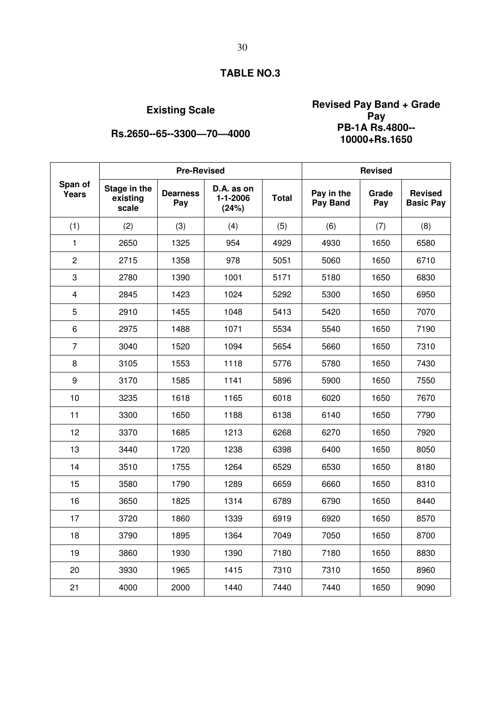# **Existing Scale Revised Pay Band + Grade Pay 10000+Rs.1650**

**Rs.2650--65--3300--70--4000** 

|                         |                                   | <b>Pre-Revised</b>     |                                       | <b>Revised</b> |                        |              |                                    |
|-------------------------|-----------------------------------|------------------------|---------------------------------------|----------------|------------------------|--------------|------------------------------------|
| Span of<br><b>Years</b> | Stage in the<br>existing<br>scale | <b>Dearness</b><br>Pay | D.A. as on<br>$1 - 1 - 2006$<br>(24%) | <b>Total</b>   | Pay in the<br>Pay Band | Grade<br>Pay | <b>Revised</b><br><b>Basic Pay</b> |
| (1)                     | (2)                               | (3)                    | (4)                                   | (5)            | (6)                    | (7)          | (8)                                |
| $\mathbf{1}$            | 2650                              | 1325                   | 954                                   | 4929           | 4930                   | 1650         | 6580                               |
| $\overline{c}$          | 2715                              | 1358                   | 978                                   | 5051           | 5060                   | 1650         | 6710                               |
| 3                       | 2780                              | 1390                   | 1001                                  | 5171           | 5180                   | 1650         | 6830                               |
| $\overline{\mathbf{4}}$ | 2845                              | 1423                   | 1024                                  | 5292           | 5300                   | 1650         | 6950                               |
| 5                       | 2910                              | 1455                   | 1048                                  | 5413           | 5420                   | 1650         | 7070                               |
| 6                       | 2975                              | 1488                   | 1071                                  | 5534           | 5540                   | 1650         | 7190                               |
| $\overline{7}$          | 3040                              | 1520                   | 1094                                  | 5654           | 5660                   | 1650         | 7310                               |
| 8                       | 3105                              | 1553                   | 1118                                  | 5776           | 5780                   | 1650         | 7430                               |
| 9                       | 3170                              | 1585                   | 1141                                  | 5896           | 5900                   | 1650         | 7550                               |
| 10                      | 3235                              | 1618                   | 1165                                  | 6018           | 6020                   | 1650         | 7670                               |
| 11                      | 3300                              | 1650                   | 1188                                  | 6138           | 6140                   | 1650         | 7790                               |
| 12                      | 3370                              | 1685                   | 1213                                  | 6268           | 6270                   | 1650         | 7920                               |
| 13                      | 3440                              | 1720                   | 1238                                  | 6398           | 6400                   | 1650         | 8050                               |
| 14                      | 3510                              | 1755                   | 1264                                  | 6529           | 6530                   | 1650         | 8180                               |
| 15                      | 3580                              | 1790                   | 1289                                  | 6659           | 6660                   | 1650         | 8310                               |
| 16                      | 3650                              | 1825                   | 1314                                  | 6789           | 6790                   | 1650         | 8440                               |
| 17                      | 3720                              | 1860                   | 1339                                  | 6919           | 6920                   | 1650         | 8570                               |
| 18                      | 3790                              | 1895                   | 1364                                  | 7049           | 7050                   | 1650         | 8700                               |
| 19                      | 3860                              | 1930                   | 1390                                  | 7180           | 7180                   | 1650         | 8830                               |
| 20                      | 3930                              | 1965                   | 1415                                  | 7310           | 7310                   | 1650         | 8960                               |
| 21                      | 4000                              | 2000                   | 1440                                  | 7440           | 7440                   | 1650         | 9090                               |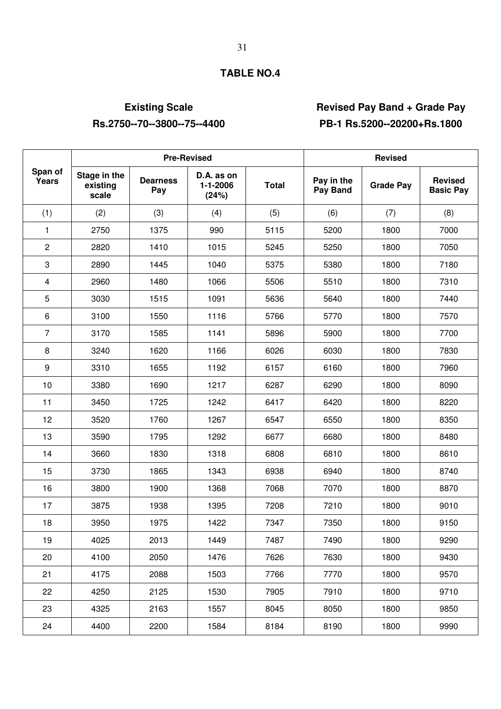# **Existing Scale Revised Pay Band + Grade Pay Rs.2750--70--3800--75--4400 PB-1 Rs.5200--20200+Rs.1800**

|                         |                                   |                        | <b>Pre-Revised</b>              | <b>Revised</b> |                        |                  |                                    |
|-------------------------|-----------------------------------|------------------------|---------------------------------|----------------|------------------------|------------------|------------------------------------|
| Span of<br>Years        | Stage in the<br>existing<br>scale | <b>Dearness</b><br>Pay | D.A. as on<br>1-1-2006<br>(24%) | <b>Total</b>   | Pay in the<br>Pay Band | <b>Grade Pay</b> | <b>Revised</b><br><b>Basic Pay</b> |
| (1)                     | (2)                               | (3)                    | (4)                             | (5)            | (6)                    | (7)              | (8)                                |
| 1                       | 2750                              | 1375                   | 990                             | 5115           | 5200                   | 1800             | 7000                               |
| $\overline{c}$          | 2820                              | 1410                   | 1015                            | 5245           | 5250                   | 1800             | 7050                               |
| 3                       | 2890                              | 1445                   | 1040                            | 5375           | 5380                   | 1800             | 7180                               |
| $\overline{\mathbf{4}}$ | 2960                              | 1480                   | 1066                            | 5506           | 5510                   | 1800             | 7310                               |
| 5                       | 3030                              | 1515                   | 1091                            | 5636           | 5640                   | 1800             | 7440                               |
| 6                       | 3100                              | 1550                   | 1116                            | 5766           | 5770                   | 1800             | 7570                               |
| $\overline{7}$          | 3170                              | 1585                   | 1141                            | 5896           | 5900                   | 1800             | 7700                               |
| 8                       | 3240                              | 1620                   | 1166                            | 6026           | 6030                   | 1800             | 7830                               |
| 9                       | 3310                              | 1655                   | 1192                            | 6157           | 6160                   | 1800             | 7960                               |
| 10                      | 3380                              | 1690                   | 1217                            | 6287           | 6290                   | 1800             | 8090                               |
| 11                      | 3450                              | 1725                   | 1242                            | 6417           | 6420                   | 1800             | 8220                               |
| 12                      | 3520                              | 1760                   | 1267                            | 6547           | 6550                   | 1800             | 8350                               |
| 13                      | 3590                              | 1795                   | 1292                            | 6677           | 6680                   | 1800             | 8480                               |
| 14                      | 3660                              | 1830                   | 1318                            | 6808           | 6810                   | 1800             | 8610                               |
| 15                      | 3730                              | 1865                   | 1343                            | 6938           | 6940                   | 1800             | 8740                               |
| 16                      | 3800                              | 1900                   | 1368                            | 7068           | 7070                   | 1800             | 8870                               |
| 17                      | 3875                              | 1938                   | 1395                            | 7208           | 7210                   | 1800             | 9010                               |
| 18                      | 3950                              | 1975                   | 1422                            | 7347           | 7350                   | 1800             | 9150                               |
| 19                      | 4025                              | 2013                   | 1449                            | 7487           | 7490                   | 1800             | 9290                               |
| 20                      | 4100                              | 2050                   | 1476                            | 7626           | 7630                   | 1800             | 9430                               |
| 21                      | 4175                              | 2088                   | 1503                            | 7766           | 7770                   | 1800             | 9570                               |
| 22                      | 4250                              | 2125                   | 1530                            | 7905           | 7910                   | 1800             | 9710                               |
| 23                      | 4325                              | 2163                   | 1557                            | 8045           | 8050                   | 1800             | 9850                               |
| 24                      | 4400                              | 2200                   | 1584                            | 8184           | 8190                   | 1800             | 9990                               |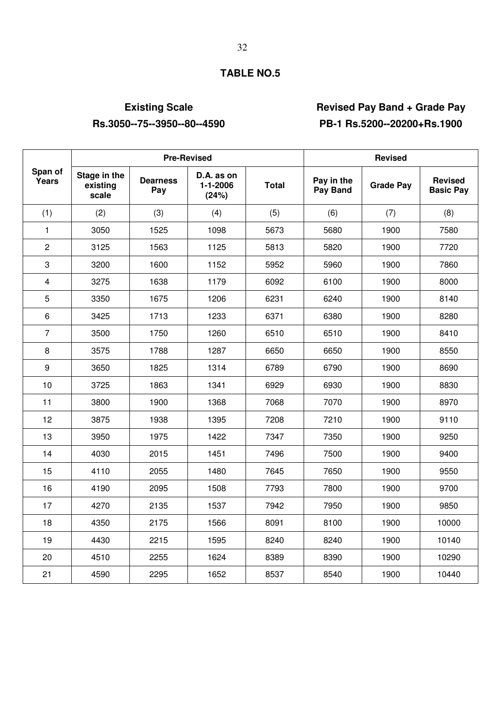# **Existing Scale Revised Pay Band + Grade Pay Rs.3050--75--3950--80--4590 PB-1 Rs.5200--20200+Rs.1900**

|                         |                                   |                        | <b>Pre-Revised</b>                    |              | <b>Revised</b>         |                  |                                    |  |
|-------------------------|-----------------------------------|------------------------|---------------------------------------|--------------|------------------------|------------------|------------------------------------|--|
| Span of<br>Years        | Stage in the<br>existing<br>scale | <b>Dearness</b><br>Pay | D.A. as on<br>$1 - 1 - 2006$<br>(24%) | <b>Total</b> | Pay in the<br>Pay Band | <b>Grade Pay</b> | <b>Revised</b><br><b>Basic Pay</b> |  |
| (1)                     | (2)                               | (3)                    | (4)                                   | (5)          | (6)                    | (7)              | (8)                                |  |
| 1                       | 3050                              | 1525                   | 1098                                  | 5673         | 5680                   | 1900             | 7580                               |  |
| 2                       | 3125                              | 1563                   | 1125                                  | 5813         | 5820                   | 1900             | 7720                               |  |
| 3                       | 3200                              | 1600                   | 1152                                  | 5952         | 5960                   | 1900             | 7860                               |  |
| $\overline{\mathbf{4}}$ | 3275                              | 1638                   | 1179                                  | 6092         | 6100                   | 1900             | 8000                               |  |
| 5                       | 3350                              | 1675                   | 1206                                  | 6231         | 6240                   | 1900             | 8140                               |  |
| 6                       | 3425                              | 1713                   | 1233                                  | 6371         | 6380                   | 1900             | 8280                               |  |
| $\overline{7}$          | 3500                              | 1750                   | 1260                                  | 6510         | 6510                   | 1900             | 8410                               |  |
| 8                       | 3575                              | 1788                   | 1287                                  | 6650         | 6650                   | 1900             | 8550                               |  |
| 9                       | 3650                              | 1825                   | 1314                                  | 6789         | 6790                   | 1900             | 8690                               |  |
| 10                      | 3725                              | 1863                   | 1341                                  | 6929         | 6930                   | 1900             | 8830                               |  |
| 11                      | 3800                              | 1900                   | 1368                                  | 7068         | 7070                   | 1900             | 8970                               |  |
| 12                      | 3875                              | 1938                   | 1395                                  | 7208         | 7210                   | 1900             | 9110                               |  |
| 13                      | 3950                              | 1975                   | 1422                                  | 7347         | 7350                   | 1900             | 9250                               |  |
| 14                      | 4030                              | 2015                   | 1451                                  | 7496         | 7500                   | 1900             | 9400                               |  |
| 15                      | 4110                              | 2055                   | 1480                                  | 7645         | 7650                   | 1900             | 9550                               |  |
| 16                      | 4190                              | 2095                   | 1508                                  | 7793         | 7800                   | 1900             | 9700                               |  |
| 17                      | 4270                              | 2135                   | 1537                                  | 7942         | 7950                   | 1900             | 9850                               |  |
| 18                      | 4350                              | 2175                   | 1566                                  | 8091         | 8100                   | 1900             | 10000                              |  |
| 19                      | 4430                              | 2215                   | 1595                                  | 8240         | 8240                   | 1900             | 10140                              |  |
| 20                      | 4510                              | 2255                   | 1624                                  | 8389         | 8390                   | 1900             | 10290                              |  |
| 21                      | 4590                              | 2295                   | 1652                                  | 8537         | 8540                   | 1900             | 10440                              |  |

### 32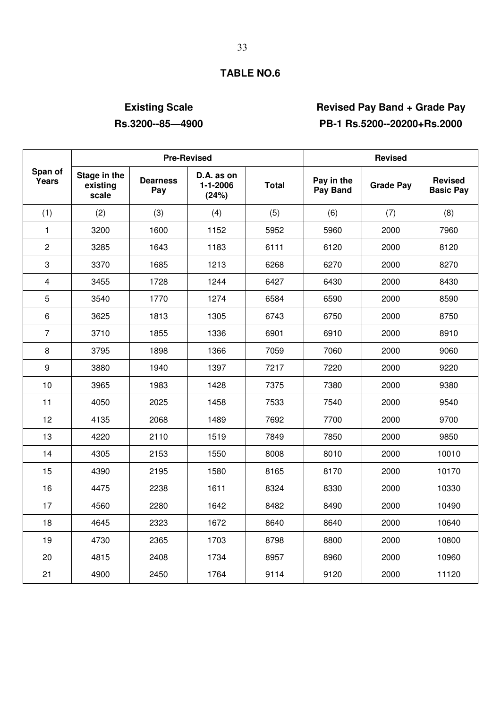# **Existing Scale Revised Pay Band + Grade Pay Rs.3200--85—4900 PB-1 Rs.5200--20200+Rs.2000**

|                  |                                   |                        | <b>Pre-Revised</b>              | <b>Revised</b> |                        |                  |                                    |
|------------------|-----------------------------------|------------------------|---------------------------------|----------------|------------------------|------------------|------------------------------------|
| Span of<br>Years | Stage in the<br>existing<br>scale | <b>Dearness</b><br>Pay | D.A. as on<br>1-1-2006<br>(24%) | <b>Total</b>   | Pay in the<br>Pay Band | <b>Grade Pay</b> | <b>Revised</b><br><b>Basic Pay</b> |
| (1)              | (2)                               | (3)                    | (4)                             | (5)            | (6)                    | (7)              | (8)                                |
| $\mathbf{1}$     | 3200                              | 1600                   | 1152                            | 5952           | 5960                   | 2000             | 7960                               |
| $\overline{c}$   | 3285                              | 1643                   | 1183                            | 6111           | 6120                   | 2000             | 8120                               |
| 3                | 3370                              | 1685                   | 1213                            | 6268           | 6270                   | 2000             | 8270                               |
| $\overline{4}$   | 3455                              | 1728                   | 1244                            | 6427           | 6430                   | 2000             | 8430                               |
| 5                | 3540                              | 1770                   | 1274                            | 6584           | 6590                   | 2000             | 8590                               |
| 6                | 3625                              | 1813                   | 1305                            | 6743           | 6750                   | 2000             | 8750                               |
| $\overline{7}$   | 3710                              | 1855                   | 1336                            | 6901           | 6910                   | 2000             | 8910                               |
| 8                | 3795                              | 1898                   | 1366                            | 7059           | 7060                   | 2000             | 9060                               |
| 9                | 3880                              | 1940                   | 1397                            | 7217           | 7220                   | 2000             | 9220                               |
| 10               | 3965                              | 1983                   | 1428                            | 7375           | 7380                   | 2000             | 9380                               |
| 11               | 4050                              | 2025                   | 1458                            | 7533           | 7540                   | 2000             | 9540                               |
| 12               | 4135                              | 2068                   | 1489                            | 7692           | 7700                   | 2000             | 9700                               |
| 13               | 4220                              | 2110                   | 1519                            | 7849           | 7850                   | 2000             | 9850                               |
| 14               | 4305                              | 2153                   | 1550                            | 8008           | 8010                   | 2000             | 10010                              |
| 15               | 4390                              | 2195                   | 1580                            | 8165           | 8170                   | 2000             | 10170                              |
| 16               | 4475                              | 2238                   | 1611                            | 8324           | 8330                   | 2000             | 10330                              |
| 17               | 4560                              | 2280                   | 1642                            | 8482           | 8490                   | 2000             | 10490                              |
| 18               | 4645                              | 2323                   | 1672                            | 8640           | 8640                   | 2000             | 10640                              |
| 19               | 4730                              | 2365                   | 1703                            | 8798           | 8800                   | 2000             | 10800                              |
| 20               | 4815                              | 2408                   | 1734                            | 8957           | 8960                   | 2000             | 10960                              |
| 21               | 4900                              | 2450                   | 1764                            | 9114           | 9120                   | 2000             | 11120                              |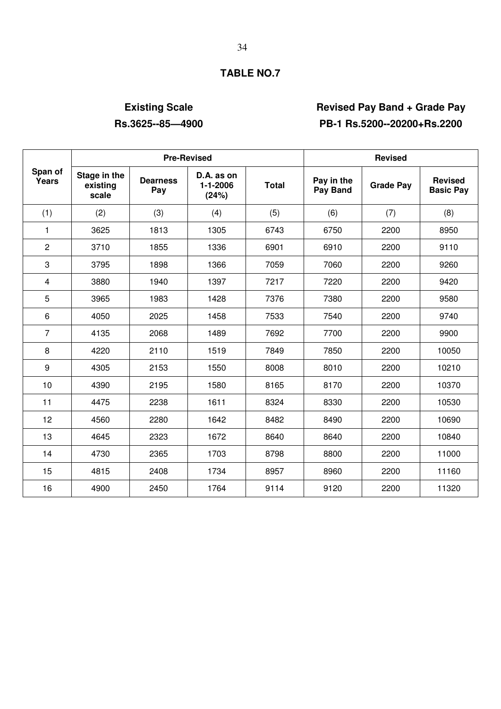# **Existing Scale Revised Pay Band + Grade Pay Rs.3625--85—4900 PB-1 Rs.5200--20200+Rs.2200**

|                         |                                   |                        | <b>Pre-Revised</b>              | <b>Revised</b> |                        |                  |                                    |
|-------------------------|-----------------------------------|------------------------|---------------------------------|----------------|------------------------|------------------|------------------------------------|
| Span of<br><b>Years</b> | Stage in the<br>existing<br>scale | <b>Dearness</b><br>Pay | D.A. as on<br>1-1-2006<br>(24%) | <b>Total</b>   | Pay in the<br>Pay Band | <b>Grade Pay</b> | <b>Revised</b><br><b>Basic Pay</b> |
| (1)                     | (2)                               | (3)                    | (4)                             | (5)            | (6)                    | (7)              | (8)                                |
| 1                       | 3625                              | 1813                   | 1305                            | 6743           | 6750                   | 2200             | 8950                               |
| $\overline{2}$          | 3710                              | 1855                   | 1336                            | 6901           | 6910                   | 2200             | 9110                               |
| 3                       | 3795                              | 1898                   | 1366                            | 7059           | 7060                   | 2200             | 9260                               |
| $\overline{4}$          | 3880                              | 1940                   | 1397                            | 7217           | 7220                   | 2200             | 9420                               |
| 5                       | 3965                              | 1983                   | 1428                            | 7376           | 7380                   | 2200             | 9580                               |
| 6                       | 4050                              | 2025                   | 1458                            | 7533           | 7540                   | 2200             | 9740                               |
| $\overline{7}$          | 4135                              | 2068                   | 1489                            | 7692           | 7700                   | 2200             | 9900                               |
| 8                       | 4220                              | 2110                   | 1519                            | 7849           | 7850                   | 2200             | 10050                              |
| 9                       | 4305                              | 2153                   | 1550                            | 8008           | 8010                   | 2200             | 10210                              |
| 10                      | 4390                              | 2195                   | 1580                            | 8165           | 8170                   | 2200             | 10370                              |
| 11                      | 4475                              | 2238                   | 1611                            | 8324           | 8330                   | 2200             | 10530                              |
| 12                      | 4560                              | 2280                   | 1642                            | 8482           | 8490                   | 2200             | 10690                              |
| 13                      | 4645                              | 2323                   | 1672                            | 8640           | 8640                   | 2200             | 10840                              |
| 14                      | 4730                              | 2365                   | 1703                            | 8798           | 8800                   | 2200             | 11000                              |
| 15                      | 4815                              | 2408                   | 1734                            | 8957           | 8960                   | 2200             | 11160                              |
| 16                      | 4900                              | 2450                   | 1764                            | 9114           | 9120                   | 2200             | 11320                              |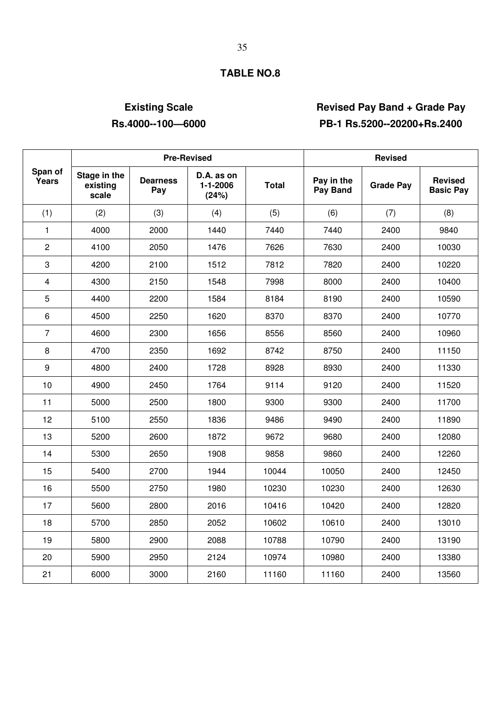# **Existing Scale Revised Pay Band + Grade Pay Rs.4000--100—6000 PB-1 Rs.5200--20200+Rs.2400**

|                  |                                   |                        | <b>Pre-Revised</b>              | <b>Revised</b> |                        |                  |                                    |
|------------------|-----------------------------------|------------------------|---------------------------------|----------------|------------------------|------------------|------------------------------------|
| Span of<br>Years | Stage in the<br>existing<br>scale | <b>Dearness</b><br>Pay | D.A. as on<br>1-1-2006<br>(24%) | <b>Total</b>   | Pay in the<br>Pay Band | <b>Grade Pay</b> | <b>Revised</b><br><b>Basic Pay</b> |
| (1)              | (2)                               | (3)                    | (4)                             | (5)            | (6)                    | (7)              | (8)                                |
| $\mathbf{1}$     | 4000                              | 2000                   | 1440                            | 7440           | 7440                   | 2400             | 9840                               |
| $\overline{2}$   | 4100                              | 2050                   | 1476                            | 7626           | 7630                   | 2400             | 10030                              |
| 3                | 4200                              | 2100                   | 1512                            | 7812           | 7820                   | 2400             | 10220                              |
| $\overline{4}$   | 4300                              | 2150                   | 1548                            | 7998           | 8000                   | 2400             | 10400                              |
| $\overline{5}$   | 4400                              | 2200                   | 1584                            | 8184           | 8190                   | 2400             | 10590                              |
| 6                | 4500                              | 2250                   | 1620                            | 8370           | 8370                   | 2400             | 10770                              |
| $\overline{7}$   | 4600                              | 2300                   | 1656                            | 8556           | 8560                   | 2400             | 10960                              |
| 8                | 4700                              | 2350                   | 1692                            | 8742           | 8750                   | 2400             | 11150                              |
| 9                | 4800                              | 2400                   | 1728                            | 8928           | 8930                   | 2400             | 11330                              |
| 10               | 4900                              | 2450                   | 1764                            | 9114           | 9120                   | 2400             | 11520                              |
| 11               | 5000                              | 2500                   | 1800                            | 9300           | 9300                   | 2400             | 11700                              |
| 12               | 5100                              | 2550                   | 1836                            | 9486           | 9490                   | 2400             | 11890                              |
| 13               | 5200                              | 2600                   | 1872                            | 9672           | 9680                   | 2400             | 12080                              |
| 14               | 5300                              | 2650                   | 1908                            | 9858           | 9860                   | 2400             | 12260                              |
| 15               | 5400                              | 2700                   | 1944                            | 10044          | 10050                  | 2400             | 12450                              |
| 16               | 5500                              | 2750                   | 1980                            | 10230          | 10230                  | 2400             | 12630                              |
| 17               | 5600                              | 2800                   | 2016                            | 10416          | 10420                  | 2400             | 12820                              |
| 18               | 5700                              | 2850                   | 2052                            | 10602          | 10610                  | 2400             | 13010                              |
| 19               | 5800                              | 2900                   | 2088                            | 10788          | 10790                  | 2400             | 13190                              |
| 20               | 5900                              | 2950                   | 2124                            | 10974          | 10980                  | 2400             | 13380                              |
| 21               | 6000                              | 3000                   | 2160                            | 11160          | 11160                  | 2400             | 13560                              |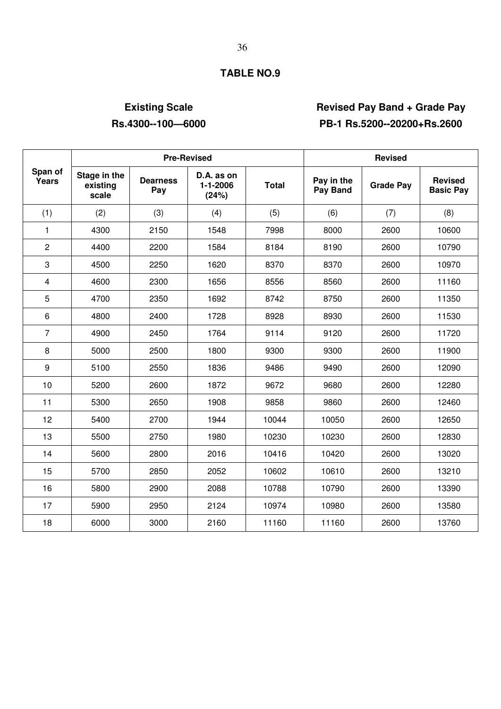# **Existing Scale Revised Pay Band + Grade Pay Rs.4300--100—6000 PB-1 Rs.5200--20200+Rs.2600**

|                  |                                   | <b>Pre-Revised</b>     |                                 | <b>Revised</b> |                        |                  |                                    |
|------------------|-----------------------------------|------------------------|---------------------------------|----------------|------------------------|------------------|------------------------------------|
| Span of<br>Years | Stage in the<br>existing<br>scale | <b>Dearness</b><br>Pay | D.A. as on<br>1-1-2006<br>(24%) | <b>Total</b>   | Pay in the<br>Pay Band | <b>Grade Pay</b> | <b>Revised</b><br><b>Basic Pay</b> |
| (1)              | (2)                               | (3)                    | (4)                             | (5)            | (6)                    | (7)              | (8)                                |
| $\mathbf{1}$     | 4300                              | 2150                   | 1548                            | 7998           | 8000                   | 2600             | 10600                              |
| $\overline{2}$   | 4400                              | 2200                   | 1584                            | 8184           | 8190                   | 2600             | 10790                              |
| 3                | 4500                              | 2250                   | 1620                            | 8370           | 8370                   | 2600             | 10970                              |
| $\overline{4}$   | 4600                              | 2300                   | 1656                            | 8556           | 8560                   | 2600             | 11160                              |
| 5                | 4700                              | 2350                   | 1692                            | 8742           | 8750                   | 2600             | 11350                              |
| 6                | 4800                              | 2400                   | 1728                            | 8928           | 8930                   | 2600             | 11530                              |
| $\overline{7}$   | 4900                              | 2450                   | 1764                            | 9114           | 9120                   | 2600             | 11720                              |
| 8                | 5000                              | 2500                   | 1800                            | 9300           | 9300                   | 2600             | 11900                              |
| 9                | 5100                              | 2550                   | 1836                            | 9486           | 9490                   | 2600             | 12090                              |
| 10               | 5200                              | 2600                   | 1872                            | 9672           | 9680                   | 2600             | 12280                              |
| 11               | 5300                              | 2650                   | 1908                            | 9858           | 9860                   | 2600             | 12460                              |
| 12               | 5400                              | 2700                   | 1944                            | 10044          | 10050                  | 2600             | 12650                              |
| 13               | 5500                              | 2750                   | 1980                            | 10230          | 10230                  | 2600             | 12830                              |
| 14               | 5600                              | 2800                   | 2016                            | 10416          | 10420                  | 2600             | 13020                              |
| 15               | 5700                              | 2850                   | 2052                            | 10602          | 10610                  | 2600             | 13210                              |
| 16               | 5800                              | 2900                   | 2088                            | 10788          | 10790                  | 2600             | 13390                              |
| 17               | 5900                              | 2950                   | 2124                            | 10974          | 10980                  | 2600             | 13580                              |
| 18               | 6000                              | 3000                   | 2160                            | 11160          | 11160                  | 2600             | 13760                              |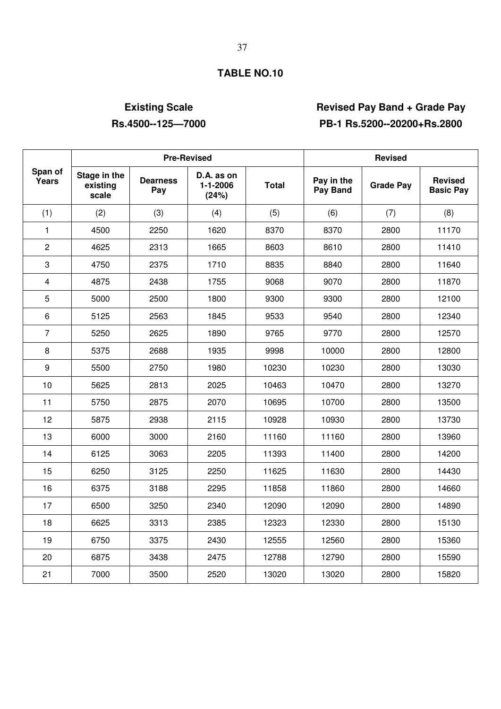# **Existing Scale Revised Pay Band + Grade Pay Rs.4500--125—7000 PB-1 Rs.5200--20200+Rs.2800**

|                  |                                   | <b>Pre-Revised</b>     |                                 | <b>Revised</b> |                        |                  |                                    |
|------------------|-----------------------------------|------------------------|---------------------------------|----------------|------------------------|------------------|------------------------------------|
| Span of<br>Years | Stage in the<br>existing<br>scale | <b>Dearness</b><br>Pay | D.A. as on<br>1-1-2006<br>(24%) | <b>Total</b>   | Pay in the<br>Pay Band | <b>Grade Pay</b> | <b>Revised</b><br><b>Basic Pay</b> |
| (1)              | (2)                               | (3)                    | (4)                             | (5)            | (6)                    | (7)              | (8)                                |
| $\mathbf{1}$     | 4500                              | 2250                   | 1620                            | 8370           | 8370                   | 2800             | 11170                              |
| $\overline{c}$   | 4625                              | 2313                   | 1665                            | 8603           | 8610                   | 2800             | 11410                              |
| 3                | 4750                              | 2375                   | 1710                            | 8835           | 8840                   | 2800             | 11640                              |
| $\overline{4}$   | 4875                              | 2438                   | 1755                            | 9068           | 9070                   | 2800             | 11870                              |
| 5                | 5000                              | 2500                   | 1800                            | 9300           | 9300                   | 2800             | 12100                              |
| 6                | 5125                              | 2563                   | 1845                            | 9533           | 9540                   | 2800             | 12340                              |
| $\overline{7}$   | 5250                              | 2625                   | 1890                            | 9765           | 9770                   | 2800             | 12570                              |
| 8                | 5375                              | 2688                   | 1935                            | 9998           | 10000                  | 2800             | 12800                              |
| 9                | 5500                              | 2750                   | 1980                            | 10230          | 10230                  | 2800             | 13030                              |
| 10               | 5625                              | 2813                   | 2025                            | 10463          | 10470                  | 2800             | 13270                              |
| 11               | 5750                              | 2875                   | 2070                            | 10695          | 10700                  | 2800             | 13500                              |
| 12               | 5875                              | 2938                   | 2115                            | 10928          | 10930                  | 2800             | 13730                              |
| 13               | 6000                              | 3000                   | 2160                            | 11160          | 11160                  | 2800             | 13960                              |
| 14               | 6125                              | 3063                   | 2205                            | 11393          | 11400                  | 2800             | 14200                              |
| 15               | 6250                              | 3125                   | 2250                            | 11625          | 11630                  | 2800             | 14430                              |
| 16               | 6375                              | 3188                   | 2295                            | 11858          | 11860                  | 2800             | 14660                              |
| 17               | 6500                              | 3250                   | 2340                            | 12090          | 12090                  | 2800             | 14890                              |
| 18               | 6625                              | 3313                   | 2385                            | 12323          | 12330                  | 2800             | 15130                              |
| 19               | 6750                              | 3375                   | 2430                            | 12555          | 12560                  | 2800             | 15360                              |
| 20               | 6875                              | 3438                   | 2475                            | 12788          | 12790                  | 2800             | 15590                              |
| 21               | 7000                              | 3500                   | 2520                            | 13020          | 13020                  | 2800             | 15820                              |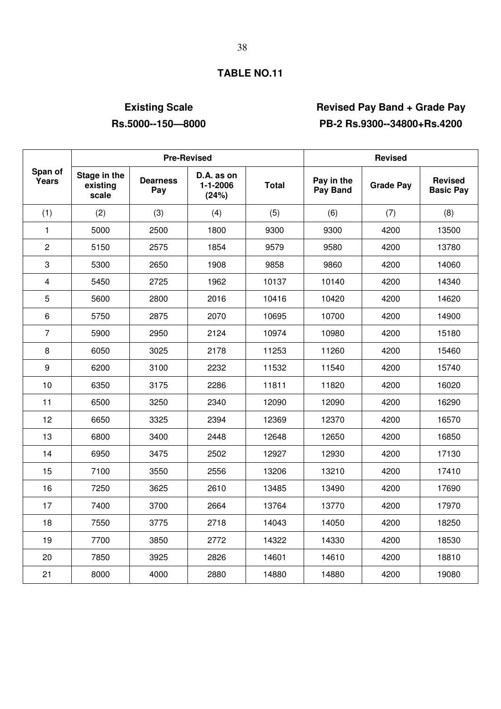# **Existing Scale Revised Pay Band + Grade Pay Rs.5000--150—8000 PB-2 Rs.9300--34800+Rs.4200**

|                         |                                   |                        | <b>Pre-Revised</b>              | <b>Revised</b> |                        |                  |                                    |
|-------------------------|-----------------------------------|------------------------|---------------------------------|----------------|------------------------|------------------|------------------------------------|
| Span of<br>Years        | Stage in the<br>existing<br>scale | <b>Dearness</b><br>Pay | D.A. as on<br>1-1-2006<br>(24%) | <b>Total</b>   | Pay in the<br>Pay Band | <b>Grade Pay</b> | <b>Revised</b><br><b>Basic Pay</b> |
| (1)                     | (2)                               | (3)                    | (4)                             | (5)            | (6)                    | (7)              | (8)                                |
| $\mathbf{1}$            | 5000                              | 2500                   | 1800                            | 9300           | 9300                   | 4200             | 13500                              |
| $\overline{2}$          | 5150                              | 2575                   | 1854                            | 9579           | 9580                   | 4200             | 13780                              |
| 3                       | 5300                              | 2650                   | 1908                            | 9858           | 9860                   | 4200             | 14060                              |
| $\overline{\mathbf{4}}$ | 5450                              | 2725                   | 1962                            | 10137          | 10140                  | 4200             | 14340                              |
| 5                       | 5600                              | 2800                   | 2016                            | 10416          | 10420                  | 4200             | 14620                              |
| 6                       | 5750                              | 2875                   | 2070                            | 10695          | 10700                  | 4200             | 14900                              |
| $\overline{7}$          | 5900                              | 2950                   | 2124                            | 10974          | 10980                  | 4200             | 15180                              |
| 8                       | 6050                              | 3025                   | 2178                            | 11253          | 11260                  | 4200             | 15460                              |
| 9                       | 6200                              | 3100                   | 2232                            | 11532          | 11540                  | 4200             | 15740                              |
| 10                      | 6350                              | 3175                   | 2286                            | 11811          | 11820                  | 4200             | 16020                              |
| 11                      | 6500                              | 3250                   | 2340                            | 12090          | 12090                  | 4200             | 16290                              |
| 12                      | 6650                              | 3325                   | 2394                            | 12369          | 12370                  | 4200             | 16570                              |
| 13                      | 6800                              | 3400                   | 2448                            | 12648          | 12650                  | 4200             | 16850                              |
| 14                      | 6950                              | 3475                   | 2502                            | 12927          | 12930                  | 4200             | 17130                              |
| 15                      | 7100                              | 3550                   | 2556                            | 13206          | 13210                  | 4200             | 17410                              |
| 16                      | 7250                              | 3625                   | 2610                            | 13485          | 13490                  | 4200             | 17690                              |
| 17                      | 7400                              | 3700                   | 2664                            | 13764          | 13770                  | 4200             | 17970                              |
| 18                      | 7550                              | 3775                   | 2718                            | 14043          | 14050                  | 4200             | 18250                              |
| 19                      | 7700                              | 3850                   | 2772                            | 14322          | 14330                  | 4200             | 18530                              |
| 20                      | 7850                              | 3925                   | 2826                            | 14601          | 14610                  | 4200             | 18810                              |
| 21                      | 8000                              | 4000                   | 2880                            | 14880          | 14880                  | 4200             | 19080                              |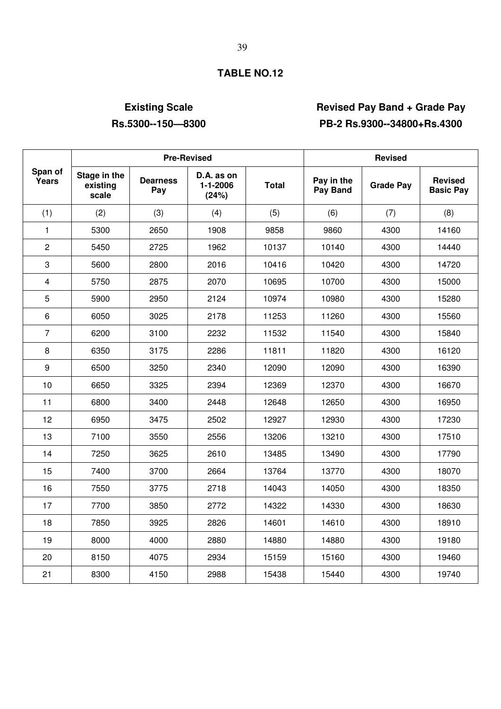# **Existing Scale Revised Pay Band + Grade Pay Rs.5300--150—8300 PB-2 Rs.9300--34800+Rs.4300**

|                  |                                   | <b>Pre-Revised</b>     |                                       | <b>Revised</b> |                        |                  |                                    |
|------------------|-----------------------------------|------------------------|---------------------------------------|----------------|------------------------|------------------|------------------------------------|
| Span of<br>Years | Stage in the<br>existing<br>scale | <b>Dearness</b><br>Pay | D.A. as on<br>$1 - 1 - 2006$<br>(24%) | <b>Total</b>   | Pay in the<br>Pay Band | <b>Grade Pay</b> | <b>Revised</b><br><b>Basic Pay</b> |
| (1)              | (2)                               | (3)                    | (4)                                   | (5)            | (6)                    | (7)              | (8)                                |
| $\mathbf{1}$     | 5300                              | 2650                   | 1908                                  | 9858           | 9860                   | 4300             | 14160                              |
| $\overline{c}$   | 5450                              | 2725                   | 1962                                  | 10137          | 10140                  | 4300             | 14440                              |
| 3                | 5600                              | 2800                   | 2016                                  | 10416          | 10420                  | 4300             | 14720                              |
| $\overline{4}$   | 5750                              | 2875                   | 2070                                  | 10695          | 10700                  | 4300             | 15000                              |
| 5                | 5900                              | 2950                   | 2124                                  | 10974          | 10980                  | 4300             | 15280                              |
| 6                | 6050                              | 3025                   | 2178                                  | 11253          | 11260                  | 4300             | 15560                              |
| $\overline{7}$   | 6200                              | 3100                   | 2232                                  | 11532          | 11540                  | 4300             | 15840                              |
| 8                | 6350                              | 3175                   | 2286                                  | 11811          | 11820                  | 4300             | 16120                              |
| $\boldsymbol{9}$ | 6500                              | 3250                   | 2340                                  | 12090          | 12090                  | 4300             | 16390                              |
| 10               | 6650                              | 3325                   | 2394                                  | 12369          | 12370                  | 4300             | 16670                              |
| 11               | 6800                              | 3400                   | 2448                                  | 12648          | 12650                  | 4300             | 16950                              |
| 12               | 6950                              | 3475                   | 2502                                  | 12927          | 12930                  | 4300             | 17230                              |
| 13               | 7100                              | 3550                   | 2556                                  | 13206          | 13210                  | 4300             | 17510                              |
| 14               | 7250                              | 3625                   | 2610                                  | 13485          | 13490                  | 4300             | 17790                              |
| 15               | 7400                              | 3700                   | 2664                                  | 13764          | 13770                  | 4300             | 18070                              |
| 16               | 7550                              | 3775                   | 2718                                  | 14043          | 14050                  | 4300             | 18350                              |
| 17               | 7700                              | 3850                   | 2772                                  | 14322          | 14330                  | 4300             | 18630                              |
| 18               | 7850                              | 3925                   | 2826                                  | 14601          | 14610                  | 4300             | 18910                              |
| 19               | 8000                              | 4000                   | 2880                                  | 14880          | 14880                  | 4300             | 19180                              |
| 20               | 8150                              | 4075                   | 2934                                  | 15159          | 15160                  | 4300             | 19460                              |
| 21               | 8300                              | 4150                   | 2988                                  | 15438          | 15440                  | 4300             | 19740                              |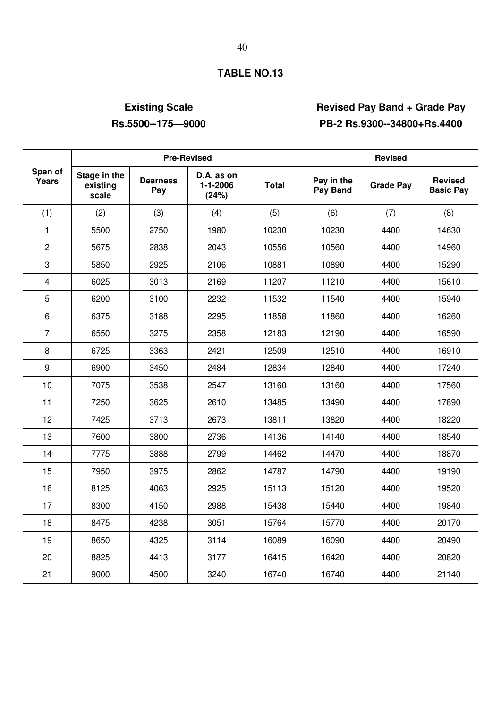# **Existing Scale Revised Pay Band + Grade Pay Rs.5500--175—9000 PB-2 Rs.9300--34800+Rs.4400**

|                  |                                   |                        | <b>Pre-Revised</b>              | <b>Revised</b> |                        |                  |                                    |
|------------------|-----------------------------------|------------------------|---------------------------------|----------------|------------------------|------------------|------------------------------------|
| Span of<br>Years | Stage in the<br>existing<br>scale | <b>Dearness</b><br>Pay | D.A. as on<br>1-1-2006<br>(24%) | <b>Total</b>   | Pay in the<br>Pay Band | <b>Grade Pay</b> | <b>Revised</b><br><b>Basic Pay</b> |
| (1)              | (2)                               | (3)                    | (4)                             | (5)            | (6)                    | (7)              | (8)                                |
| $\mathbf{1}$     | 5500                              | 2750                   | 1980                            | 10230          | 10230                  | 4400             | 14630                              |
| $\overline{2}$   | 5675                              | 2838                   | 2043                            | 10556          | 10560                  | 4400             | 14960                              |
| 3                | 5850                              | 2925                   | 2106                            | 10881          | 10890                  | 4400             | 15290                              |
| $\overline{4}$   | 6025                              | 3013                   | 2169                            | 11207          | 11210                  | 4400             | 15610                              |
| $\overline{5}$   | 6200                              | 3100                   | 2232                            | 11532          | 11540                  | 4400             | 15940                              |
| 6                | 6375                              | 3188                   | 2295                            | 11858          | 11860                  | 4400             | 16260                              |
| $\overline{7}$   | 6550                              | 3275                   | 2358                            | 12183          | 12190                  | 4400             | 16590                              |
| 8                | 6725                              | 3363                   | 2421                            | 12509          | 12510                  | 4400             | 16910                              |
| $\boldsymbol{9}$ | 6900                              | 3450                   | 2484                            | 12834          | 12840                  | 4400             | 17240                              |
| 10               | 7075                              | 3538                   | 2547                            | 13160          | 13160                  | 4400             | 17560                              |
| 11               | 7250                              | 3625                   | 2610                            | 13485          | 13490                  | 4400             | 17890                              |
| 12               | 7425                              | 3713                   | 2673                            | 13811          | 13820                  | 4400             | 18220                              |
| 13               | 7600                              | 3800                   | 2736                            | 14136          | 14140                  | 4400             | 18540                              |
| 14               | 7775                              | 3888                   | 2799                            | 14462          | 14470                  | 4400             | 18870                              |
| 15               | 7950                              | 3975                   | 2862                            | 14787          | 14790                  | 4400             | 19190                              |
| 16               | 8125                              | 4063                   | 2925                            | 15113          | 15120                  | 4400             | 19520                              |
| 17               | 8300                              | 4150                   | 2988                            | 15438          | 15440                  | 4400             | 19840                              |
| 18               | 8475                              | 4238                   | 3051                            | 15764          | 15770                  | 4400             | 20170                              |
| 19               | 8650                              | 4325                   | 3114                            | 16089          | 16090                  | 4400             | 20490                              |
| 20               | 8825                              | 4413                   | 3177                            | 16415          | 16420                  | 4400             | 20820                              |
| 21               | 9000                              | 4500                   | 3240                            | 16740          | 16740                  | 4400             | 21140                              |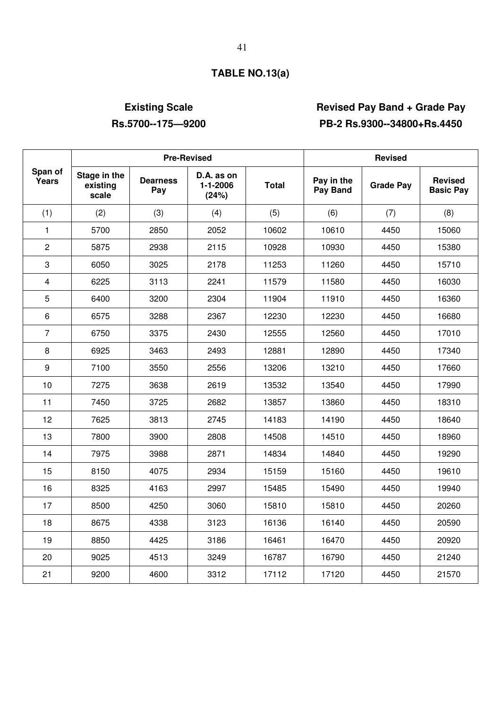# **TABLE NO.13(a)**

# **Existing Scale Revised Pay Band + Grade Pay Rs.5700--175—9200 PB-2 Rs.9300--34800+Rs.4450**

|                  |                                   |                        | <b>Pre-Revised</b>              | <b>Revised</b> |                        |                  |                                    |
|------------------|-----------------------------------|------------------------|---------------------------------|----------------|------------------------|------------------|------------------------------------|
| Span of<br>Years | Stage in the<br>existing<br>scale | <b>Dearness</b><br>Pay | D.A. as on<br>1-1-2006<br>(24%) | <b>Total</b>   | Pay in the<br>Pay Band | <b>Grade Pay</b> | <b>Revised</b><br><b>Basic Pay</b> |
| (1)              | (2)                               | (3)                    | (4)                             | (5)            | (6)                    | (7)              | (8)                                |
| $\mathbf{1}$     | 5700                              | 2850                   | 2052                            | 10602          | 10610                  | 4450             | 15060                              |
| $\overline{2}$   | 5875                              | 2938                   | 2115                            | 10928          | 10930                  | 4450             | 15380                              |
| 3                | 6050                              | 3025                   | 2178                            | 11253          | 11260                  | 4450             | 15710                              |
| $\overline{4}$   | 6225                              | 3113                   | 2241                            | 11579          | 11580                  | 4450             | 16030                              |
| $\sqrt{5}$       | 6400                              | 3200                   | 2304                            | 11904          | 11910                  | 4450             | 16360                              |
| 6                | 6575                              | 3288                   | 2367                            | 12230          | 12230                  | 4450             | 16680                              |
| $\overline{7}$   | 6750                              | 3375                   | 2430                            | 12555          | 12560                  | 4450             | 17010                              |
| 8                | 6925                              | 3463                   | 2493                            | 12881          | 12890                  | 4450             | 17340                              |
| $\boldsymbol{9}$ | 7100                              | 3550                   | 2556                            | 13206          | 13210                  | 4450             | 17660                              |
| 10               | 7275                              | 3638                   | 2619                            | 13532          | 13540                  | 4450             | 17990                              |
| 11               | 7450                              | 3725                   | 2682                            | 13857          | 13860                  | 4450             | 18310                              |
| 12               | 7625                              | 3813                   | 2745                            | 14183          | 14190                  | 4450             | 18640                              |
| 13               | 7800                              | 3900                   | 2808                            | 14508          | 14510                  | 4450             | 18960                              |
| 14               | 7975                              | 3988                   | 2871                            | 14834          | 14840                  | 4450             | 19290                              |
| 15               | 8150                              | 4075                   | 2934                            | 15159          | 15160                  | 4450             | 19610                              |
| 16               | 8325                              | 4163                   | 2997                            | 15485          | 15490                  | 4450             | 19940                              |
| 17               | 8500                              | 4250                   | 3060                            | 15810          | 15810                  | 4450             | 20260                              |
| 18               | 8675                              | 4338                   | 3123                            | 16136          | 16140                  | 4450             | 20590                              |
| 19               | 8850                              | 4425                   | 3186                            | 16461          | 16470                  | 4450             | 20920                              |
| 20               | 9025                              | 4513                   | 3249                            | 16787          | 16790                  | 4450             | 21240                              |
| 21               | 9200                              | 4600                   | 3312                            | 17112          | 17120                  | 4450             | 21570                              |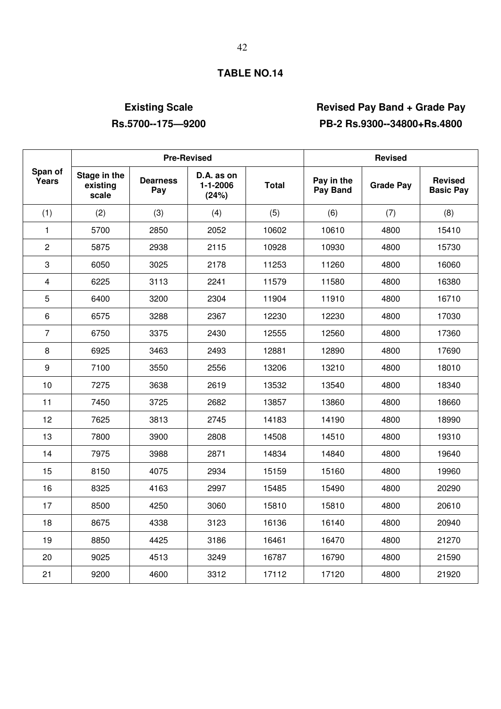# **Existing Scale Revised Pay Band + Grade Pay Rs.5700--175—9200 PB-2 Rs.9300--34800+Rs.4800**

|                  |                                   | <b>Pre-Revised</b>     |                                       | <b>Revised</b> |                        |                  |                                    |
|------------------|-----------------------------------|------------------------|---------------------------------------|----------------|------------------------|------------------|------------------------------------|
| Span of<br>Years | Stage in the<br>existing<br>scale | <b>Dearness</b><br>Pay | D.A. as on<br>$1 - 1 - 2006$<br>(24%) | <b>Total</b>   | Pay in the<br>Pay Band | <b>Grade Pay</b> | <b>Revised</b><br><b>Basic Pay</b> |
| (1)              | (2)                               | (3)                    | (4)                                   | (5)            | (6)                    | (7)              | (8)                                |
| $\mathbf{1}$     | 5700                              | 2850                   | 2052                                  | 10602          | 10610                  | 4800             | 15410                              |
| $\overline{2}$   | 5875                              | 2938                   | 2115                                  | 10928          | 10930                  | 4800             | 15730                              |
| 3                | 6050                              | 3025                   | 2178                                  | 11253          | 11260                  | 4800             | 16060                              |
| $\overline{4}$   | 6225                              | 3113                   | 2241                                  | 11579          | 11580                  | 4800             | 16380                              |
| 5                | 6400                              | 3200                   | 2304                                  | 11904          | 11910                  | 4800             | 16710                              |
| 6                | 6575                              | 3288                   | 2367                                  | 12230          | 12230                  | 4800             | 17030                              |
| $\overline{7}$   | 6750                              | 3375                   | 2430                                  | 12555          | 12560                  | 4800             | 17360                              |
| 8                | 6925                              | 3463                   | 2493                                  | 12881          | 12890                  | 4800             | 17690                              |
| 9                | 7100                              | 3550                   | 2556                                  | 13206          | 13210                  | 4800             | 18010                              |
| 10               | 7275                              | 3638                   | 2619                                  | 13532          | 13540                  | 4800             | 18340                              |
| 11               | 7450                              | 3725                   | 2682                                  | 13857          | 13860                  | 4800             | 18660                              |
| 12               | 7625                              | 3813                   | 2745                                  | 14183          | 14190                  | 4800             | 18990                              |
| 13               | 7800                              | 3900                   | 2808                                  | 14508          | 14510                  | 4800             | 19310                              |
| 14               | 7975                              | 3988                   | 2871                                  | 14834          | 14840                  | 4800             | 19640                              |
| 15               | 8150                              | 4075                   | 2934                                  | 15159          | 15160                  | 4800             | 19960                              |
| 16               | 8325                              | 4163                   | 2997                                  | 15485          | 15490                  | 4800             | 20290                              |
| 17               | 8500                              | 4250                   | 3060                                  | 15810          | 15810                  | 4800             | 20610                              |
| 18               | 8675                              | 4338                   | 3123                                  | 16136          | 16140                  | 4800             | 20940                              |
| 19               | 8850                              | 4425                   | 3186                                  | 16461          | 16470                  | 4800             | 21270                              |
| 20               | 9025                              | 4513                   | 3249                                  | 16787          | 16790                  | 4800             | 21590                              |
| 21               | 9200                              | 4600                   | 3312                                  | 17112          | 17120                  | 4800             | 21920                              |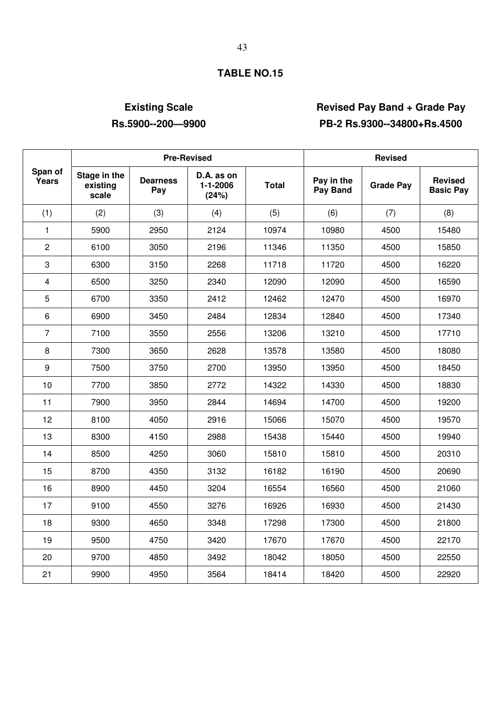# **Existing Scale Revised Pay Band + Grade Pay Rs.5900--200—9900 PB-2 Rs.9300--34800+Rs.4500**

|                         |                                   |                        | <b>Pre-Revised</b>              | <b>Revised</b> |                        |                  |                                    |
|-------------------------|-----------------------------------|------------------------|---------------------------------|----------------|------------------------|------------------|------------------------------------|
| Span of<br>Years        | Stage in the<br>existing<br>scale | <b>Dearness</b><br>Pay | D.A. as on<br>1-1-2006<br>(24%) | <b>Total</b>   | Pay in the<br>Pay Band | <b>Grade Pay</b> | <b>Revised</b><br><b>Basic Pay</b> |
| (1)                     | (2)                               | (3)                    | (4)                             | (5)            | (6)                    | (7)              | (8)                                |
| $\mathbf{1}$            | 5900                              | 2950                   | 2124                            | 10974          | 10980                  | 4500             | 15480                              |
| $\overline{2}$          | 6100                              | 3050                   | 2196                            | 11346          | 11350                  | 4500             | 15850                              |
| 3                       | 6300                              | 3150                   | 2268                            | 11718          | 11720                  | 4500             | 16220                              |
| $\overline{\mathbf{4}}$ | 6500                              | 3250                   | 2340                            | 12090          | 12090                  | 4500             | 16590                              |
| $\sqrt{5}$              | 6700                              | 3350                   | 2412                            | 12462          | 12470                  | 4500             | 16970                              |
| 6                       | 6900                              | 3450                   | 2484                            | 12834          | 12840                  | 4500             | 17340                              |
| $\overline{7}$          | 7100                              | 3550                   | 2556                            | 13206          | 13210                  | 4500             | 17710                              |
| 8                       | 7300                              | 3650                   | 2628                            | 13578          | 13580                  | 4500             | 18080                              |
| $\boldsymbol{9}$        | 7500                              | 3750                   | 2700                            | 13950          | 13950                  | 4500             | 18450                              |
| 10                      | 7700                              | 3850                   | 2772                            | 14322          | 14330                  | 4500             | 18830                              |
| 11                      | 7900                              | 3950                   | 2844                            | 14694          | 14700                  | 4500             | 19200                              |
| 12                      | 8100                              | 4050                   | 2916                            | 15066          | 15070                  | 4500             | 19570                              |
| 13                      | 8300                              | 4150                   | 2988                            | 15438          | 15440                  | 4500             | 19940                              |
| 14                      | 8500                              | 4250                   | 3060                            | 15810          | 15810                  | 4500             | 20310                              |
| 15                      | 8700                              | 4350                   | 3132                            | 16182          | 16190                  | 4500             | 20690                              |
| 16                      | 8900                              | 4450                   | 3204                            | 16554          | 16560                  | 4500             | 21060                              |
| 17                      | 9100                              | 4550                   | 3276                            | 16926          | 16930                  | 4500             | 21430                              |
| 18                      | 9300                              | 4650                   | 3348                            | 17298          | 17300                  | 4500             | 21800                              |
| 19                      | 9500                              | 4750                   | 3420                            | 17670          | 17670                  | 4500             | 22170                              |
| 20                      | 9700                              | 4850                   | 3492                            | 18042          | 18050                  | 4500             | 22550                              |
| 21                      | 9900                              | 4950                   | 3564                            | 18414          | 18420                  | 4500             | 22920                              |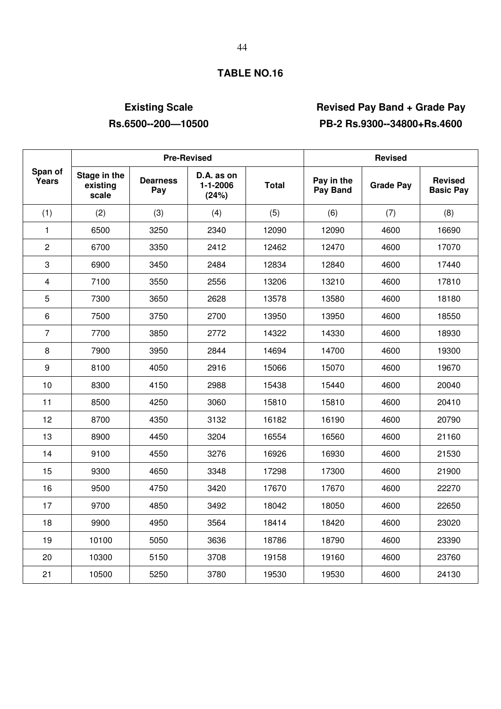# **Existing Scale Revised Pay Band + Grade Pay Rs.6500--200—10500 PB-2 Rs.9300--34800+Rs.4600**

|                  |                                   |                        | <b>Pre-Revised</b>              | <b>Revised</b> |                        |                  |                                    |
|------------------|-----------------------------------|------------------------|---------------------------------|----------------|------------------------|------------------|------------------------------------|
| Span of<br>Years | Stage in the<br>existing<br>scale | <b>Dearness</b><br>Pay | D.A. as on<br>1-1-2006<br>(24%) | <b>Total</b>   | Pay in the<br>Pay Band | <b>Grade Pay</b> | <b>Revised</b><br><b>Basic Pay</b> |
| (1)              | (2)                               | (3)                    | (4)                             | (5)            | (6)                    | (7)              | (8)                                |
| $\mathbf{1}$     | 6500                              | 3250                   | 2340                            | 12090          | 12090                  | 4600             | 16690                              |
| $\overline{2}$   | 6700                              | 3350                   | 2412                            | 12462          | 12470                  | 4600             | 17070                              |
| 3                | 6900                              | 3450                   | 2484                            | 12834          | 12840                  | 4600             | 17440                              |
| $\overline{4}$   | 7100                              | 3550                   | 2556                            | 13206          | 13210                  | 4600             | 17810                              |
| 5                | 7300                              | 3650                   | 2628                            | 13578          | 13580                  | 4600             | 18180                              |
| 6                | 7500                              | 3750                   | 2700                            | 13950          | 13950                  | 4600             | 18550                              |
| $\overline{7}$   | 7700                              | 3850                   | 2772                            | 14322          | 14330                  | 4600             | 18930                              |
| 8                | 7900                              | 3950                   | 2844                            | 14694          | 14700                  | 4600             | 19300                              |
| 9                | 8100                              | 4050                   | 2916                            | 15066          | 15070                  | 4600             | 19670                              |
| 10               | 8300                              | 4150                   | 2988                            | 15438          | 15440                  | 4600             | 20040                              |
| 11               | 8500                              | 4250                   | 3060                            | 15810          | 15810                  | 4600             | 20410                              |
| 12               | 8700                              | 4350                   | 3132                            | 16182          | 16190                  | 4600             | 20790                              |
| 13               | 8900                              | 4450                   | 3204                            | 16554          | 16560                  | 4600             | 21160                              |
| 14               | 9100                              | 4550                   | 3276                            | 16926          | 16930                  | 4600             | 21530                              |
| 15               | 9300                              | 4650                   | 3348                            | 17298          | 17300                  | 4600             | 21900                              |
| 16               | 9500                              | 4750                   | 3420                            | 17670          | 17670                  | 4600             | 22270                              |
| 17               | 9700                              | 4850                   | 3492                            | 18042          | 18050                  | 4600             | 22650                              |
| 18               | 9900                              | 4950                   | 3564                            | 18414          | 18420                  | 4600             | 23020                              |
| 19               | 10100                             | 5050                   | 3636                            | 18786          | 18790                  | 4600             | 23390                              |
| 20               | 10300                             | 5150                   | 3708                            | 19158          | 19160                  | 4600             | 23760                              |
| 21               | 10500                             | 5250                   | 3780                            | 19530          | 19530                  | 4600             | 24130                              |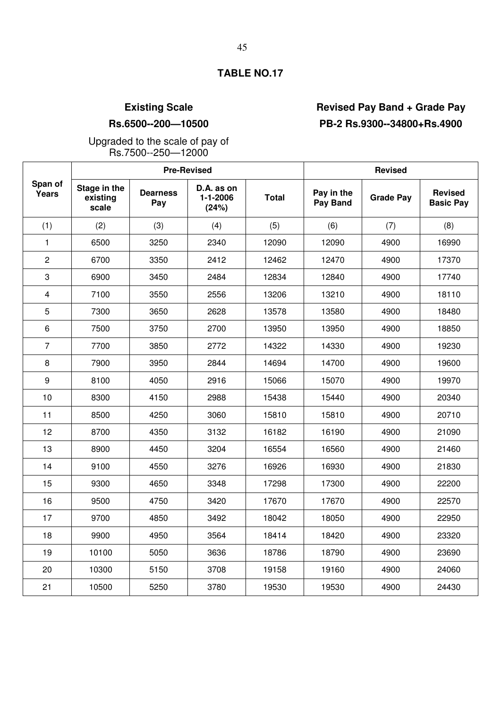# **Existing Scale Revised Pay Band + Grade Pay Rs.6500--200—10500 PB-2 Rs.9300--34800+Rs.4900**

Upgraded to the scale of pay of Rs.7500--250—12000

|                  |                                   |                        | <b>Pre-Revised</b>                    | <b>Revised</b> |                        |                  |                                    |
|------------------|-----------------------------------|------------------------|---------------------------------------|----------------|------------------------|------------------|------------------------------------|
| Span of<br>Years | Stage in the<br>existing<br>scale | <b>Dearness</b><br>Pay | D.A. as on<br>$1 - 1 - 2006$<br>(24%) | <b>Total</b>   | Pay in the<br>Pay Band | <b>Grade Pay</b> | <b>Revised</b><br><b>Basic Pay</b> |
| (1)              | (2)                               | (3)                    | (4)                                   | (5)            | (6)                    | (7)              | (8)                                |
| 1                | 6500                              | 3250                   | 2340                                  | 12090          | 12090                  | 4900             | 16990                              |
| $\overline{2}$   | 6700                              | 3350                   | 2412                                  | 12462          | 12470                  | 4900             | 17370                              |
| 3                | 6900                              | 3450                   | 2484                                  | 12834          | 12840                  | 4900             | 17740                              |
| $\overline{4}$   | 7100                              | 3550                   | 2556                                  | 13206          | 13210                  | 4900             | 18110                              |
| 5                | 7300                              | 3650                   | 2628                                  | 13578          | 13580                  | 4900             | 18480                              |
| 6                | 7500                              | 3750                   | 2700                                  | 13950          | 13950                  | 4900             | 18850                              |
| $\overline{7}$   | 7700                              | 3850                   | 2772                                  | 14322          | 14330                  | 4900             | 19230                              |
| 8                | 7900                              | 3950                   | 2844                                  | 14694          | 14700                  | 4900             | 19600                              |
| 9                | 8100                              | 4050                   | 2916                                  | 15066          | 15070                  | 4900             | 19970                              |
| 10               | 8300                              | 4150                   | 2988                                  | 15438          | 15440                  | 4900             | 20340                              |
| 11               | 8500                              | 4250                   | 3060                                  | 15810          | 15810                  | 4900             | 20710                              |
| 12               | 8700                              | 4350                   | 3132                                  | 16182          | 16190                  | 4900             | 21090                              |
| 13               | 8900                              | 4450                   | 3204                                  | 16554          | 16560                  | 4900             | 21460                              |
| 14               | 9100                              | 4550                   | 3276                                  | 16926          | 16930                  | 4900             | 21830                              |
| 15               | 9300                              | 4650                   | 3348                                  | 17298          | 17300                  | 4900             | 22200                              |
| 16               | 9500                              | 4750                   | 3420                                  | 17670          | 17670                  | 4900             | 22570                              |
| 17               | 9700                              | 4850                   | 3492                                  | 18042          | 18050                  | 4900             | 22950                              |
| 18               | 9900                              | 4950                   | 3564                                  | 18414          | 18420                  | 4900             | 23320                              |
| 19               | 10100                             | 5050                   | 3636                                  | 18786          | 18790                  | 4900             | 23690                              |
| 20               | 10300                             | 5150                   | 3708                                  | 19158          | 19160                  | 4900             | 24060                              |
| 21               | 10500                             | 5250                   | 3780                                  | 19530          | 19530                  | 4900             | 24430                              |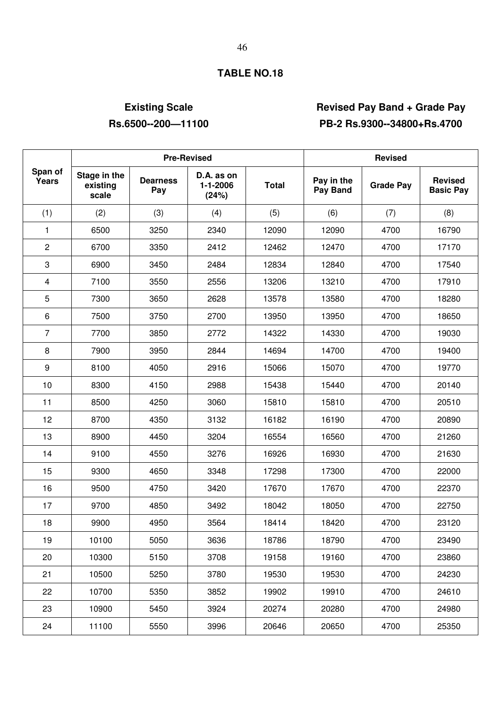# **Existing Scale Revised Pay Band + Grade Pay Rs.6500--200—11100 PB-2 Rs.9300--34800+Rs.4700**

|                         |                                   |                        | <b>Pre-Revised</b>                    | <b>Revised</b> |                        |                  |                                    |
|-------------------------|-----------------------------------|------------------------|---------------------------------------|----------------|------------------------|------------------|------------------------------------|
| Span of<br>Years        | Stage in the<br>existing<br>scale | <b>Dearness</b><br>Pay | D.A. as on<br>$1 - 1 - 2006$<br>(24%) | <b>Total</b>   | Pay in the<br>Pay Band | <b>Grade Pay</b> | <b>Revised</b><br><b>Basic Pay</b> |
| (1)                     | (2)                               | (3)                    | (4)                                   | (5)            | (6)                    | (7)              | (8)                                |
| 1                       | 6500                              | 3250                   | 2340                                  | 12090          | 12090                  | 4700             | 16790                              |
| $\overline{c}$          | 6700                              | 3350                   | 2412                                  | 12462          | 12470                  | 4700             | 17170                              |
| 3                       | 6900                              | 3450                   | 2484                                  | 12834          | 12840                  | 4700             | 17540                              |
| $\overline{\mathbf{4}}$ | 7100                              | 3550                   | 2556                                  | 13206          | 13210                  | 4700             | 17910                              |
| $\sqrt{5}$              | 7300                              | 3650                   | 2628                                  | 13578          | 13580                  | 4700             | 18280                              |
| 6                       | 7500                              | 3750                   | 2700                                  | 13950          | 13950                  | 4700             | 18650                              |
| $\overline{7}$          | 7700                              | 3850                   | 2772                                  | 14322          | 14330                  | 4700             | 19030                              |
| 8                       | 7900                              | 3950                   | 2844                                  | 14694          | 14700                  | 4700             | 19400                              |
| 9                       | 8100                              | 4050                   | 2916                                  | 15066          | 15070                  | 4700             | 19770                              |
| 10                      | 8300                              | 4150                   | 2988                                  | 15438          | 15440                  | 4700             | 20140                              |
| 11                      | 8500                              | 4250                   | 3060                                  | 15810          | 15810                  | 4700             | 20510                              |
| 12                      | 8700                              | 4350                   | 3132                                  | 16182          | 16190                  | 4700             | 20890                              |
| 13                      | 8900                              | 4450                   | 3204                                  | 16554          | 16560                  | 4700             | 21260                              |
| 14                      | 9100                              | 4550                   | 3276                                  | 16926          | 16930                  | 4700             | 21630                              |
| 15                      | 9300                              | 4650                   | 3348                                  | 17298          | 17300                  | 4700             | 22000                              |
| 16                      | 9500                              | 4750                   | 3420                                  | 17670          | 17670                  | 4700             | 22370                              |
| 17                      | 9700                              | 4850                   | 3492                                  | 18042          | 18050                  | 4700             | 22750                              |
| 18                      | 9900                              | 4950                   | 3564                                  | 18414          | 18420                  | 4700             | 23120                              |
| 19                      | 10100                             | 5050                   | 3636                                  | 18786          | 18790                  | 4700             | 23490                              |
| 20                      | 10300                             | 5150                   | 3708                                  | 19158          | 19160                  | 4700             | 23860                              |
| 21                      | 10500                             | 5250                   | 3780                                  | 19530          | 19530                  | 4700             | 24230                              |
| 22                      | 10700                             | 5350                   | 3852                                  | 19902          | 19910                  | 4700             | 24610                              |
| 23                      | 10900                             | 5450                   | 3924                                  | 20274          | 20280                  | 4700             | 24980                              |
| 24                      | 11100                             | 5550                   | 3996                                  | 20646          | 20650                  | 4700             | 25350                              |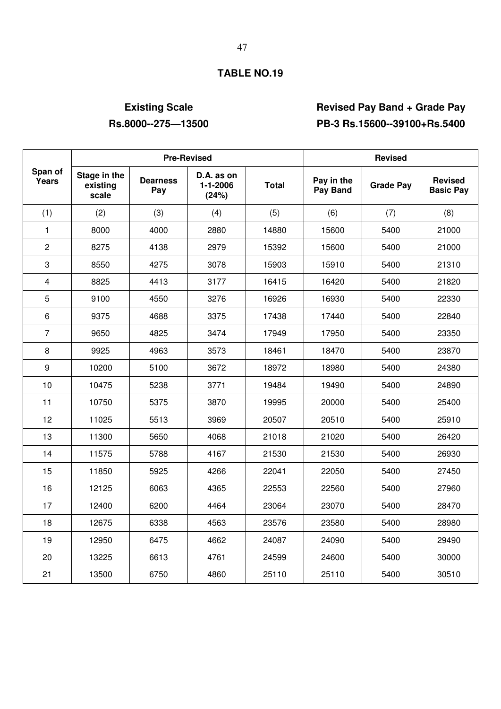# **Existing Scale Revised Pay Band + Grade Pay Rs.8000--275—13500 PB-3 Rs.15600--39100+Rs.5400**

|                  |                                   | <b>Pre-Revised</b>     |                                       | <b>Revised</b> |                        |                  |                                    |
|------------------|-----------------------------------|------------------------|---------------------------------------|----------------|------------------------|------------------|------------------------------------|
| Span of<br>Years | Stage in the<br>existing<br>scale | <b>Dearness</b><br>Pay | D.A. as on<br>$1 - 1 - 2006$<br>(24%) | <b>Total</b>   | Pay in the<br>Pay Band | <b>Grade Pay</b> | <b>Revised</b><br><b>Basic Pay</b> |
| (1)              | (2)                               | (3)                    | (4)                                   | (5)            | (6)                    | (7)              | (8)                                |
| $\mathbf{1}$     | 8000                              | 4000                   | 2880                                  | 14880          | 15600                  | 5400             | 21000                              |
| $\overline{c}$   | 8275                              | 4138                   | 2979                                  | 15392          | 15600                  | 5400             | 21000                              |
| 3                | 8550                              | 4275                   | 3078                                  | 15903          | 15910                  | 5400             | 21310                              |
| $\overline{4}$   | 8825                              | 4413                   | 3177                                  | 16415          | 16420                  | 5400             | 21820                              |
| $\sqrt{5}$       | 9100                              | 4550                   | 3276                                  | 16926          | 16930                  | 5400             | 22330                              |
| 6                | 9375                              | 4688                   | 3375                                  | 17438          | 17440                  | 5400             | 22840                              |
| $\overline{7}$   | 9650                              | 4825                   | 3474                                  | 17949          | 17950                  | 5400             | 23350                              |
| 8                | 9925                              | 4963                   | 3573                                  | 18461          | 18470                  | 5400             | 23870                              |
| $\boldsymbol{9}$ | 10200                             | 5100                   | 3672                                  | 18972          | 18980                  | 5400             | 24380                              |
| 10               | 10475                             | 5238                   | 3771                                  | 19484          | 19490                  | 5400             | 24890                              |
| 11               | 10750                             | 5375                   | 3870                                  | 19995          | 20000                  | 5400             | 25400                              |
| 12               | 11025                             | 5513                   | 3969                                  | 20507          | 20510                  | 5400             | 25910                              |
| 13               | 11300                             | 5650                   | 4068                                  | 21018          | 21020                  | 5400             | 26420                              |
| 14               | 11575                             | 5788                   | 4167                                  | 21530          | 21530                  | 5400             | 26930                              |
| 15               | 11850                             | 5925                   | 4266                                  | 22041          | 22050                  | 5400             | 27450                              |
| 16               | 12125                             | 6063                   | 4365                                  | 22553          | 22560                  | 5400             | 27960                              |
| 17               | 12400                             | 6200                   | 4464                                  | 23064          | 23070                  | 5400             | 28470                              |
| 18               | 12675                             | 6338                   | 4563                                  | 23576          | 23580                  | 5400             | 28980                              |
| 19               | 12950                             | 6475                   | 4662                                  | 24087          | 24090                  | 5400             | 29490                              |
| 20               | 13225                             | 6613                   | 4761                                  | 24599          | 24600                  | 5400             | 30000                              |
| 21               | 13500                             | 6750                   | 4860                                  | 25110          | 25110                  | 5400             | 30510                              |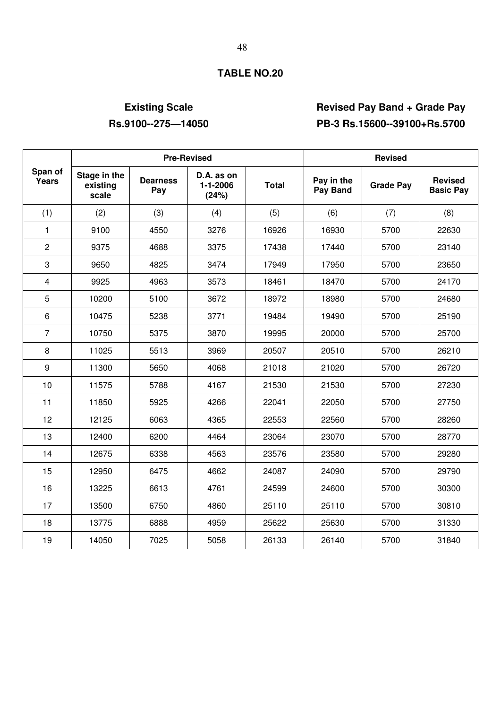# **Existing Scale Revised Pay Band + Grade Pay Rs.9100--275—14050 PB-3 Rs.15600--39100+Rs.5700**

|                         |                                   | <b>Pre-Revised</b>     |                                 | <b>Revised</b> |                        |                  |                                    |
|-------------------------|-----------------------------------|------------------------|---------------------------------|----------------|------------------------|------------------|------------------------------------|
| Span of<br>Years        | Stage in the<br>existing<br>scale | <b>Dearness</b><br>Pay | D.A. as on<br>1-1-2006<br>(24%) | <b>Total</b>   | Pay in the<br>Pay Band | <b>Grade Pay</b> | <b>Revised</b><br><b>Basic Pay</b> |
| (1)                     | (2)                               | (3)                    | (4)                             | (5)            | (6)                    | (7)              | (8)                                |
| $\mathbf{1}$            | 9100                              | 4550                   | 3276                            | 16926          | 16930                  | 5700             | 22630                              |
| $\overline{2}$          | 9375                              | 4688                   | 3375                            | 17438          | 17440                  | 5700             | 23140                              |
| 3                       | 9650                              | 4825                   | 3474                            | 17949          | 17950                  | 5700             | 23650                              |
| $\overline{\mathbf{4}}$ | 9925                              | 4963                   | 3573                            | 18461          | 18470                  | 5700             | 24170                              |
| 5                       | 10200                             | 5100                   | 3672                            | 18972          | 18980                  | 5700             | 24680                              |
| 6                       | 10475                             | 5238                   | 3771                            | 19484          | 19490                  | 5700             | 25190                              |
| $\overline{7}$          | 10750                             | 5375                   | 3870                            | 19995          | 20000                  | 5700             | 25700                              |
| 8                       | 11025                             | 5513                   | 3969                            | 20507          | 20510                  | 5700             | 26210                              |
| 9                       | 11300                             | 5650                   | 4068                            | 21018          | 21020                  | 5700             | 26720                              |
| 10                      | 11575                             | 5788                   | 4167                            | 21530          | 21530                  | 5700             | 27230                              |
| 11                      | 11850                             | 5925                   | 4266                            | 22041          | 22050                  | 5700             | 27750                              |
| 12                      | 12125                             | 6063                   | 4365                            | 22553          | 22560                  | 5700             | 28260                              |
| 13                      | 12400                             | 6200                   | 4464                            | 23064          | 23070                  | 5700             | 28770                              |
| 14                      | 12675                             | 6338                   | 4563                            | 23576          | 23580                  | 5700             | 29280                              |
| 15                      | 12950                             | 6475                   | 4662                            | 24087          | 24090                  | 5700             | 29790                              |
| 16                      | 13225                             | 6613                   | 4761                            | 24599          | 24600                  | 5700             | 30300                              |
| 17                      | 13500                             | 6750                   | 4860                            | 25110          | 25110                  | 5700             | 30810                              |
| 18                      | 13775                             | 6888                   | 4959                            | 25622          | 25630                  | 5700             | 31330                              |
| 19                      | 14050                             | 7025                   | 5058                            | 26133          | 26140                  | 5700             | 31840                              |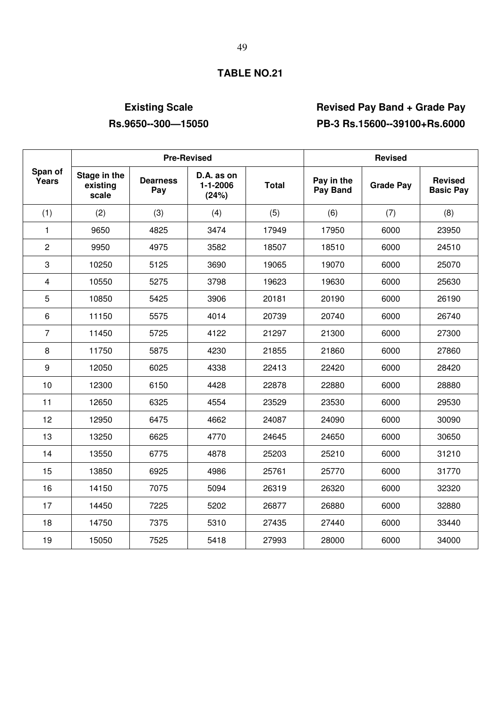# **Existing Scale Revised Pay Band + Grade Pay Rs.9650--300—15050 PB-3 Rs.15600--39100+Rs.6000**

|                  |                                   | <b>Pre-Revised</b>     |                                       | <b>Revised</b> |                        |                  |                                    |
|------------------|-----------------------------------|------------------------|---------------------------------------|----------------|------------------------|------------------|------------------------------------|
| Span of<br>Years | Stage in the<br>existing<br>scale | <b>Dearness</b><br>Pay | D.A. as on<br>$1 - 1 - 2006$<br>(24%) | <b>Total</b>   | Pay in the<br>Pay Band | <b>Grade Pay</b> | <b>Revised</b><br><b>Basic Pay</b> |
| (1)              | (2)                               | (3)                    | (4)                                   | (5)            | (6)                    | (7)              | (8)                                |
| 1                | 9650                              | 4825                   | 3474                                  | 17949          | 17950                  | 6000             | 23950                              |
| 2                | 9950                              | 4975                   | 3582                                  | 18507          | 18510                  | 6000             | 24510                              |
| 3                | 10250                             | 5125                   | 3690                                  | 19065          | 19070                  | 6000             | 25070                              |
| 4                | 10550                             | 5275                   | 3798                                  | 19623          | 19630                  | 6000             | 25630                              |
| 5                | 10850                             | 5425                   | 3906                                  | 20181          | 20190                  | 6000             | 26190                              |
| 6                | 11150                             | 5575                   | 4014                                  | 20739          | 20740                  | 6000             | 26740                              |
| $\overline{7}$   | 11450                             | 5725                   | 4122                                  | 21297          | 21300                  | 6000             | 27300                              |
| 8                | 11750                             | 5875                   | 4230                                  | 21855          | 21860                  | 6000             | 27860                              |
| 9                | 12050                             | 6025                   | 4338                                  | 22413          | 22420                  | 6000             | 28420                              |
| 10               | 12300                             | 6150                   | 4428                                  | 22878          | 22880                  | 6000             | 28880                              |
| 11               | 12650                             | 6325                   | 4554                                  | 23529          | 23530                  | 6000             | 29530                              |
| 12               | 12950                             | 6475                   | 4662                                  | 24087          | 24090                  | 6000             | 30090                              |
| 13               | 13250                             | 6625                   | 4770                                  | 24645          | 24650                  | 6000             | 30650                              |
| 14               | 13550                             | 6775                   | 4878                                  | 25203          | 25210                  | 6000             | 31210                              |
| 15               | 13850                             | 6925                   | 4986                                  | 25761          | 25770                  | 6000             | 31770                              |
| 16               | 14150                             | 7075                   | 5094                                  | 26319          | 26320                  | 6000             | 32320                              |
| 17               | 14450                             | 7225                   | 5202                                  | 26877          | 26880                  | 6000             | 32880                              |
| 18               | 14750                             | 7375                   | 5310                                  | 27435          | 27440                  | 6000             | 33440                              |
| 19               | 15050                             | 7525                   | 5418                                  | 27993          | 28000                  | 6000             | 34000                              |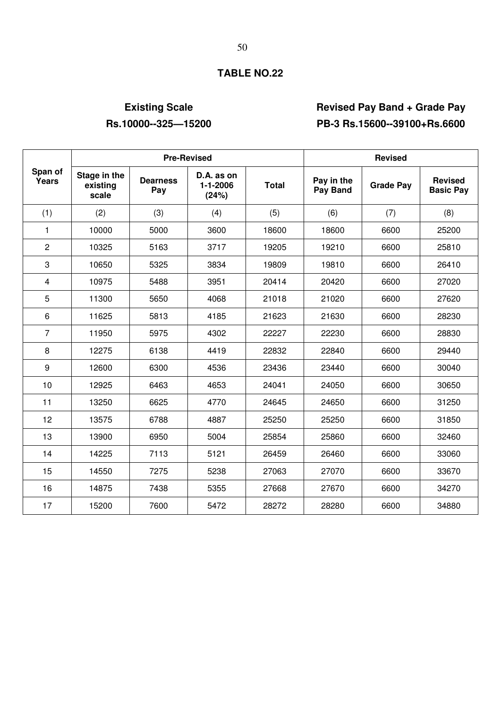# **Existing Scale Revised Pay Band + Grade Pay Rs.10000--325—15200 PB-3 Rs.15600--39100+Rs.6600**

|                  |                                   | <b>Pre-Revised</b>     |                                 | <b>Revised</b> |                        |                  |                                    |
|------------------|-----------------------------------|------------------------|---------------------------------|----------------|------------------------|------------------|------------------------------------|
| Span of<br>Years | Stage in the<br>existing<br>scale | <b>Dearness</b><br>Pay | D.A. as on<br>1-1-2006<br>(24%) | <b>Total</b>   | Pay in the<br>Pay Band | <b>Grade Pay</b> | <b>Revised</b><br><b>Basic Pay</b> |
| (1)              | (2)                               | (3)                    | (4)                             | (5)            | (6)                    | (7)              | (8)                                |
| 1                | 10000                             | 5000                   | 3600                            | 18600          | 18600                  | 6600             | 25200                              |
| $\overline{2}$   | 10325                             | 5163                   | 3717                            | 19205          | 19210                  | 6600             | 25810                              |
| 3                | 10650                             | 5325                   | 3834                            | 19809          | 19810                  | 6600             | 26410                              |
| $\overline{4}$   | 10975                             | 5488                   | 3951                            | 20414          | 20420                  | 6600             | 27020                              |
| 5                | 11300                             | 5650                   | 4068                            | 21018          | 21020                  | 6600             | 27620                              |
| 6                | 11625                             | 5813                   | 4185                            | 21623          | 21630                  | 6600             | 28230                              |
| 7                | 11950                             | 5975                   | 4302                            | 22227          | 22230                  | 6600             | 28830                              |
| 8                | 12275                             | 6138                   | 4419                            | 22832          | 22840                  | 6600             | 29440                              |
| 9                | 12600                             | 6300                   | 4536                            | 23436          | 23440                  | 6600             | 30040                              |
| 10               | 12925                             | 6463                   | 4653                            | 24041          | 24050                  | 6600             | 30650                              |
| 11               | 13250                             | 6625                   | 4770                            | 24645          | 24650                  | 6600             | 31250                              |
| 12               | 13575                             | 6788                   | 4887                            | 25250          | 25250                  | 6600             | 31850                              |
| 13               | 13900                             | 6950                   | 5004                            | 25854          | 25860                  | 6600             | 32460                              |
| 14               | 14225                             | 7113                   | 5121                            | 26459          | 26460                  | 6600             | 33060                              |
| 15               | 14550                             | 7275                   | 5238                            | 27063          | 27070                  | 6600             | 33670                              |
| 16               | 14875                             | 7438                   | 5355                            | 27668          | 27670                  | 6600             | 34270                              |
| 17               | 15200                             | 7600                   | 5472                            | 28272          | 28280                  | 6600             | 34880                              |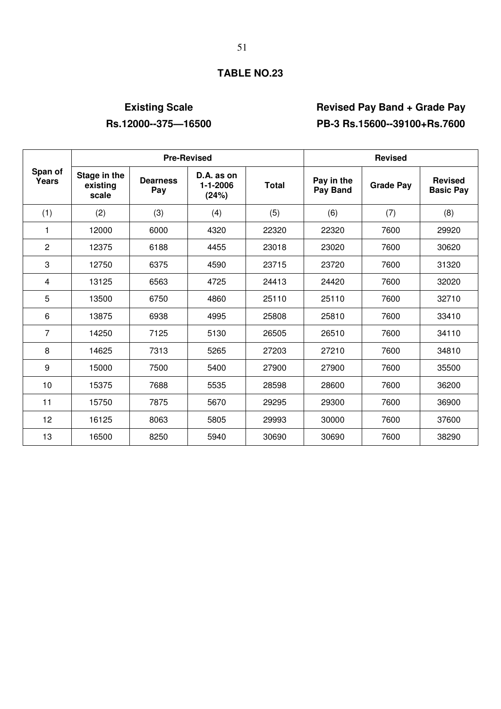# **Existing Scale Revised Pay Band + Grade Pay Rs.12000--375—16500 PB-3 Rs.15600--39100+Rs.7600**

|                  |                                   | <b>Pre-Revised</b>     |                                       | <b>Revised</b> |                        |                  |                                    |
|------------------|-----------------------------------|------------------------|---------------------------------------|----------------|------------------------|------------------|------------------------------------|
| Span of<br>Years | Stage in the<br>existing<br>scale | <b>Dearness</b><br>Pay | D.A. as on<br>$1 - 1 - 2006$<br>(24%) | <b>Total</b>   | Pay in the<br>Pay Band | <b>Grade Pay</b> | <b>Revised</b><br><b>Basic Pay</b> |
| (1)              | (2)                               | (3)                    | (4)                                   | (5)            | (6)                    | (7)              | (8)                                |
| 1                | 12000                             | 6000                   | 4320                                  | 22320          | 22320                  | 7600             | 29920                              |
| 2                | 12375                             | 6188                   | 4455                                  | 23018          | 23020                  | 7600             | 30620                              |
| 3                | 12750                             | 6375                   | 4590                                  | 23715          | 23720                  | 7600             | 31320                              |
| 4                | 13125                             | 6563                   | 4725                                  | 24413          | 24420                  | 7600             | 32020                              |
| 5                | 13500                             | 6750                   | 4860                                  | 25110          | 25110                  | 7600             | 32710                              |
| 6                | 13875                             | 6938                   | 4995                                  | 25808          | 25810                  | 7600             | 33410                              |
| $\overline{7}$   | 14250                             | 7125                   | 5130                                  | 26505          | 26510                  | 7600             | 34110                              |
| 8                | 14625                             | 7313                   | 5265                                  | 27203          | 27210                  | 7600             | 34810                              |
| 9                | 15000                             | 7500                   | 5400                                  | 27900          | 27900                  | 7600             | 35500                              |
| 10               | 15375                             | 7688                   | 5535                                  | 28598          | 28600                  | 7600             | 36200                              |
| 11               | 15750                             | 7875                   | 5670                                  | 29295          | 29300                  | 7600             | 36900                              |
| 12               | 16125                             | 8063                   | 5805                                  | 29993          | 30000                  | 7600             | 37600                              |
| 13               | 16500                             | 8250                   | 5940                                  | 30690          | 30690                  | 7600             | 38290                              |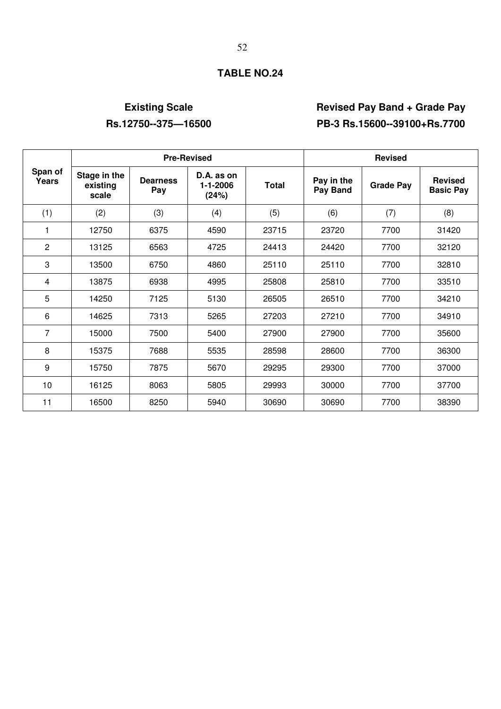# **Existing Scale Revised Pay Band + Grade Pay Rs.12750--375—16500 PB-3 Rs.15600--39100+Rs.7700**

|                  |                                   | <b>Pre-Revised</b>     |                                       | <b>Revised</b> |                        |                  |                                    |
|------------------|-----------------------------------|------------------------|---------------------------------------|----------------|------------------------|------------------|------------------------------------|
| Span of<br>Years | Stage in the<br>existing<br>scale | <b>Dearness</b><br>Pay | D.A. as on<br>$1 - 1 - 2006$<br>(24%) | <b>Total</b>   | Pay in the<br>Pay Band | <b>Grade Pay</b> | <b>Revised</b><br><b>Basic Pay</b> |
| (1)              | (2)                               | (3)                    | (4)                                   | (5)            | (6)                    | (7)              | (8)                                |
| 1                | 12750                             | 6375                   | 4590                                  | 23715          | 23720                  | 7700             | 31420                              |
| $\overline{2}$   | 13125                             | 6563                   | 4725                                  | 24413          | 24420                  | 7700             | 32120                              |
| 3                | 13500                             | 6750                   | 4860                                  | 25110          | 25110                  | 7700             | 32810                              |
| 4                | 13875                             | 6938                   | 4995                                  | 25808          | 25810                  | 7700             | 33510                              |
| 5                | 14250                             | 7125                   | 5130                                  | 26505          | 26510                  | 7700             | 34210                              |
| 6                | 14625                             | 7313                   | 5265                                  | 27203          | 27210                  | 7700             | 34910                              |
| 7                | 15000                             | 7500                   | 5400                                  | 27900          | 27900                  | 7700             | 35600                              |
| 8                | 15375                             | 7688                   | 5535                                  | 28598          | 28600                  | 7700             | 36300                              |
| 9                | 15750                             | 7875                   | 5670                                  | 29295          | 29300                  | 7700             | 37000                              |
| 10               | 16125                             | 8063                   | 5805                                  | 29993          | 30000                  | 7700             | 37700                              |
| 11               | 16500                             | 8250                   | 5940                                  | 30690          | 30690                  | 7700             | 38390                              |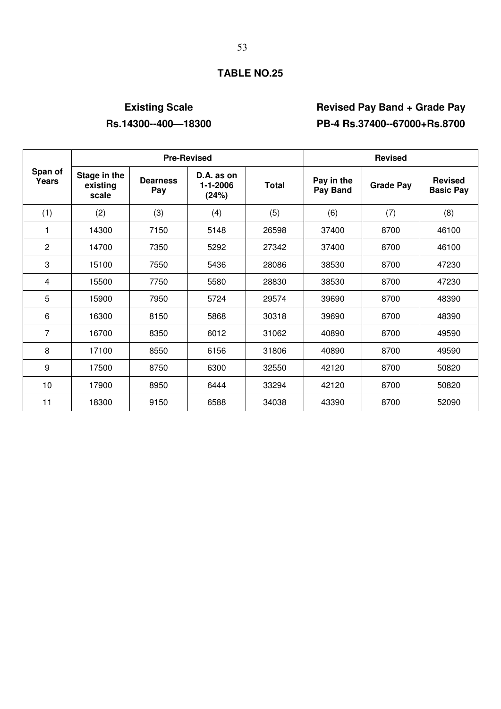# **Existing Scale Revised Pay Band + Grade Pay Rs.14300--400—18300 PB-4 Rs.37400--67000+Rs.8700**

|                  |                                   | <b>Pre-Revised</b>     |                                         | <b>Revised</b> |                        |                  |                                    |
|------------------|-----------------------------------|------------------------|-----------------------------------------|----------------|------------------------|------------------|------------------------------------|
| Span of<br>Years | Stage in the<br>existing<br>scale | <b>Dearness</b><br>Pay | $D.A.$ as on<br>$1 - 1 - 2006$<br>(24%) | <b>Total</b>   | Pay in the<br>Pay Band | <b>Grade Pay</b> | <b>Revised</b><br><b>Basic Pay</b> |
| (1)              | (2)                               | (3)                    | (4)                                     | (5)            | (6)                    | (7)              | (8)                                |
| 1                | 14300                             | 7150                   | 5148                                    | 26598          | 37400                  | 8700             | 46100                              |
| $\overline{c}$   | 14700                             | 7350                   | 5292                                    | 27342          | 37400                  | 8700             | 46100                              |
| 3                | 15100                             | 7550                   | 5436                                    | 28086          | 38530                  | 8700             | 47230                              |
| 4                | 15500                             | 7750                   | 5580                                    | 28830          | 38530                  | 8700             | 47230                              |
| 5                | 15900                             | 7950                   | 5724                                    | 29574          | 39690                  | 8700             | 48390                              |
| 6                | 16300                             | 8150                   | 5868                                    | 30318          | 39690                  | 8700             | 48390                              |
| 7                | 16700                             | 8350                   | 6012                                    | 31062          | 40890                  | 8700             | 49590                              |
| 8                | 17100                             | 8550                   | 6156                                    | 31806          | 40890                  | 8700             | 49590                              |
| 9                | 17500                             | 8750                   | 6300                                    | 32550          | 42120                  | 8700             | 50820                              |
| 10               | 17900                             | 8950                   | 6444                                    | 33294          | 42120                  | 8700             | 50820                              |
| 11               | 18300                             | 9150                   | 6588                                    | 34038          | 43390                  | 8700             | 52090                              |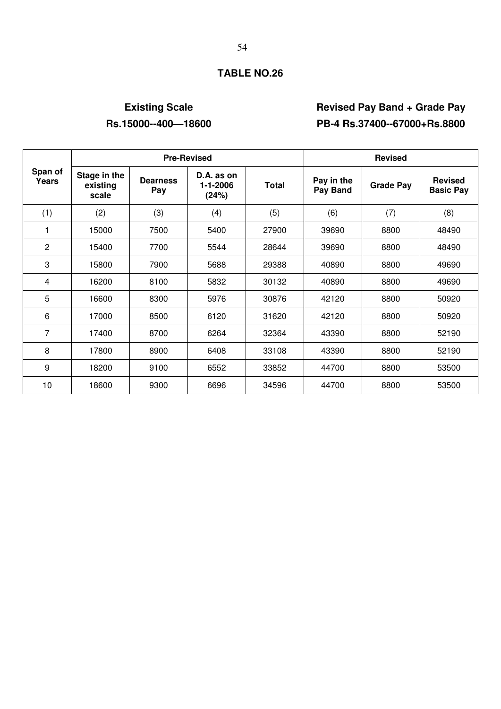# **Existing Scale Revised Pay Band + Grade Pay Rs.15000--400—18600 PB-4 Rs.37400--67000+Rs.8800**

|                  |                                   |                        | <b>Pre-Revised</b>              | <b>Revised</b> |                        |                  |                                    |
|------------------|-----------------------------------|------------------------|---------------------------------|----------------|------------------------|------------------|------------------------------------|
| Span of<br>Years | Stage in the<br>existing<br>scale | <b>Dearness</b><br>Pay | D.A. as on<br>1-1-2006<br>(24%) | <b>Total</b>   | Pay in the<br>Pay Band | <b>Grade Pay</b> | <b>Revised</b><br><b>Basic Pay</b> |
| (1)              | (2)                               | (3)                    | (4)                             | (5)            | (6)                    | (7)              | (8)                                |
| 1                | 15000                             | 7500                   | 5400                            | 27900          | 39690                  | 8800             | 48490                              |
| $\overline{2}$   | 15400                             | 7700                   | 5544                            | 28644          | 39690                  | 8800             | 48490                              |
| 3                | 15800                             | 7900                   | 5688                            | 29388          | 40890                  | 8800             | 49690                              |
| 4                | 16200                             | 8100                   | 5832                            | 30132          | 40890                  | 8800             | 49690                              |
| 5                | 16600                             | 8300                   | 5976                            | 30876          | 42120                  | 8800             | 50920                              |
| 6                | 17000                             | 8500                   | 6120                            | 31620          | 42120                  | 8800             | 50920                              |
| 7                | 17400                             | 8700                   | 6264                            | 32364          | 43390                  | 8800             | 52190                              |
| 8                | 17800                             | 8900                   | 6408                            | 33108          | 43390                  | 8800             | 52190                              |
| 9                | 18200                             | 9100                   | 6552                            | 33852          | 44700                  | 8800             | 53500                              |
| 10               | 18600                             | 9300                   | 6696                            | 34596          | 44700                  | 8800             | 53500                              |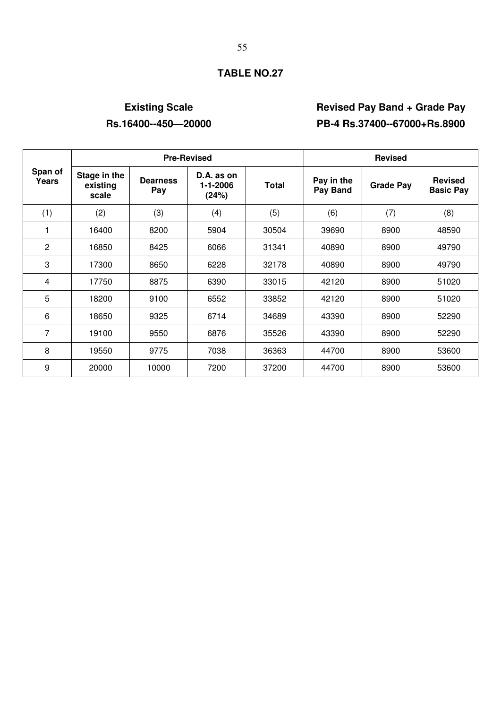# **Existing Scale Revised Pay Band + Grade Pay Rs.16400--450—20000 PB-4 Rs.37400--67000+Rs.8900**

|                  |                                   | <b>Pre-Revised</b>     |                                 | <b>Revised</b> |                        |                  |                                    |
|------------------|-----------------------------------|------------------------|---------------------------------|----------------|------------------------|------------------|------------------------------------|
| Span of<br>Years | Stage in the<br>existing<br>scale | <b>Dearness</b><br>Pay | D.A. as on<br>1-1-2006<br>(24%) | <b>Total</b>   | Pay in the<br>Pay Band | <b>Grade Pay</b> | <b>Revised</b><br><b>Basic Pay</b> |
| (1)              | (2)                               | (3)                    | (4)                             | (5)            | (6)                    | (7)              | (8)                                |
| 1                | 16400                             | 8200                   | 5904                            | 30504          | 39690                  | 8900             | 48590                              |
| $\overline{2}$   | 16850                             | 8425                   | 6066                            | 31341          | 40890                  | 8900             | 49790                              |
| 3                | 17300                             | 8650                   | 6228                            | 32178          | 40890                  | 8900             | 49790                              |
| 4                | 17750                             | 8875                   | 6390                            | 33015          | 42120                  | 8900             | 51020                              |
| 5                | 18200                             | 9100                   | 6552                            | 33852          | 42120                  | 8900             | 51020                              |
| 6                | 18650                             | 9325                   | 6714                            | 34689          | 43390                  | 8900             | 52290                              |
| 7                | 19100                             | 9550                   | 6876                            | 35526          | 43390                  | 8900             | 52290                              |
| 8                | 19550                             | 9775                   | 7038                            | 36363          | 44700                  | 8900             | 53600                              |
| 9                | 20000                             | 10000                  | 7200                            | 37200          | 44700                  | 8900             | 53600                              |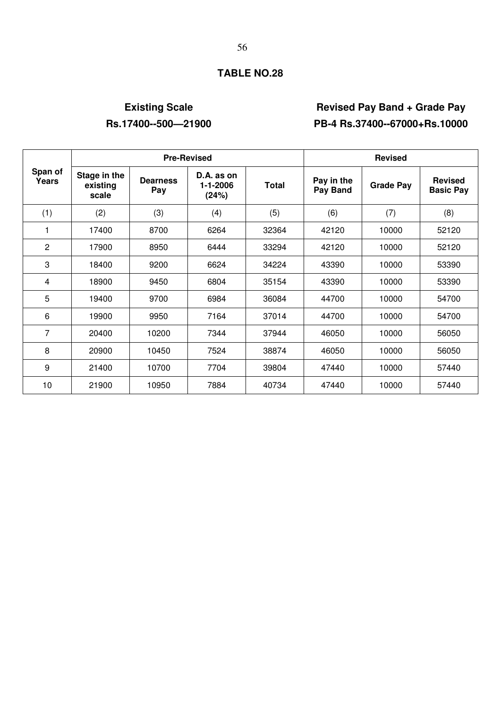# **Existing Scale Revised Pay Band + Grade Pay Rs.17400--500—21900 PB-4 Rs.37400--67000+Rs.10000**

|                  |                                   |                        | <b>Pre-Revised</b>              | <b>Revised</b> |                        |                  |                                    |
|------------------|-----------------------------------|------------------------|---------------------------------|----------------|------------------------|------------------|------------------------------------|
| Span of<br>Years | Stage in the<br>existing<br>scale | <b>Dearness</b><br>Pay | D.A. as on<br>1-1-2006<br>(24%) | <b>Total</b>   | Pay in the<br>Pay Band | <b>Grade Pay</b> | <b>Revised</b><br><b>Basic Pay</b> |
| (1)              | (2)                               | (3)                    | (4)                             | (5)            | (6)                    | (7)              | (8)                                |
| 1                | 17400                             | 8700                   | 6264                            | 32364          | 42120                  | 10000            | 52120                              |
| $\overline{c}$   | 17900                             | 8950                   | 6444                            | 33294          | 42120                  | 10000            | 52120                              |
| 3                | 18400                             | 9200                   | 6624                            | 34224          | 43390                  | 10000            | 53390                              |
| 4                | 18900                             | 9450                   | 6804                            | 35154          | 43390                  | 10000            | 53390                              |
| 5                | 19400                             | 9700                   | 6984                            | 36084          | 44700                  | 10000            | 54700                              |
| 6                | 19900                             | 9950                   | 7164                            | 37014          | 44700                  | 10000            | 54700                              |
| 7                | 20400                             | 10200                  | 7344                            | 37944          | 46050                  | 10000            | 56050                              |
| 8                | 20900                             | 10450                  | 7524                            | 38874          | 46050                  | 10000            | 56050                              |
| 9                | 21400                             | 10700                  | 7704                            | 39804          | 47440                  | 10000            | 57440                              |
| 10               | 21900                             | 10950                  | 7884                            | 40734          | 47440                  | 10000            | 57440                              |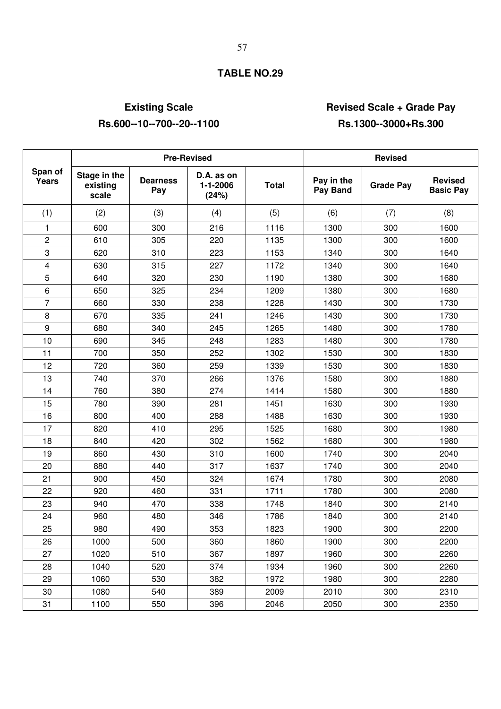# **Existing Scale Community Community Community Revised Scale + Grade Pay**

### Pre-Revised **Revised Revised Revised Span of Stage in the existing scale Dearness Pay D.A. as on 1-1-2006 (24%) Total Pay in the Pay Band Grade Pay Revised Basic Pay**  (1) (2) (3) (4) (5) (6) (7) (8) 1 | 600 | 300 | 216 | 1116 | 1300 | 300 | 1600 2 | 610 | 305 | 220 | 1135 | 1300 | 300 | 1600 3 | 620 | 310 | 223 | 1153 | 1340 | 300 | 1640 4 | 630 | 315 | 227 | 1172 | 1340 | 300 | 1640 5 640 320 230 1190 1380 300 1680 6 650 325 234 1209 1380 300 1680 7 | 660 | 330 | 238 | 1228 | 1430 | 300 | 1730 8 | 670 | 335 | 241 | 1246 | 1430 | 300 | 1730 9 | 680 | 340 | 245 | 1265 | 1480 | 300 | 1780 10 | 690 | 345 | 248 | 1283 | 1480 | 300 | 1780 11 | 700 | 350 | 252 | 1302 | 1530 | 300 | 1830 12 | 720 | 360 | 259 | 1339 | 1530 | 300 | 1830 13 | 740 | 370 | 266 | 1376 | 1580 | 300 | 1880 14 | 760 | 380 | 274 | 1414 | 1580 | 300 | 1880 15 | 780 | 390 | 281 | 1451 | 1630 | 300 | 1930 16 | 800 | 400 | 288 | 1488 | 1630 | 300 | 1930 17 | 820 | 410 | 295 | 1525 | 1680 | 300 | 1980 18 | 840 | 420 | 302 | 1562 | 1680 | 300 | 1980 19 | 860 | 430 | 310 | 1600 | 1740 | 300 | 2040 20 880 440 317 1637 1740 300 2040 21 900 450 324 1674 1780 300 2080 22 | 920 | 460 | 331 | 1711 | 1780 | 300 | 2080 23 | 940 | 470 | 338 | 1748 | 1840 | 300 | 2140 24 | 960 | 480 | 346 | 1786 | 1840 | 300 | 2140 25 | 980 | 490 | 353 | 1823 | 1900 | 300 | 2200 26 | 1000 | 500 | 360 | 1860 | 1900 | 300 | 2200 27 | 1020 | 510 | 367 | 1897 | 1960 | 300 | 2260 28 1040 520 374 1934 1960 300 2260 29 | 1060 | 530 | 382 | 1972 | 1980 | 300 | 2280 30 1080 540 389 2009 2010 300 2310 31 | 1100 | 550 | 396 | 2046 | 2050 | 300 | 2350

### **Rs.600--10--700--20--1100 Rs.1300--3000+Rs.300**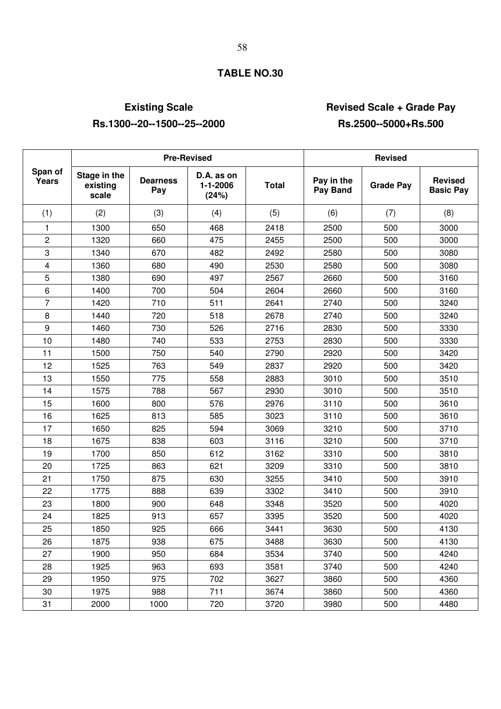# **Existing Scale Community Community Revised Scale + Grade Pay Rs.1300--20--1500--25--2000 Rs.2500--5000+Rs.500**

|                  |                                   |                        | <b>Pre-Revised</b>                    | <b>Revised</b> |                               |                  |                                    |
|------------------|-----------------------------------|------------------------|---------------------------------------|----------------|-------------------------------|------------------|------------------------------------|
| Span of<br>Years | Stage in the<br>existing<br>scale | <b>Dearness</b><br>Pay | D.A. as on<br>$1 - 1 - 2006$<br>(24%) | <b>Total</b>   | Pay in the<br><b>Pay Band</b> | <b>Grade Pay</b> | <b>Revised</b><br><b>Basic Pay</b> |
| (1)              | (2)                               | (3)                    | (4)                                   | (5)            | (6)                           | (7)              | (8)                                |
| 1                | 1300                              | 650                    | 468                                   | 2418           | 2500                          | 500              | 3000                               |
| $\overline{c}$   | 1320                              | 660                    | 475                                   | 2455           | 2500                          | 500              | 3000                               |
| 3                | 1340                              | 670                    | 482                                   | 2492           | 2580                          | 500              | 3080                               |
| 4                | 1360                              | 680                    | 490                                   | 2530           | 2580                          | 500              | 3080                               |
| 5                | 1380                              | 690                    | 497                                   | 2567           | 2660                          | 500              | 3160                               |
| 6                | 1400                              | 700                    | 504                                   | 2604           | 2660                          | 500              | 3160                               |
| 7                | 1420                              | 710                    | 511                                   | 2641           | 2740                          | 500              | 3240                               |
| 8                | 1440                              | 720                    | 518                                   | 2678           | 2740                          | 500              | 3240                               |
| 9                | 1460                              | 730                    | 526                                   | 2716           | 2830                          | 500              | 3330                               |
| 10               | 1480                              | 740                    | 533                                   | 2753           | 2830                          | 500              | 3330                               |
| 11               | 1500                              | 750                    | 540                                   | 2790           | 2920                          | 500              | 3420                               |
| 12               | 1525                              | 763                    | 549                                   | 2837           | 2920                          | 500              | 3420                               |
| 13               | 1550                              | 775                    | 558                                   | 2883           | 3010                          | 500              | 3510                               |
| 14               | 1575                              | 788                    | 567                                   | 2930           | 3010                          | 500              | 3510                               |
| 15               | 1600                              | 800                    | 576                                   | 2976           | 3110                          | 500              | 3610                               |
| 16               | 1625                              | 813                    | 585                                   | 3023           | 3110                          | 500              | 3610                               |
| 17               | 1650                              | 825                    | 594                                   | 3069           | 3210                          | 500              | 3710                               |
| 18               | 1675                              | 838                    | 603                                   | 3116           | 3210                          | 500              | 3710                               |
| 19               | 1700                              | 850                    | 612                                   | 3162           | 3310                          | 500              | 3810                               |
| 20               | 1725                              | 863                    | 621                                   | 3209           | 3310                          | 500              | 3810                               |
| 21               | 1750                              | 875                    | 630                                   | 3255           | 3410                          | 500              | 3910                               |
| 22               | 1775                              | 888                    | 639                                   | 3302           | 3410                          | 500              | 3910                               |
| 23               | 1800                              | 900                    | 648                                   | 3348           | 3520                          | 500              | 4020                               |
| 24               | 1825                              | 913                    | 657                                   | 3395           | 3520                          | 500              | 4020                               |
| 25               | 1850                              | 925                    | 666                                   | 3441           | 3630                          | 500              | 4130                               |
| 26               | 1875                              | 938                    | 675                                   | 3488           | 3630                          | 500              | 4130                               |
| 27               | 1900                              | 950                    | 684                                   | 3534           | 3740                          | 500              | 4240                               |
| 28               | 1925                              | 963                    | 693                                   | 3581           | 3740                          | 500              | 4240                               |
| 29               | 1950                              | 975                    | 702                                   | 3627           | 3860                          | 500              | 4360                               |
| 30               | 1975                              | 988                    | 711                                   | 3674           | 3860                          | 500              | 4360                               |
| 31               | 2000                              | 1000                   | 720                                   | 3720           | 3980                          | 500              | 4480                               |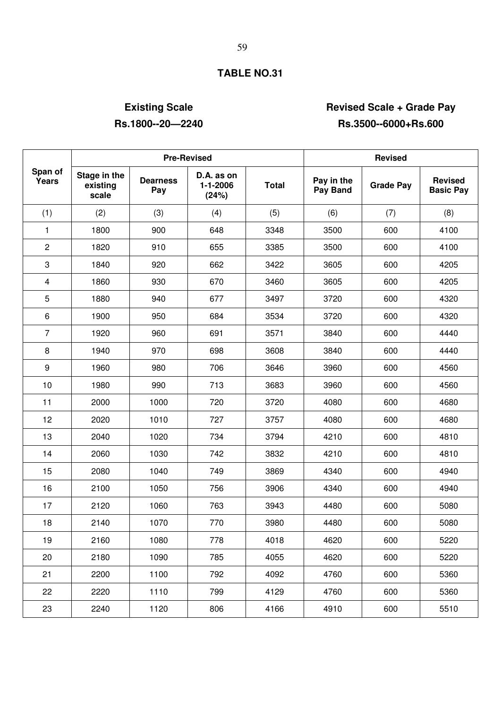# **Existing Scale Constraining Scale Access Pay Access Pay Access Pay Access Pay Access Pay Access Pay Access Pay Rs.1800--20—2240 Rs.3500--6000+Rs.600**

Pre-Revised **Revised Revised Span of Stage in the existing scale Dearness Pay D.A. as on 1-1-2006 (24%) Total Pay in the Pay in the Grade Pay Revised Pay Band Pay Basic Pay**  (1) (2) (3) (4) (5) (6) (7) (8) 1 | 1800 | 900 | 648 | 3348 | 3500 | 600 | 4100 2 | 1820 | 910 | 655 | 3385 | 3500 | 600 | 4100 3 1840 920 662 3422 3605 600 4205 4 | 1860 | 930 | 670 | 3460 | 3605 | 600 | 4205 5 1880 940 677 3497 3720 600 4320 6 | 1900 | 950 | 684 | 3534 | 3720 | 600 | 4320 7 | 1920 | 960 | 691 | 3571 | 3840 | 600 | 4440 8 | 1940 | 970 | 698 | 3608 | 3840 | 600 | 4440 9 | 1960 | 980 | 706 | 3646 | 3960 | 600 | 4560 10 | 1980 | 990 | 713 | 3683 | 3960 | 600 | 4560 11 | 2000 | 1000 | 720 | 3720 | 4080 | 600 | 4680 12 | 2020 | 1010 | 727 | 3757 | 4080 | 600 | 4680 13 2040 1020 734 3794 4210 600 4810 14 | 2060 | 1030 | 742 | 3832 | 4210 | 600 | 4810 15 | 2080 | 1040 | 749 | 3869 | 4340 | 600 | 4940 16 | 2100 | 1050 | 756 | 3906 | 4340 | 600 | 4940 17 | 2120 | 1060 | 763 | 3943 | 4480 | 600 | 5080 18 | 2140 | 1070 | 770 | 3980 | 4480 | 600 | 5080 19 | 2160 | 1080 | 778 | 4018 | 4620 | 600 | 5220 20 2180 1090 785 4055 4620 600 5220 21 2200 1100 792 4092 4760 600 5360 22 | 2220 | 1110 | 799 | 4129 | 4760 | 600 | 5360 23 2240 1120 806 4166 4910 600 5510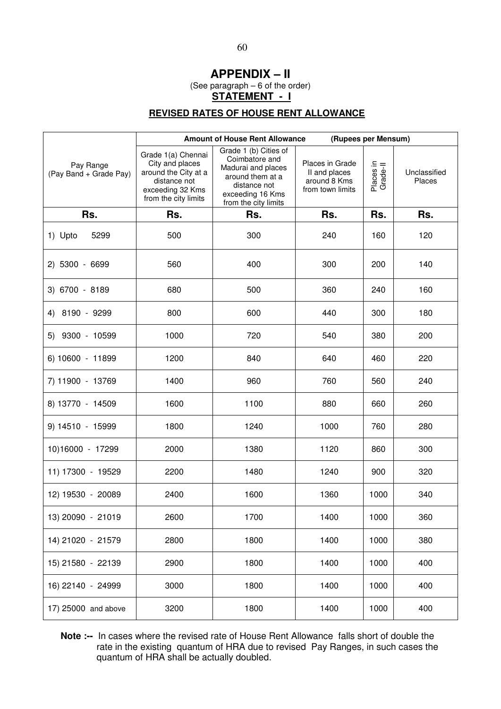### **APPENDIX – II**

(See paragraph – 6 of the order)

**STATEMENT - I**

# **REVISED RATES OF HOUSE RENT ALLOWANCE**

|                                     |                                                                                                                           | (Rupees per Mensum)<br><b>Amount of House Rent Allowance</b>                                                                                  |                                                                      |                       |                        |
|-------------------------------------|---------------------------------------------------------------------------------------------------------------------------|-----------------------------------------------------------------------------------------------------------------------------------------------|----------------------------------------------------------------------|-----------------------|------------------------|
| Pay Range<br>(Pay Band + Grade Pay) | Grade 1(a) Chennai<br>City and places<br>around the City at a<br>distance not<br>exceeding 32 Kms<br>from the city limits | Grade 1 (b) Cities of<br>Coimbatore and<br>Madurai and places<br>around them at a<br>distance not<br>exceeding 16 Kms<br>from the city limits | Places in Grade<br>II and places<br>around 8 Kms<br>from town limits | Places in<br>Grade-II | Unclassified<br>Places |
| Rs.                                 | Rs.                                                                                                                       | Rs.                                                                                                                                           | Rs.                                                                  | Rs.                   | Rs.                    |
| 1) Upto<br>5299                     | 500                                                                                                                       | 300                                                                                                                                           | 240                                                                  | 160                   | 120                    |
| 2) 5300 - 6699                      | 560                                                                                                                       | 400                                                                                                                                           | 300                                                                  | 200                   | 140                    |
| 3) 6700 - 8189                      | 680                                                                                                                       | 500                                                                                                                                           | 360                                                                  | 240                   | 160                    |
| 4) 8190 - 9299                      | 800                                                                                                                       | 600                                                                                                                                           | 440                                                                  | 300                   | 180                    |
| 5) 9300 - 10599                     | 1000                                                                                                                      | 720                                                                                                                                           | 540                                                                  | 380                   | 200                    |
| 6) 10600 - 11899                    | 1200                                                                                                                      | 840                                                                                                                                           | 640                                                                  | 460                   | 220                    |
| 7) 11900 - 13769                    | 1400                                                                                                                      | 960                                                                                                                                           | 760                                                                  | 560                   | 240                    |
| 8) 13770 - 14509                    | 1600                                                                                                                      | 1100                                                                                                                                          | 880                                                                  | 660                   | 260                    |
| 9) 14510 - 15999                    | 1800                                                                                                                      | 1240                                                                                                                                          | 1000                                                                 | 760                   | 280                    |
| 10)16000 - 17299                    | 2000                                                                                                                      | 1380                                                                                                                                          | 1120                                                                 | 860                   | 300                    |
| 11) 17300 - 19529                   | 2200                                                                                                                      | 1480                                                                                                                                          | 1240                                                                 | 900                   | 320                    |
| 12) 19530 - 20089                   | 2400                                                                                                                      | 1600                                                                                                                                          | 1360                                                                 | 1000                  | 340                    |
| 13) 20090 - 21019                   | 2600                                                                                                                      | 1700                                                                                                                                          | 1400                                                                 | 1000                  | 360                    |
| 14) 21020 - 21579                   | 2800                                                                                                                      | 1800                                                                                                                                          | 1400                                                                 | 1000                  | 380                    |
| 15) 21580 - 22139                   | 2900                                                                                                                      | 1800                                                                                                                                          | 1400                                                                 | 1000                  | 400                    |
| 16) 22140 - 24999                   | 3000                                                                                                                      | 1800                                                                                                                                          | 1400                                                                 | 1000                  | 400                    |
| 17) 25000 and above                 | 3200                                                                                                                      | 1800                                                                                                                                          | 1400                                                                 | 1000                  | 400                    |

**Note :--** In cases where the revised rate of House Rent Allowance falls short of double the rate in the existing quantum of HRA due to revised Pay Ranges, in such cases the quantum of HRA shall be actually doubled.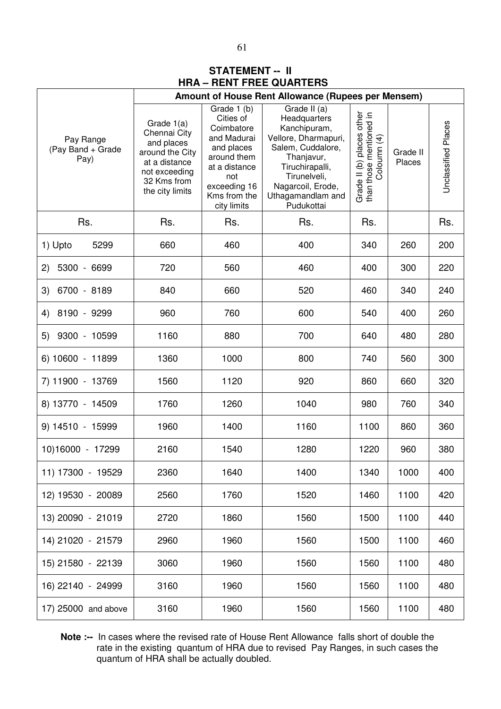# **STATEMENT -- II HRA – RENT FREE QUARTERS**

|                                        | Amount of House Rent Allowance (Rupees per Mensem)                                                                              |                                                                                                                                                           |                                                                                                                                                                                                    |                                                                     |                    |                     |
|----------------------------------------|---------------------------------------------------------------------------------------------------------------------------------|-----------------------------------------------------------------------------------------------------------------------------------------------------------|----------------------------------------------------------------------------------------------------------------------------------------------------------------------------------------------------|---------------------------------------------------------------------|--------------------|---------------------|
| Pay Range<br>(Pay Band + Grade<br>Pay) | Grade 1(a)<br>Chennai City<br>and places<br>around the City<br>at a distance<br>not exceeding<br>32 Kms from<br>the city limits | Grade 1 (b)<br>Cities of<br>Coimbatore<br>and Madurai<br>and places<br>around them<br>at a distance<br>not<br>exceeding 16<br>Kms from the<br>city limits | Grade II (a)<br>Headquarters<br>Kanchipuram,<br>Vellore, Dharmapuri,<br>Salem, Cuddalore,<br>Thanjavur,<br>Tiruchirapalli,<br>Tirunelveli,<br>Nagarcoil, Erode,<br>Uthagamandlam and<br>Pudukottai | Grade II (b) places other<br>than those mentioned in<br>Coloumn (4) | Grade II<br>Places | Unclassified Places |
| Rs.                                    | Rs.                                                                                                                             | Rs.                                                                                                                                                       | Rs.                                                                                                                                                                                                | Rs.                                                                 |                    | Rs.                 |
| 5299<br>1) Upto                        | 660                                                                                                                             | 460                                                                                                                                                       | 400                                                                                                                                                                                                | 340                                                                 | 260                | 200                 |
| 5300 - 6699<br>2)                      | 720                                                                                                                             | 560                                                                                                                                                       | 460                                                                                                                                                                                                | 400                                                                 | 300                | 220                 |
| 6700 - 8189<br>3)                      | 840                                                                                                                             | 660                                                                                                                                                       | 520                                                                                                                                                                                                | 460                                                                 | 340                | 240                 |
| 8190 - 9299<br>4)                      | 960                                                                                                                             | 760                                                                                                                                                       | 600                                                                                                                                                                                                | 540                                                                 | 400                | 260                 |
| 9300 - 10599<br>5)                     | 1160                                                                                                                            | 880                                                                                                                                                       | 700                                                                                                                                                                                                | 640                                                                 | 480                | 280                 |
| 6) 10600 - 11899                       | 1360                                                                                                                            | 1000                                                                                                                                                      | 800                                                                                                                                                                                                | 740                                                                 | 560                | 300                 |
| 7) 11900 - 13769                       | 1560                                                                                                                            | 1120                                                                                                                                                      | 920                                                                                                                                                                                                | 860                                                                 | 660                | 320                 |
| 8) 13770 - 14509                       | 1760                                                                                                                            | 1260                                                                                                                                                      | 1040                                                                                                                                                                                               | 980                                                                 | 760                | 340                 |
| 9) 14510 - 15999                       | 1960                                                                                                                            | 1400                                                                                                                                                      | 1160                                                                                                                                                                                               | 1100                                                                | 860                | 360                 |
| 10)16000 - 17299                       | 2160                                                                                                                            | 1540                                                                                                                                                      | 1280                                                                                                                                                                                               | 1220                                                                | 960                | 380                 |
| 11) 17300 - 19529                      | 2360                                                                                                                            | 1640                                                                                                                                                      | 1400                                                                                                                                                                                               | 1340                                                                | 1000               | 400                 |
| 12) 19530 - 20089                      | 2560                                                                                                                            | 1760                                                                                                                                                      | 1520                                                                                                                                                                                               | 1460                                                                | 1100               | 420                 |
| 13) 20090 - 21019                      | 2720                                                                                                                            | 1860                                                                                                                                                      | 1560                                                                                                                                                                                               | 1500                                                                | 1100               | 440                 |
| 14) 21020 - 21579                      | 2960                                                                                                                            | 1960                                                                                                                                                      | 1560                                                                                                                                                                                               | 1500                                                                | 1100               | 460                 |
| 15) 21580 - 22139                      | 3060                                                                                                                            | 1960                                                                                                                                                      | 1560                                                                                                                                                                                               | 1560                                                                | 1100               | 480                 |
| 16) 22140 - 24999                      | 3160                                                                                                                            | 1960                                                                                                                                                      | 1560                                                                                                                                                                                               | 1560                                                                | 1100               | 480                 |
| 17) 25000 and above                    | 3160                                                                                                                            | 1960                                                                                                                                                      | 1560                                                                                                                                                                                               | 1560                                                                | 1100               | 480                 |

**Note :--** In cases where the revised rate of House Rent Allowance falls short of double the rate in the existing quantum of HRA due to revised Pay Ranges, in such cases the quantum of HRA shall be actually doubled.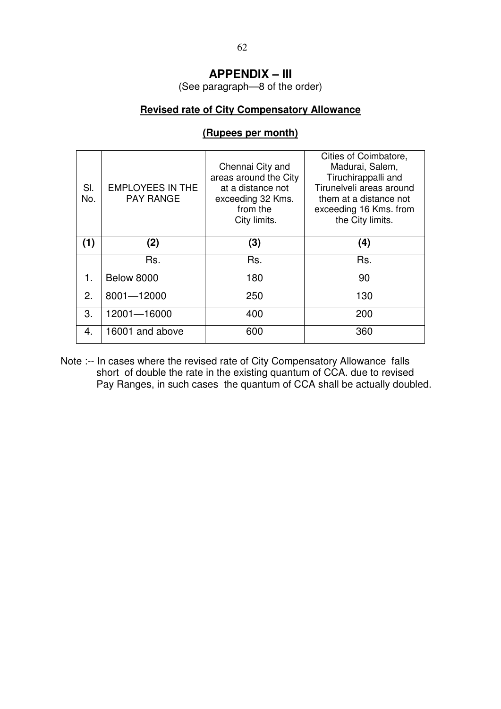# **APPENDIX – III**

(See paragraph—8 of the order)

# **Revised rate of City Compensatory Allowance**

| SI.<br>No. | <b>EMPLOYEES IN THE</b><br><b>PAY RANGE</b> | Chennai City and<br>areas around the City<br>at a distance not<br>exceeding 32 Kms.<br>from the<br>City limits. | Cities of Coimbatore,<br>Madurai, Salem,<br>Tiruchirappalli and<br>Tirunelveli areas around<br>them at a distance not<br>exceeding 16 Kms. from<br>the City limits. |
|------------|---------------------------------------------|-----------------------------------------------------------------------------------------------------------------|---------------------------------------------------------------------------------------------------------------------------------------------------------------------|
| (1)        | (2)                                         | (3)                                                                                                             | (4)                                                                                                                                                                 |
|            | Rs.                                         | Rs.                                                                                                             | Rs.                                                                                                                                                                 |
| 1.         | <b>Below 8000</b>                           | 180                                                                                                             | 90                                                                                                                                                                  |
| 2.         | 8001-12000                                  | 250                                                                                                             | 130                                                                                                                                                                 |
| 3.         | 12001-16000                                 | 400                                                                                                             | 200                                                                                                                                                                 |
| 4.         | 16001 and above                             | 600                                                                                                             | 360                                                                                                                                                                 |

### **(Rupees per month)**

Note :-- In cases where the revised rate of City Compensatory Allowance falls short of double the rate in the existing quantum of CCA. due to revised Pay Ranges, in such cases the quantum of CCA shall be actually doubled.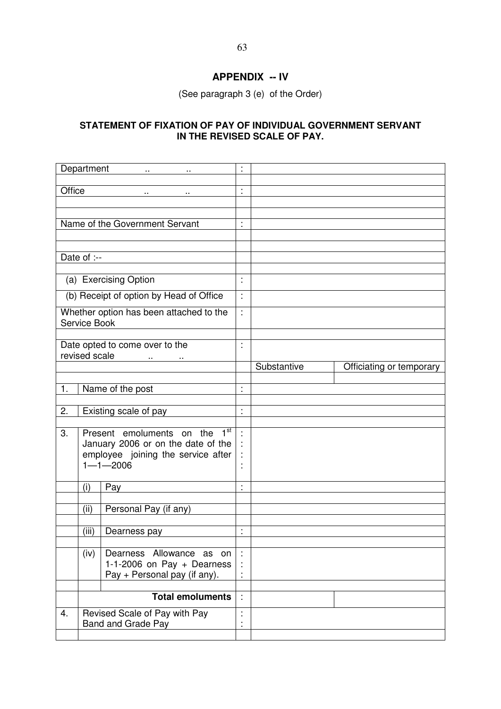# **APPENDIX -- IV**

(See paragraph 3 (e) of the Order)

### **STATEMENT OF FIXATION OF PAY OF INDIVIDUAL GOVERNMENT SERVANT IN THE REVISED SCALE OF PAY.**

|        | Department    | <b>ARTICLE AND THE</b><br>$\sim$                                         | ÷                    |             |                          |
|--------|---------------|--------------------------------------------------------------------------|----------------------|-------------|--------------------------|
| Office |               | $\sim$                                                                   | ł,                   |             |                          |
|        |               |                                                                          |                      |             |                          |
|        |               | Name of the Government Servant                                           | t                    |             |                          |
|        |               |                                                                          |                      |             |                          |
|        |               |                                                                          |                      |             |                          |
|        | Date of :--   |                                                                          |                      |             |                          |
|        |               | (a) Exercising Option                                                    | $\ddot{\phantom{a}}$ |             |                          |
|        |               | (b) Receipt of option by Head of Office                                  | ÷                    |             |                          |
|        |               | Whether option has been attached to the                                  | t                    |             |                          |
|        | Service Book  |                                                                          |                      |             |                          |
|        |               | Date opted to come over to the                                           | t                    |             |                          |
|        | revised scale |                                                                          |                      |             |                          |
|        |               |                                                                          |                      | Substantive | Officiating or temporary |
| 1.     |               | Name of the post                                                         | $\ddot{\cdot}$       |             |                          |
|        |               |                                                                          |                      |             |                          |
| 2.     |               | Existing scale of pay                                                    | $\ddot{\phantom{a}}$ |             |                          |
| 3.     |               | 1 <sup>st</sup><br>Present emoluments on the                             | t                    |             |                          |
|        |               | January 2006 or on the date of the<br>employee joining the service after |                      |             |                          |
|        |               | $1 - 1 - 2006$                                                           | t                    |             |                          |
|        |               |                                                                          |                      |             |                          |
|        | (i)           | Pay                                                                      | $\cdot$              |             |                          |
|        | (ii)          | Personal Pay (if any)                                                    |                      |             |                          |
|        | (iii)         |                                                                          |                      |             |                          |
|        |               | Dearness pay                                                             | ÷                    |             |                          |
|        | (iv)          | Dearness Allowance as on                                                 |                      |             |                          |
|        |               | 1-1-2006 on Pay + Dearness<br>Pay + Personal pay (if any).               |                      |             |                          |
|        |               |                                                                          |                      |             |                          |
|        |               | <b>Total emoluments</b>                                                  | $\dot{\mathbb{Z}}$   |             |                          |
| 4.     |               | Revised Scale of Pay with Pay                                            |                      |             |                          |
|        |               | Band and Grade Pay                                                       | $\ddot{\cdot}$       |             |                          |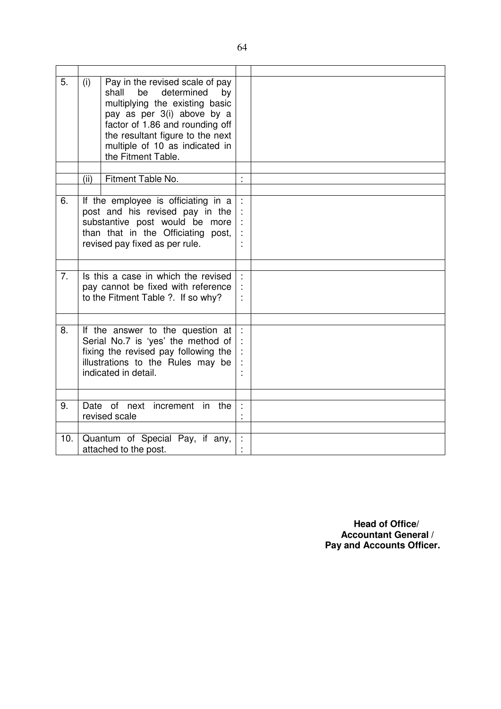| 5.  | (i)  | Pay in the revised scale of pay<br>determined<br>shall<br>be<br>by<br>multiplying the existing basic<br>pay as per 3(i) above by a<br>factor of 1.86 and rounding off<br>the resultant figure to the next<br>multiple of 10 as indicated in<br>the Fitment Table. |   |  |
|-----|------|-------------------------------------------------------------------------------------------------------------------------------------------------------------------------------------------------------------------------------------------------------------------|---|--|
|     |      |                                                                                                                                                                                                                                                                   |   |  |
|     | (ii) | Fitment Table No.                                                                                                                                                                                                                                                 | t |  |
| 6.  |      | If the employee is officiating in a<br>post and his revised pay in the<br>substantive post would be more<br>than that in the Officiating<br>post,<br>revised pay fixed as per rule.                                                                               |   |  |
|     |      |                                                                                                                                                                                                                                                                   |   |  |
| 7.  |      | Is this a case in which the revised<br>pay cannot be fixed with reference<br>to the Fitment Table ?. If so why?                                                                                                                                                   |   |  |
|     |      |                                                                                                                                                                                                                                                                   |   |  |
| 8.  |      | If the answer to the question at<br>Serial No.7 is 'yes' the method of<br>fixing the revised pay following the<br>illustrations to the Rules may be<br>indicated in detail.                                                                                       |   |  |
|     |      |                                                                                                                                                                                                                                                                   |   |  |
| 9.  |      | Date of next<br>increment in<br>the<br>revised scale                                                                                                                                                                                                              |   |  |
|     |      |                                                                                                                                                                                                                                                                   |   |  |
| 10. |      | Quantum of Special Pay, if any,<br>attached to the post.                                                                                                                                                                                                          |   |  |

 **Head of Office/ Accountant General / Pay and Accounts Officer.**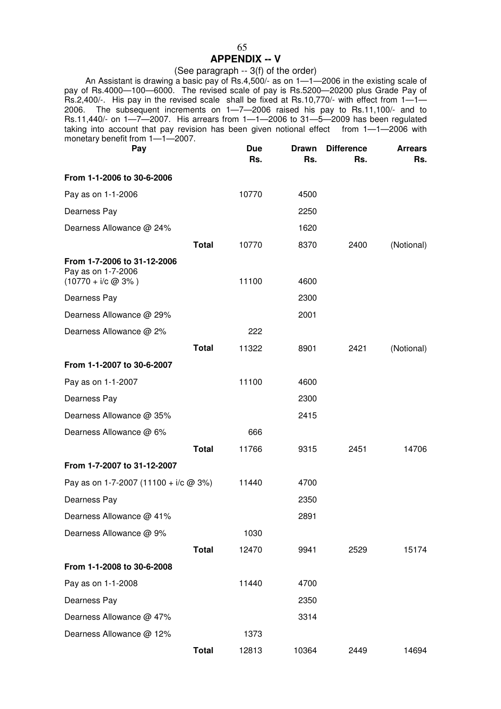### 65

### **APPENDIX -- V**

# (See paragraph -- 3(f) of the order)

 An Assistant is drawing a basic pay of Rs.4,500/- as on 1—1—2006 in the existing scale of pay of Rs.4000—100—6000. The revised scale of pay is Rs.5200—20200 plus Grade Pay of Rs.2,400/-. His pay in the revised scale shall be fixed at Rs.10,770/- with effect from 1—1— 2006. The subsequent increments on 1—7—2006 raised his pay to Rs.11,100/- and to Rs.11,440/- on 1—7—2007. His arrears from 1—1—2006 to 31—5—2009 has been regulated taking into account that pay revision has been given notional effect from  $1-1-2006$  with monetary benefit from 1—1—2007. **Pay Due Drawn Difference Arrears**

| Pay                                               | nue<br>Rs. | prawn<br>Rs. | <b>DITTERENCE</b><br>Rs. | Arrears<br>Rs. |
|---------------------------------------------------|------------|--------------|--------------------------|----------------|
| From 1-1-2006 to 30-6-2006                        |            |              |                          |                |
| Pay as on 1-1-2006                                | 10770      | 4500         |                          |                |
| Dearness Pay                                      |            | 2250         |                          |                |
| Dearness Allowance @ 24%                          |            | 1620         |                          |                |
| <b>Total</b>                                      | 10770      | 8370         | 2400                     | (Notional)     |
| From 1-7-2006 to 31-12-2006<br>Pay as on 1-7-2006 |            |              |                          |                |
| $(10770 + i/c \ @ 3\% )$                          | 11100      | 4600<br>2300 |                          |                |
| Dearness Pay                                      |            |              |                          |                |
| Dearness Allowance @ 29%                          |            | 2001         |                          |                |
| Dearness Allowance @ 2%                           | 222        |              |                          |                |
| <b>Total</b>                                      | 11322      | 8901         | 2421                     | (Notional)     |
| From 1-1-2007 to 30-6-2007                        |            |              |                          |                |
| Pay as on 1-1-2007                                | 11100      | 4600         |                          |                |
| Dearness Pay                                      |            | 2300         |                          |                |
| Dearness Allowance @ 35%                          |            | 2415         |                          |                |
| Dearness Allowance @ 6%                           | 666        |              |                          |                |
| <b>Total</b>                                      | 11766      | 9315         | 2451                     | 14706          |
| From 1-7-2007 to 31-12-2007                       |            |              |                          |                |
| Pay as on 1-7-2007 (11100 + $i/c$ @ 3%)           | 11440      | 4700         |                          |                |
| Dearness Pay                                      |            | 2350         |                          |                |
| Dearness Allowance @ 41%                          |            | 2891         |                          |                |
| Dearness Allowance @ 9%                           | 1030       |              |                          |                |
| <b>Total</b>                                      | 12470      | 9941         | 2529                     | 15174          |
| From 1-1-2008 to 30-6-2008                        |            |              |                          |                |
| Pay as on 1-1-2008                                | 11440      | 4700         |                          |                |
| Dearness Pay                                      |            | 2350         |                          |                |
| Dearness Allowance @ 47%                          |            | 3314         |                          |                |
| Dearness Allowance @ 12%                          | 1373       |              |                          |                |
| <b>Total</b>                                      | 12813      | 10364        | 2449                     | 14694          |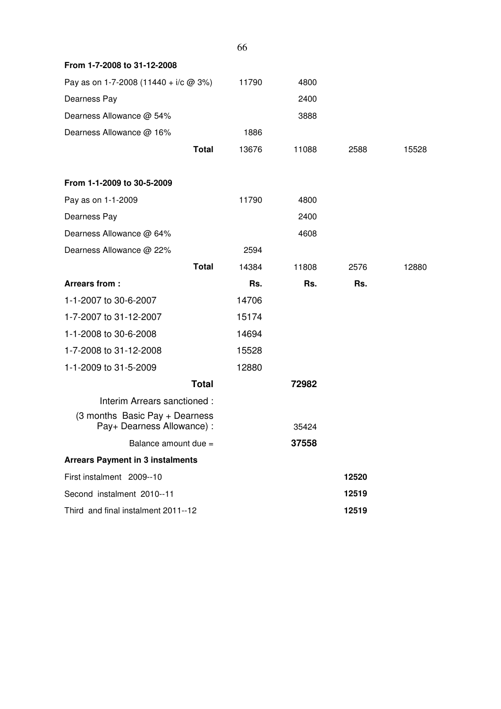|                                                                                             |              | 66    |       |       |       |
|---------------------------------------------------------------------------------------------|--------------|-------|-------|-------|-------|
| From 1-7-2008 to 31-12-2008                                                                 |              |       |       |       |       |
| Pay as on 1-7-2008 (11440 + i/c $@$ 3%)                                                     |              | 11790 | 4800  |       |       |
| Dearness Pay                                                                                |              |       | 2400  |       |       |
| Dearness Allowance @ 54%                                                                    |              |       | 3888  |       |       |
| Dearness Allowance @ 16%                                                                    |              | 1886  |       |       |       |
|                                                                                             | <b>Total</b> | 13676 | 11088 | 2588  | 15528 |
| From 1-1-2009 to 30-5-2009                                                                  |              |       |       |       |       |
| Pay as on 1-1-2009                                                                          |              | 11790 | 4800  |       |       |
| Dearness Pay                                                                                |              |       | 2400  |       |       |
| Dearness Allowance @ 64%                                                                    |              |       | 4608  |       |       |
| Dearness Allowance @ 22%                                                                    |              | 2594  |       |       |       |
|                                                                                             | <b>Total</b> | 14384 | 11808 | 2576  | 12880 |
| Arrears from:                                                                               |              | Rs.   | Rs.   | Rs.   |       |
| 1-1-2007 to 30-6-2007                                                                       |              | 14706 |       |       |       |
| 1-7-2007 to 31-12-2007                                                                      |              | 15174 |       |       |       |
| 1-1-2008 to 30-6-2008                                                                       |              | 14694 |       |       |       |
| 1-7-2008 to 31-12-2008                                                                      |              | 15528 |       |       |       |
| 1-1-2009 to 31-5-2009                                                                       |              | 12880 |       |       |       |
|                                                                                             | <b>Total</b> |       | 72982 |       |       |
| Interim Arrears sanctioned:<br>(3 months Basic Pay + Dearness<br>Pay+ Dearness Allowance) : |              |       | 35424 |       |       |
| Balance amount due =                                                                        |              |       | 37558 |       |       |
| <b>Arrears Payment in 3 instalments</b>                                                     |              |       |       |       |       |
| First instalment 2009--10                                                                   |              |       |       | 12520 |       |
| Second instalment 2010--11                                                                  |              |       |       |       |       |
|                                                                                             |              |       |       | 12519 |       |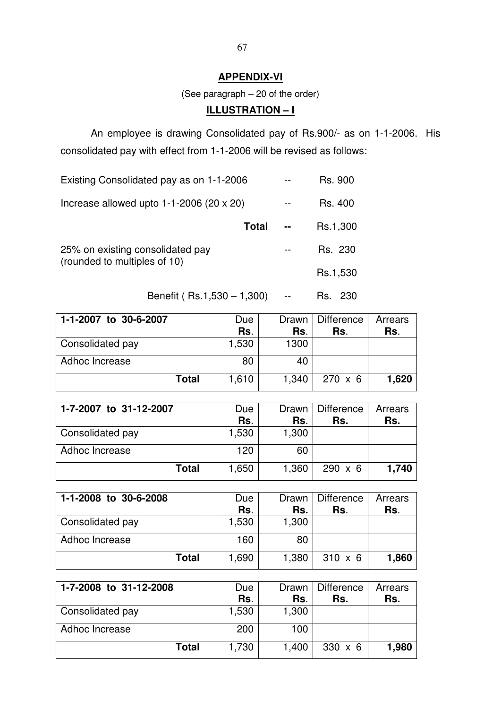# **APPENDIX-VI**

(See paragraph – 20 of the order)

# **ILLUSTRATION – I**

An employee is drawing Consolidated pay of Rs.900/- as on 1-1-2006. His consolidated pay with effect from 1-1-2006 will be revised as follows:

| Existing Consolidated pay as on 1-1-2006                         |       | Rs. 900  |
|------------------------------------------------------------------|-------|----------|
| Increase allowed upto $1-1-2006$ (20 x 20)                       | $- -$ | Rs. 400  |
| <b>Total</b>                                                     |       | Rs.1,300 |
| 25% on existing consolidated pay<br>(rounded to multiples of 10) |       | Rs. 230  |
|                                                                  |       | Rs.1,530 |

Benefit ( Rs.1,530 – 1,300) -- Rs. 230

| 1-1-2007 to 30-6-2007 | Due   | Drawn I | Difference     | Arrears |
|-----------------------|-------|---------|----------------|---------|
|                       | Rs.   | Rs.     | Rs.            | Rs.     |
| Consolidated pay      | 1,530 | 1300    |                |         |
| Adhoc Increase        | 80    | 40      |                |         |
| Total                 | 1,610 | 1.340   | $270 \times 6$ | 1,620   |

| 1-7-2007 to 31-12-2007 | Due   | Drawn | Difference     | Arrears |
|------------------------|-------|-------|----------------|---------|
|                        | Rs.   | Rs.   | Rs.            | Rs.     |
| Consolidated pay       | 1,530 | 1,300 |                |         |
| Adhoc Increase         | 120   | 60    |                |         |
| Total                  | 1,650 | 1,360 | $290 \times 6$ | 1,740   |

| 1-1-2008 to 30-6-2008 | Due<br>Rs. | Drawn I<br>Rs. | <b>Difference</b><br>Rs. | Arrears<br>Rs. |
|-----------------------|------------|----------------|--------------------------|----------------|
| Consolidated pay      | 1,530      | 1,300          |                          |                |
| Adhoc Increase        | 160        | 80             |                          |                |
| Total                 | 1,690      | 1,380          | $310 \times 6$           | 1,860          |

| 1-7-2008 to 31-12-2008 | Due   | Drawn | Difference     | Arrears |
|------------------------|-------|-------|----------------|---------|
|                        | Rs.   | Rs.   | Rs.            | Rs.     |
| Consolidated pay       | 1,530 | 1,300 |                |         |
| Adhoc Increase         | 200   | 100   |                |         |
| <b>Total</b>           | 1,730 | 1,400 | $330 \times 6$ | 1,980   |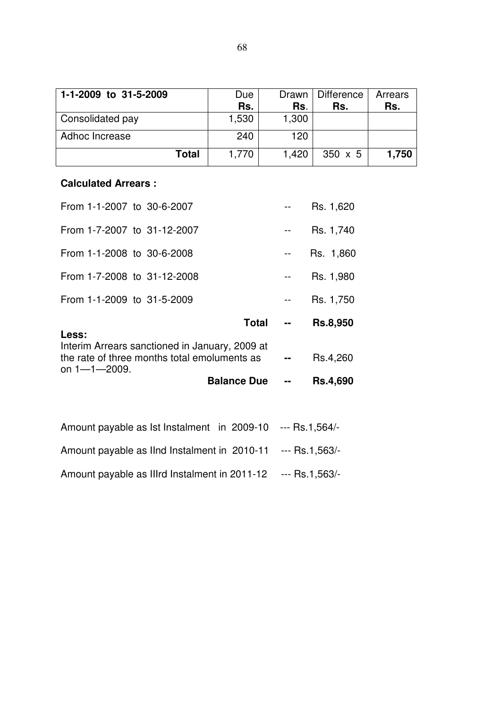| 1-1-2009 to 31-5-2009 | Due   | Drawn I | Difference     | Arrears |
|-----------------------|-------|---------|----------------|---------|
|                       | Rs.   | Rs.     | Rs.            | Rs.     |
| Consolidated pay      | 1,530 | 1,300   |                |         |
| <b>Adhoc Increase</b> | 240   | 120     |                |         |
| <b>Total</b>          | 1.770 | 1,420   | $350 \times 5$ | 1,750   |

# **Calculated Arrears :**

| From 1-1-2007 to 30-6-2007                                                                                                     |                    |    | Rs. 1,620       |
|--------------------------------------------------------------------------------------------------------------------------------|--------------------|----|-----------------|
| From 1-7-2007 to 31-12-2007                                                                                                    |                    |    | Rs. 1,740       |
| From 1-1-2008 to 30-6-2008                                                                                                     |                    |    | Rs. 1,860       |
| From 1-7-2008 to 31-12-2008                                                                                                    |                    |    | Rs. 1,980       |
| From 1-1-2009 to 31-5-2009                                                                                                     |                    |    | Rs. 1,750       |
|                                                                                                                                | Total              | -- | <b>Rs.8,950</b> |
| Less:<br>Interim Arrears sanctioned in January, 2009 at<br>the rate of three months total emoluments as<br>on $1 - 1 - 2009$ . |                    |    | Rs.4,260        |
|                                                                                                                                | <b>Balance Due</b> |    | <b>Rs.4,690</b> |
|                                                                                                                                |                    |    |                 |

| Amount payable as 1st Instalment in 2009-10 --- Rs.1,564/-   |  |
|--------------------------------------------------------------|--|
| Amount payable as IInd Instalment in 2010-11 --- Rs.1,563/-  |  |
| Amount payable as IIIrd Instalment in 2011-12 --- Rs.1,563/- |  |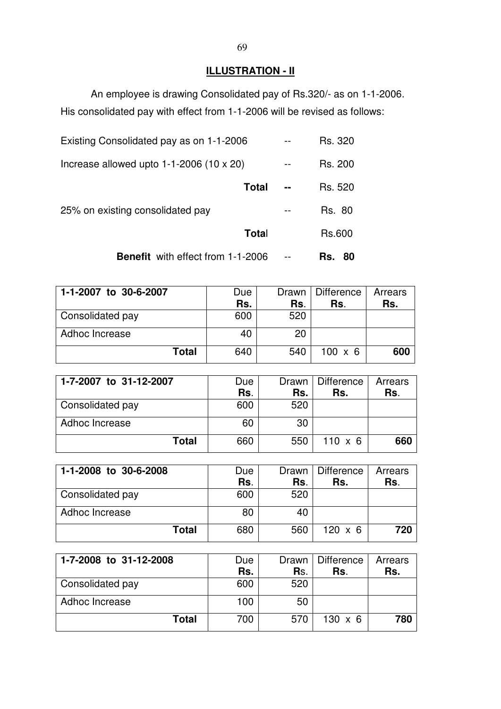# **ILLUSTRATION - II**

 An employee is drawing Consolidated pay of Rs.320/- as on 1-1-2006. His consolidated pay with effect from 1-1-2006 will be revised as follows:

| <b>Benefit</b> with effect from 1-1-2006   |  | Rs.<br>80     |
|--------------------------------------------|--|---------------|
| Total                                      |  | Rs.600        |
| 25% on existing consolidated pay           |  | <b>Rs. 80</b> |
| <b>Total</b>                               |  | Rs. 520       |
| Increase allowed upto $1-1-2006$ (10 x 20) |  | Rs. 200       |
| Existing Consolidated pay as on 1-1-2006   |  | Rs. 320       |

| 1-1-2007 to 30-6-2007 | Due<br>Rs. | Drawn<br>Rs. | Difference<br>Rs. | Arrears<br>Rs. |
|-----------------------|------------|--------------|-------------------|----------------|
| Consolidated pay      | 600        | 520          |                   |                |
| Adhoc Increase        | 40         | 20           |                   |                |
| Total                 | 640        | 540          | $100 \times 6$    | 600            |

| 1-7-2007 to 31-12-2007 | Due<br>Rs. | Drawn<br>Rs. | Difference<br>Rs. | Arrears<br>Rs. |
|------------------------|------------|--------------|-------------------|----------------|
| Consolidated pay       | 600        | 520          |                   |                |
| Adhoc Increase         | 60         | 30           |                   |                |
| <b>Total</b>           | 660        | 550          | $110 \times 6$    | 660            |

| 1-1-2008 to 30-6-2008 | Due | Drawn I | Difference     | Arrears |
|-----------------------|-----|---------|----------------|---------|
|                       | Rs. | Rs.     | Rs.            | Rs.     |
| Consolidated pay      | 600 | 520     |                |         |
| Adhoc Increase        | 80  | 40      |                |         |
| Total                 | 680 | 560     | $120 \times 6$ | 720     |

| 1-7-2008 to 31-12-2008  | Due | Drawn I | <b>Difference</b> | Arrears |
|-------------------------|-----|---------|-------------------|---------|
|                         | Rs. | Rs.     | Rs.               | Rs.     |
| <b>Consolidated pay</b> | 600 | 520     |                   |         |
| Adhoc Increase          | 100 | 50      |                   |         |
| Total                   | 700 | 570     | $130 \times 6$    | 780     |